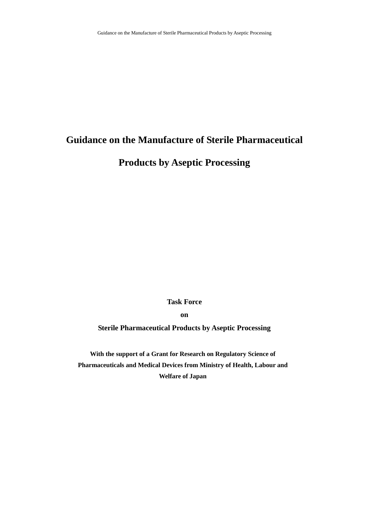# **Guidance on the Manufacture of Sterile Pharmaceutical**

**Products by Aseptic Processing** 

**Task Force** 

**on** 

**Sterile Pharmaceutical Products by Aseptic Processing** 

**With the support of a Grant for Research on Regulatory Science of Pharmaceuticals and Medical Devices from Ministry of Health, Labour and Welfare of Japan**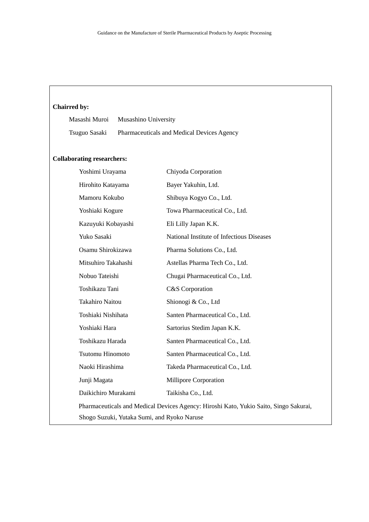# **Chairred by:**

Masashi Muroi Musashino University Tsuguo Sasaki Pharmaceuticals and Medical Devices Agency

# **Collaborating researchers:**

| Yoshimi Urayama                                                                       | Chiyoda Corporation                       |  |  |  |
|---------------------------------------------------------------------------------------|-------------------------------------------|--|--|--|
| Hirohito Katayama                                                                     | Bayer Yakuhin, Ltd.                       |  |  |  |
| Mamoru Kokubo                                                                         | Shibuya Kogyo Co., Ltd.                   |  |  |  |
| Yoshiaki Kogure                                                                       | Towa Pharmaceutical Co., Ltd.             |  |  |  |
| Kazuyuki Kobayashi                                                                    | Eli Lilly Japan K.K.                      |  |  |  |
| Yuko Sasaki                                                                           | National Institute of Infectious Diseases |  |  |  |
| Osamu Shirokizawa                                                                     | Pharma Solutions Co., Ltd.                |  |  |  |
| Mitsuhiro Takahashi                                                                   | Astellas Pharma Tech Co., Ltd.            |  |  |  |
| Nobuo Tateishi                                                                        | Chugai Pharmaceutical Co., Ltd.           |  |  |  |
| Toshikazu Tani                                                                        | C&S Corporation                           |  |  |  |
| <b>Takahiro Naitou</b>                                                                | Shionogi & Co., Ltd                       |  |  |  |
| Toshiaki Nishihata                                                                    | Santen Pharmaceutical Co., Ltd.           |  |  |  |
| Yoshiaki Hara                                                                         | Sartorius Stedim Japan K.K.               |  |  |  |
| Toshikazu Harada                                                                      | Santen Pharmaceutical Co., Ltd.           |  |  |  |
| <b>Tsutomu Hinomoto</b>                                                               | Santen Pharmaceutical Co., Ltd.           |  |  |  |
| Naoki Hirashima                                                                       | Takeda Pharmaceutical Co., Ltd.           |  |  |  |
| Junji Magata                                                                          | Millipore Corporation                     |  |  |  |
| Daikichiro Murakami                                                                   | Taikisha Co., Ltd.                        |  |  |  |
| Pharmaceuticals and Medical Devices Agency: Hiroshi Kato, Yukio Saito, Singo Sakurai, |                                           |  |  |  |
| Shogo Suzuki, Yutaka Sumi, and Ryoko Naruse                                           |                                           |  |  |  |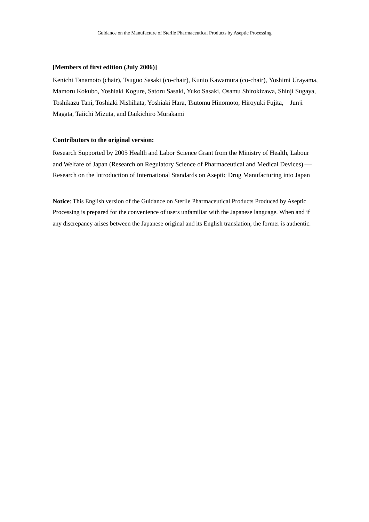#### **[Members of first edition (July 2006)]**

Kenichi Tanamoto (chair), Tsuguo Sasaki (co-chair), Kunio Kawamura (co-chair), Yoshimi Urayama, Mamoru Kokubo, Yoshiaki Kogure, Satoru Sasaki, Yuko Sasaki, Osamu Shirokizawa, Shinji Sugaya, Toshikazu Tani, Toshiaki Nishihata, Yoshiaki Hara, Tsutomu Hinomoto, Hiroyuki Fujita, Junji Magata, Taiichi Mizuta, and Daikichiro Murakami

### **Contributors to the original version:**

Research Supported by 2005 Health and Labor Science Grant from the Ministry of Health, Labour and Welfare of Japan (Research on Regulatory Science of Pharmaceutical and Medical Devices) Research on the Introduction of International Standards on Aseptic Drug Manufacturing into Japan

**Notice**: This English version of the Guidance on Sterile Pharmaceutical Products Produced by Aseptic Processing is prepared for the convenience of users unfamiliar with the Japanese language. When and if any discrepancy arises between the Japanese original and its English translation, the former is authentic.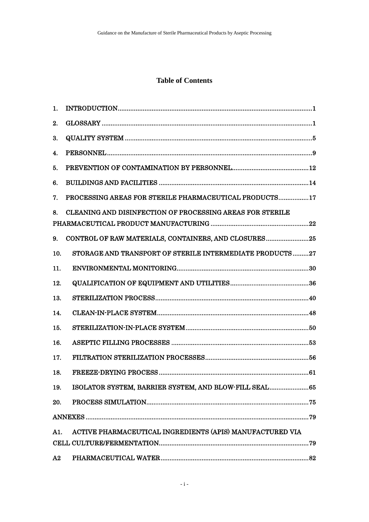# **Table of Contents**

| 1.  |                                                           |
|-----|-----------------------------------------------------------|
| 2.  |                                                           |
| 3.  |                                                           |
| 4.  |                                                           |
| 5.  |                                                           |
| 6.  |                                                           |
| 7.  | PROCESSING AREAS FOR STERILE PHARMACEUTICAL PRODUCTS17    |
| 8.  | CLEANING AND DISINFECTION OF PROCESSING AREAS FOR STERILE |
|     |                                                           |
| 9.  | CONTROL OF RAW MATERIALS, CONTAINERS, AND CLOSURES25      |
| 10. | STORAGE AND TRANSPORT OF STERILE INTERMEDIATE PRODUCTS27  |
| 11. |                                                           |
| 12. |                                                           |
| 13. |                                                           |
| 14. |                                                           |
| 15. |                                                           |
| 16. |                                                           |
| 17. |                                                           |
| 18. |                                                           |
| 19. | ISOLATOR SYSTEM, BARRIER SYSTEM, AND BLOW-FILL SEAL65     |
| 20. |                                                           |
|     |                                                           |
| A1. | ACTIVE PHARMACEUTICAL INGREDIENTS (APIS) MANUFACTURED VIA |
|     |                                                           |
| A2  |                                                           |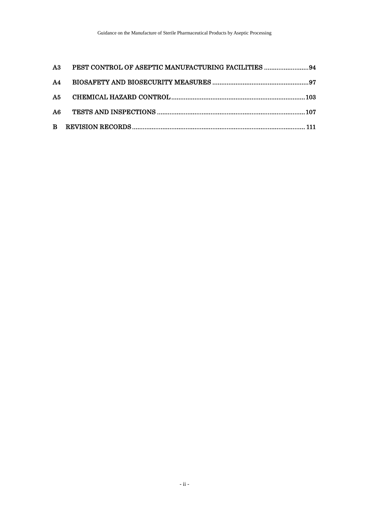| A3 PEST CONTROL OF ASEPTIC MANUFACTURING FACILITIES 94 |  |
|--------------------------------------------------------|--|
|                                                        |  |
|                                                        |  |
|                                                        |  |
|                                                        |  |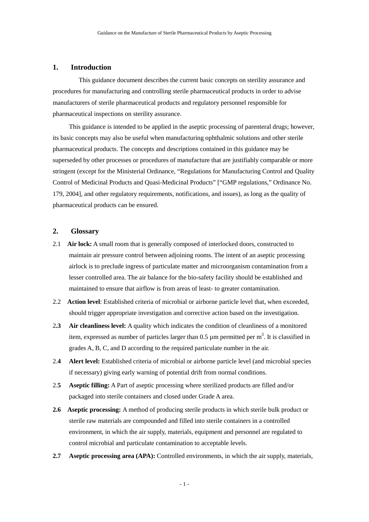# <span id="page-5-0"></span>**1. Introduction**

This guidance document describes the current basic concepts on sterility assurance and procedures for manufacturing and controlling sterile pharmaceutical products in order to advise manufacturers of sterile pharmaceutical products and regulatory personnel responsible for pharmaceutical inspections on sterility assurance.

This guidance is intended to be applied in the aseptic processing of parenteral drugs; however, its basic concepts may also be useful when manufacturing ophthalmic solutions and other sterile pharmaceutical products. The concepts and descriptions contained in this guidance may be superseded by other processes or procedures of manufacture that are justifiably comparable or more stringent (except for the Ministerial Ordinance, "Regulations for Manufacturing Control and Quality Control of Medicinal Products and Quasi-Medicinal Products" ["GMP regulations," Ordinance No. 179, 2004], and other regulatory requirements, notifications, and issues), as long as the quality of pharmaceutical products can be ensured.

# <span id="page-5-1"></span>**2. Glossary**

- 2.1 **Air lock:** A small room that is generally composed of interlocked doors, constructed to maintain air pressure control between adjoining rooms. The intent of an aseptic processing airlock is to preclude ingress of particulate matter and microorganism contamination from a lesser controlled area. The air balance for the bio-safety facility should be established and maintained to ensure that airflow is from areas of least- to greater contamination.
- 2.2 **Action level**: Established criteria of microbial or airborne particle level that, when exceeded, should trigger appropriate investigation and corrective action based on the investigation.
- 2**.3 Air cleanliness level:** A quality which indicates the condition of cleanliness of a monitored item, expressed as number of particles larger than  $0.5 \mu$ m permitted per m<sup>3</sup>. It is classified in grades A, B, C, and D according to the required particulate number in the air.
- 2.**4 Alert level:** Established criteria of microbial or airborne particle level (and microbial species if necessary) giving early warning of potential drift from normal conditions.
- 2.**5 Aseptic filling:** A Part of aseptic processing where sterilized products are filled and/or packaged into sterile containers and closed under Grade A area.
- **2.6 Aseptic processing:** A method of producing sterile products in which sterile bulk product or sterile raw materials are compounded and filled into sterile containers in a controlled environment, in which the air supply, materials, equipment and personnel are regulated to control microbial and particulate contamination to acceptable levels.
- **2.7 Aseptic processing area (APA):** Controlled environments, in which the air supply, materials,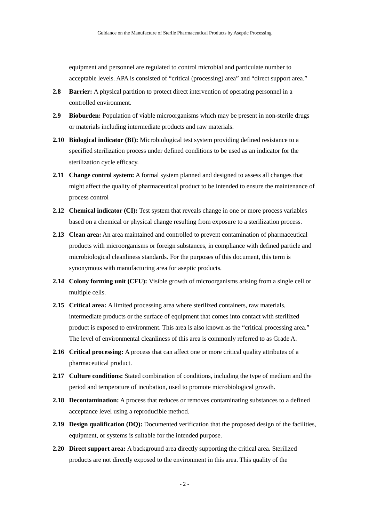equipment and personnel are regulated to control microbial and particulate number to acceptable levels. APA is consisted of "critical (processing) area" and "direct support area."

- **2.8 Barrier:** A physical partition to protect direct intervention of operating personnel in a controlled environment.
- **2.9 Bioburden:** Population of viable microorganisms which may be present in non-sterile drugs or materials including intermediate products and raw materials.
- **2.10 Biological indicator (BI):** Microbiological test system providing defined resistance to a specified sterilization process under defined conditions to be used as an indicator for the sterilization cycle efficacy.
- **2.11 Change control system:** A formal system planned and designed to assess all changes that might affect the quality of pharmaceutical product to be intended to ensure the maintenance of process control
- **2.12 Chemical indicator (CI):** Test system that reveals change in one or more process variables based on a chemical or physical change resulting from exposure to a sterilization process.
- **2.13 Clean area:** An area maintained and controlled to prevent contamination of pharmaceutical products with microorganisms or foreign substances, in compliance with defined particle and microbiological cleanliness standards. For the purposes of this document, this term is synonymous with manufacturing area for aseptic products.
- **2.14 Colony forming unit (CFU):** Visible growth of microorganisms arising from a single cell or multiple cells.
- **2.15 Critical area:** A limited processing area where sterilized containers, raw materials, intermediate products or the surface of equipment that comes into contact with sterilized product is exposed to environment. This area is also known as the "critical processing area." The level of environmental cleanliness of this area is commonly referred to as Grade A.
- **2.16 Critical processing:** A process that can affect one or more critical quality attributes of a pharmaceutical product.
- **2.17 Culture conditions:** Stated combination of conditions, including the type of medium and the period and temperature of incubation, used to promote microbiological growth.
- **2.18 Decontamination:** A process that reduces or removes contaminating substances to a defined acceptance level using a reproducible method.
- **2.19 Design qualification (DQ):** Documented verification that the proposed design of the facilities, equipment, or systems is suitable for the intended purpose.
- **2.20 Direct support area:** A background area directly supporting the critical area. Sterilized products are not directly exposed to the environment in this area. This quality of the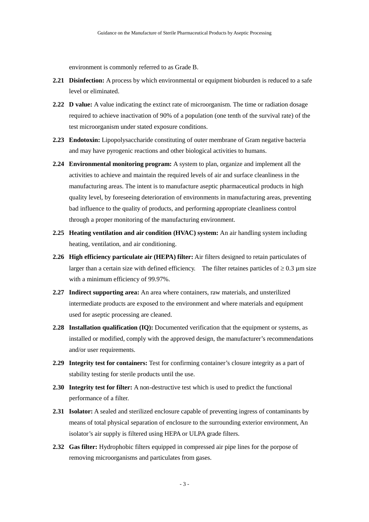environment is commonly referred to as Grade B.

- **2.21 Disinfection:** A process by which environmental or equipment bioburden is reduced to a safe level or eliminated.
- **2.22 D value:** A value indicating the extinct rate of microorganism. The time or radiation dosage required to achieve inactivation of 90% of a population (one tenth of the survival rate) of the test microorganism under stated exposure conditions.
- **2.23 Endotoxin:** Lipopolysaccharide constituting of outer membrane of Gram negative bacteria and may have pyrogenic reactions and other biological activities to humans.
- **2.24 Environmental monitoring program:** A system to plan, organize and implement all the activities to achieve and maintain the required levels of air and surface cleanliness in the manufacturing areas. The intent is to manufacture aseptic pharmaceutical products in high quality level, by foreseeing deterioration of environments in manufacturing areas, preventing bad influence to the quality of products, and performing appropriate cleanliness control through a proper monitoring of the manufacturing environment.
- **2.25 Heating ventilation and air condition (HVAC) system:** An air handling system including heating, ventilation, and air conditioning.
- **2.26 High efficiency particulate air (HEPA) filter:** Air filters designed to retain particulates of larger than a certain size with defined efficiency. The filter retaines particles of  $\geq 0.3$  µm size with a minimum efficiency of 99.97%.
- **2.27 Indirect supporting area:** An area where containers, raw materials, and unsterilized intermediate products are exposed to the environment and where materials and equipment used for aseptic processing are cleaned.
- **2.28 Installation qualification (IQ):** Documented verification that the equipment or systems, as installed or modified, comply with the approved design, the manufacturer's recommendations and/or user requirements.
- **2.29 Integrity test for containers:** Test for confirming container's closure integrity as a part of stability testing for sterile products until the use.
- **2.30 Integrity test for filter:** A non-destructive test which is used to predict the functional performance of a filter.
- **2.31 Isolator:** A sealed and sterilized enclosure capable of preventing ingress of contaminants by means of total physical separation of enclosure to the surrounding exterior environment, An isolator's air supply is filtered using HEPA or ULPA grade filters.
- **2.32 Gas filter:** Hydrophobic filters equipped in compressed air pipe lines for the porpose of removing microorganisms and particulates from gases.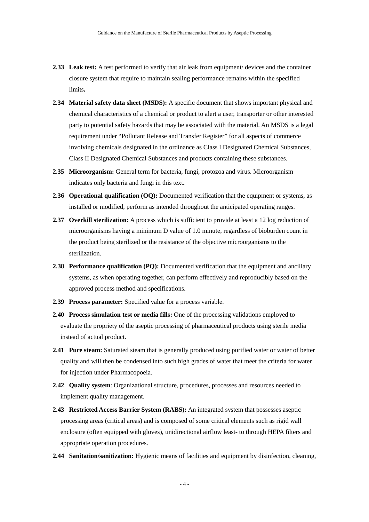- **2.33 Leak test:** A test performed to verify that air leak from equipment/ devices and the container closure system that require to maintain sealing performance remains within the specified limits**.**
- **2.34 Material safety data sheet (MSDS):** A specific document that shows important physical and chemical characteristics of a chemical or product to alert a user, transporter or other interested party to potential safety hazards that may be associated with the material. An MSDS is a legal requirement under "Pollutant Release and Transfer Register" for all aspects of commerce involving chemicals designated in the ordinance as Class I Designated Chemical Substances, Class II Designated Chemical Substances and products containing these substances.
- **2.35 Microorganism:** General term for bacteria, fungi, protozoa and virus. Microorganism indicates only bacteria and fungi in this text**.**
- **2.36 Operational qualification (OQ):** Documented verification that the equipment or systems, as installed or modified, perform as intended throughout the anticipated operating ranges.
- **2.37 Overkill sterilization:** A process which is sufficient to provide at least a 12 log reduction of microorganisms having a minimum D value of 1.0 minute, regardless of bioburden count in the product being sterilized or the resistance of the objective microorganisms to the sterilization.
- **2.38 Performance qualification (PQ):** Documented verification that the equipment and ancillary systems, as when operating together, can perform effectively and reproducibly based on the approved process method and specifications.
- **2.39 Process parameter:** Specified value for a process variable.
- **2.40 Process simulation test or media fills:** One of the processing validations employed to evaluate the propriety of the aseptic processing of pharmaceutical products using sterile media instead of actual product.
- **2.41 Pure steam:** Saturated steam that is generally produced using purified water or water of better quality and will then be condensed into such high grades of water that meet the criteria for water for injection under Pharmacopoeia.
- **2.42 Quality system**: Organizational structure, procedures, processes and resources needed to implement quality management.
- **2.43 Restricted Access Barrier System (RABS):** An integrated system that possesses aseptic processing areas (critical areas) and is composed of some critical elements such as rigid wall enclosure (often equipped with gloves), unidirectional airflow least- to through HEPA filters and appropriate operation procedures.
- **2.44 Sanitation/sanitization:** Hygienic means of facilities and equipment by disinfection, cleaning,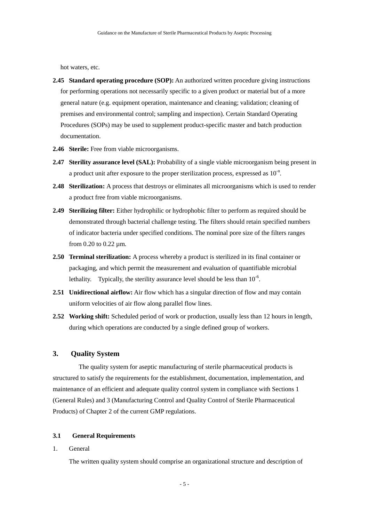hot waters, etc.

- **2.45 Standard operating procedure (SOP):** An authorized written procedure giving instructions for performing operations not necessarily specific to a given product or material but of a more general nature (e.g. equipment operation, maintenance and cleaning; validation; cleaning of premises and environmental control; sampling and inspection). Certain Standard Operating Procedures (SOPs) may be used to supplement product-specific master and batch production documentation.
- **2.46 Sterile:** Free from viable microorganisms.
- **2.47 Sterility assurance level (SAL):** Probability of a single viable microorganism being present in a product unit after exposure to the proper sterilization process, expressed as  $10^{-n}$ .
- **2.48 Sterilization:** A process that destroys or eliminates all microorganisms which is used to render a product free from viable microorganisms.
- **2.49 Sterilizing filter:** Either hydrophilic or hydrophobic filter to perform as required should be demonstrated through bacterial challenge testing. The filters should retain specified numbers of indicator bacteria under specified conditions. The nominal pore size of the filters ranges from 0.20 to 0.22 µm.
- **2.50 Terminal sterilization:** A process whereby a product is sterilized in its final container or packaging, and which permit the measurement and evaluation of quantifiable microbial lethality. Typically, the sterility assurance level should be less than  $10^{-6}$ .
- **2.51 Unidirectional airflow:** Air flow which has a singular direction of flow and may contain uniform velocities of air flow along parallel flow lines.
- **2.52 Working shift:** Scheduled period of work or production, usually less than 12 hours in length, during which operations are conducted by a single defined group of workers.

# <span id="page-9-0"></span>**3. Quality System**

The quality system for aseptic manufacturing of sterile pharmaceutical products is structured to satisfy the requirements for the establishment, documentation, implementation, and maintenance of an efficient and adequate quality control system in compliance with Sections 1 (General Rules) and 3 (Manufacturing Control and Quality Control of Sterile Pharmaceutical Products) of Chapter 2 of the current GMP regulations.

### **3.1 General Requirements**

1. General

The written quality system should comprise an organizational structure and description of

- 5 -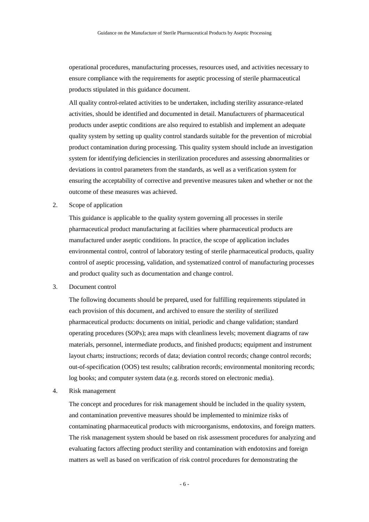operational procedures, manufacturing processes, resources used, and activities necessary to ensure compliance with the requirements for aseptic processing of sterile pharmaceutical products stipulated in this guidance document.

All quality control-related activities to be undertaken, including sterility assurance-related activities, should be identified and documented in detail. Manufacturers of pharmaceutical products under aseptic conditions are also required to establish and implement an adequate quality system by setting up quality control standards suitable for the prevention of microbial product contamination during processing. This quality system should include an investigation system for identifying deficiencies in sterilization procedures and assessing abnormalities or deviations in control parameters from the standards, as well as a verification system for ensuring the acceptability of corrective and preventive measures taken and whether or not the outcome of these measures was achieved.

2. Scope of application

This guidance is applicable to the quality system governing all processes in sterile pharmaceutical product manufacturing at facilities where pharmaceutical products are manufactured under aseptic conditions. In practice, the scope of application includes environmental control, control of laboratory testing of sterile pharmaceutical products, quality control of aseptic processing, validation, and systematized control of manufacturing processes and product quality such as documentation and change control.

3. Document control

The following documents should be prepared, used for fulfilling requirements stipulated in each provision of this document, and archived to ensure the sterility of sterilized pharmaceutical products: documents on initial, periodic and change validation; standard operating procedures (SOPs); area maps with cleanliness levels; movement diagrams of raw materials, personnel, intermediate products, and finished products; equipment and instrument layout charts; instructions; records of data; deviation control records; change control records; out-of-specification (OOS) test results; calibration records; environmental monitoring records; log books; and computer system data (e.g. records stored on electronic media).

4. Risk management

The concept and procedures for risk management should be included in the quality system, and contamination preventive measures should be implemented to minimize risks of contaminating pharmaceutical products with microorganisms, endotoxins, and foreign matters. The risk management system should be based on risk assessment procedures for analyzing and evaluating factors affecting product sterility and contamination with endotoxins and foreign matters as well as based on verification of risk control procedures for demonstrating the

- 6 -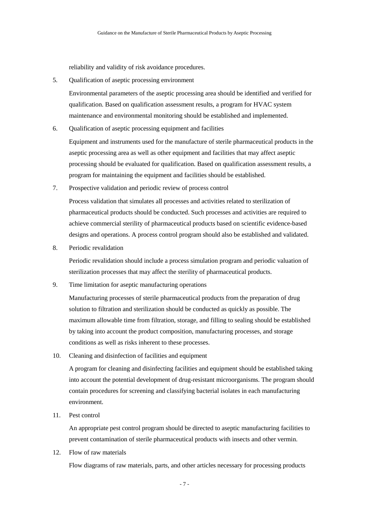reliability and validity of risk avoidance procedures.

5. Qualification of aseptic processing environment

Environmental parameters of the aseptic processing area should be identified and verified for qualification. Based on qualification assessment results, a program for HVAC system maintenance and environmental monitoring should be established and implemented.

6. Qualification of aseptic processing equipment and facilities

Equipment and instruments used for the manufacture of sterile pharmaceutical products in the aseptic processing area as well as other equipment and facilities that may affect aseptic processing should be evaluated for qualification. Based on qualification assessment results, a program for maintaining the equipment and facilities should be established.

7. Prospective validation and periodic review of process control

Process validation that simulates all processes and activities related to sterilization of pharmaceutical products should be conducted. Such processes and activities are required to achieve commercial sterility of pharmaceutical products based on scientific evidence-based designs and operations. A process control program should also be established and validated.

8. Periodic revalidation

Periodic revalidation should include a process simulation program and periodic valuation of sterilization processes that may affect the sterility of pharmaceutical products.

9. Time limitation for aseptic manufacturing operations

Manufacturing processes of sterile pharmaceutical products from the preparation of drug solution to filtration and sterilization should be conducted as quickly as possible. The maximum allowable time from filtration, storage, and filling to sealing should be established by taking into account the product composition, manufacturing processes, and storage conditions as well as risks inherent to these processes.

10. Cleaning and disinfection of facilities and equipment

A program for cleaning and disinfecting facilities and equipment should be established taking into account the potential development of drug-resistant microorganisms. The program should contain procedures for screening and classifying bacterial isolates in each manufacturing environment.

11. Pest control

An appropriate pest control program should be directed to aseptic manufacturing facilities to prevent contamination of sterile pharmaceutical products with insects and other vermin.

12. Flow of raw materials

Flow diagrams of raw materials, parts, and other articles necessary for processing products

- 7 -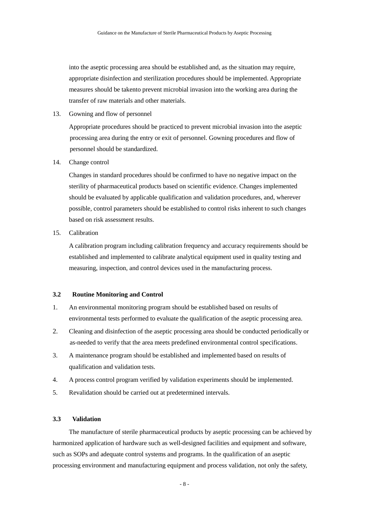into the aseptic processing area should be established and, as the situation may require, appropriate disinfection and sterilization procedures should be implemented. Appropriate measures should be takento prevent microbial invasion into the working area during the transfer of raw materials and other materials.

13. Gowning and flow of personnel

Appropriate procedures should be practiced to prevent microbial invasion into the aseptic processing area during the entry or exit of personnel. Gowning procedures and flow of personnel should be standardized.

14. Change control

Changes in standard procedures should be confirmed to have no negative impact on the sterility of pharmaceutical products based on scientific evidence. Changes implemented should be evaluated by applicable qualification and validation procedures, and, wherever possible, control parameters should be established to control risks inherent to such changes based on risk assessment results.

15. Calibration

A calibration program including calibration frequency and accuracy requirements should be established and implemented to calibrate analytical equipment used in quality testing and measuring, inspection, and control devices used in the manufacturing process.

#### **3.2 Routine Monitoring and Control**

- 1. An environmental monitoring program should be established based on results of environmental tests performed to evaluate the qualification of the aseptic processing area.
- 2. Cleaning and disinfection of the aseptic processing area should be conducted periodically or as-needed to verify that the area meets predefined environmental control specifications.
- 3. A maintenance program should be established and implemented based on results of qualification and validation tests.
- 4. A process control program verified by validation experiments should be implemented.
- 5. Revalidation should be carried out at predetermined intervals.

# **3.3 Validation**

The manufacture of sterile pharmaceutical products by aseptic processing can be achieved by harmonized application of hardware such as well-designed facilities and equipment and software, such as SOPs and adequate control systems and programs. In the qualification of an aseptic processing environment and manufacturing equipment and process validation, not only the safety,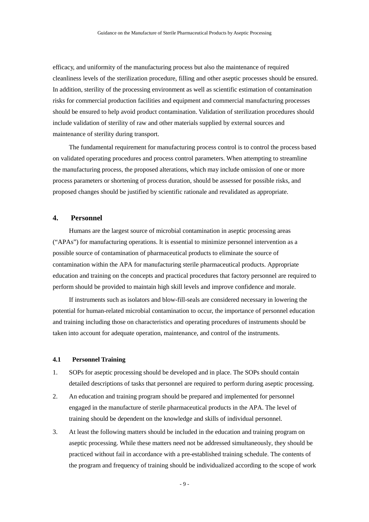efficacy, and uniformity of the manufacturing process but also the maintenance of required cleanliness levels of the sterilization procedure, filling and other aseptic processes should be ensured. In addition, sterility of the processing environment as well as scientific estimation of contamination risks for commercial production facilities and equipment and commercial manufacturing processes should be ensured to help avoid product contamination. Validation of sterilization procedures should include validation of sterility of raw and other materials supplied by external sources and maintenance of sterility during transport.

The fundamental requirement for manufacturing process control is to control the process based on validated operating procedures and process control parameters. When attempting to streamline the manufacturing process, the proposed alterations, which may include omission of one or more process parameters or shortening of process duration, should be assessed for possible risks, and proposed changes should be justified by scientific rationale and revalidated as appropriate.

## <span id="page-13-0"></span>**4. Personnel**

Humans are the largest source of microbial contamination in aseptic processing areas ("APAs") for manufacturing operations. It is essential to minimize personnel intervention as a possible source of contamination of pharmaceutical products to eliminate the source of contamination within the APA for manufacturing sterile pharmaceutical products. Appropriate education and training on the concepts and practical procedures that factory personnel are required to perform should be provided to maintain high skill levels and improve confidence and morale.

If instruments such as isolators and blow-fill-seals are considered necessary in lowering the potential for human-related microbial contamination to occur, the importance of personnel education and training including those on characteristics and operating procedures of instruments should be taken into account for adequate operation, maintenance, and control of the instruments.

# **4.1 Personnel Training**

- 1. SOPs for aseptic processing should be developed and in place. The SOPs should contain detailed descriptions of tasks that personnel are required to perform during aseptic processing.
- 2. An education and training program should be prepared and implemented for personnel engaged in the manufacture of sterile pharmaceutical products in the APA. The level of training should be dependent on the knowledge and skills of individual personnel.
- 3. At least the following matters should be included in the education and training program on aseptic processing. While these matters need not be addressed simultaneously, they should be practiced without fail in accordance with a pre-established training schedule. The contents of the program and frequency of training should be individualized according to the scope of work

- 9 -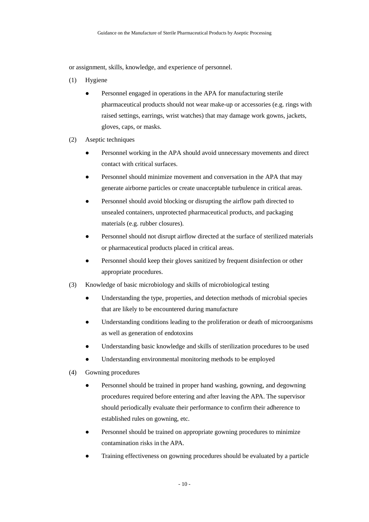or assignment, skills, knowledge, and experience of personnel.

- (1) Hygiene
	- Personnel engaged in operations in the APA for manufacturing sterile pharmaceutical products should not wear make-up or accessories (e.g. rings with raised settings, earrings, wrist watches) that may damage work gowns, jackets, gloves, caps, or masks.
- (2) Aseptic techniques
	- Personnel working in the APA should avoid unnecessary movements and direct contact with critical surfaces.
	- Personnel should minimize movement and conversation in the APA that may generate airborne particles or create unacceptable turbulence in critical areas.
	- Personnel should avoid blocking or disrupting the airflow path directed to unsealed containers, unprotected pharmaceutical products, and packaging materials (e.g. rubber closures).
	- Personnel should not disrupt airflow directed at the surface of sterilized materials or pharmaceutical products placed in critical areas.
	- Personnel should keep their gloves sanitized by frequent disinfection or other appropriate procedures.
- (3) Knowledge of basic microbiology and skills of microbiological testing
	- Understanding the type, properties, and detection methods of microbial species that are likely to be encountered during manufacture
	- Understanding conditions leading to the proliferation or death of microorganisms as well as generation of endotoxins
	- Understanding basic knowledge and skills of sterilization procedures to be used
	- Understanding environmental monitoring methods to be employed
- (4) Gowning procedures
	- Personnel should be trained in proper hand washing, gowning, and degowning procedures required before entering and after leaving the APA. The supervisor should periodically evaluate their performance to confirm their adherence to established rules on gowning, etc.
	- Personnel should be trained on appropriate gowning procedures to minimize contamination risks in the APA.
	- Training effectiveness on gowning procedures should be evaluated by a particle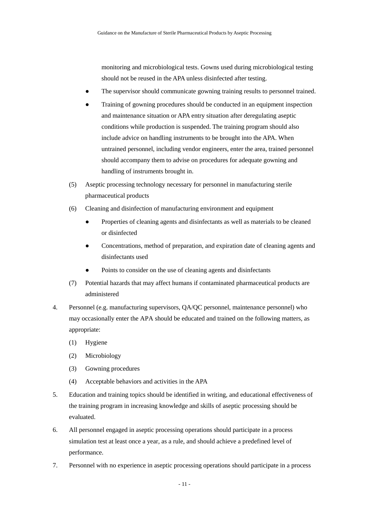monitoring and microbiological tests. Gowns used during microbiological testing should not be reused in the APA unless disinfected after testing.

- The supervisor should communicate gowning training results to personnel trained.
- Training of gowning procedures should be conducted in an equipment inspection and maintenance situation or APA entry situation after deregulating aseptic conditions while production is suspended. The training program should also include advice on handling instruments to be brought into the APA. When untrained personnel, including vendor engineers, enter the area, trained personnel should accompany them to advise on procedures for adequate gowning and handling of instruments brought in.
- (5) Aseptic processing technology necessary for personnel in manufacturing sterile pharmaceutical products
- (6) Cleaning and disinfection of manufacturing environment and equipment
	- Properties of cleaning agents and disinfectants as well as materials to be cleaned or disinfected
	- Concentrations, method of preparation, and expiration date of cleaning agents and disinfectants used
	- Points to consider on the use of cleaning agents and disinfectants
- (7) Potential hazards that may affect humans if contaminated pharmaceutical products are administered
- 4. Personnel (e.g. manufacturing supervisors, QA/QC personnel, maintenance personnel) who may occasionally enter the APA should be educated and trained on the following matters, as appropriate:
	- (1) Hygiene
	- (2) Microbiology
	- (3) Gowning procedures
	- (4) Acceptable behaviors and activities in the APA
- 5. Education and training topics should be identified in writing, and educational effectiveness of the training program in increasing knowledge and skills of aseptic processing should be evaluated.
- 6. All personnel engaged in aseptic processing operations should participate in a process simulation test at least once a year, as a rule, and should achieve a predefined level of performance.
- 7. Personnel with no experience in aseptic processing operations should participate in a process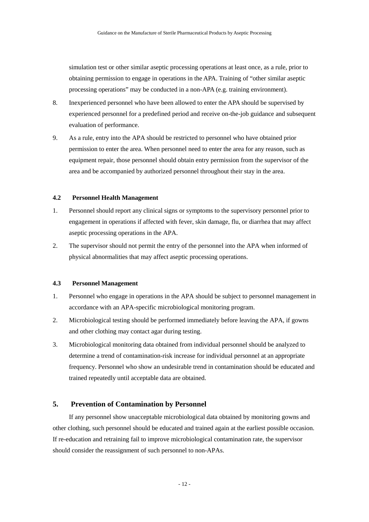simulation test or other similar aseptic processing operations at least once, as a rule, prior to obtaining permission to engage in operations in the APA. Training of "other similar aseptic processing operations" may be conducted in a non-APA (e.g. training environment).

- 8. Inexperienced personnel who have been allowed to enter the APA should be supervised by experienced personnel for a predefined period and receive on-the-job guidance and subsequent evaluation of performance.
- 9. As a rule, entry into the APA should be restricted to personnel who have obtained prior permission to enter the area. When personnel need to enter the area for any reason, such as equipment repair, those personnel should obtain entry permission from the supervisor of the area and be accompanied by authorized personnel throughout their stay in the area.

# **4.2 Personnel Health Management**

- 1. Personnel should report any clinical signs or symptoms to the supervisory personnel prior to engagement in operations if affected with fever, skin damage, flu, or diarrhea that may affect aseptic processing operations in the APA.
- 2. The supervisor should not permit the entry of the personnel into the APA when informed of physical abnormalities that may affect aseptic processing operations.

### **4.3 Personnel Management**

- 1. Personnel who engage in operations in the APA should be subject to personnel management in accordance with an APA-specific microbiological monitoring program.
- 2. Microbiological testing should be performed immediately before leaving the APA, if gowns and other clothing may contact agar during testing.
- 3. Microbiological monitoring data obtained from individual personnel should be analyzed to determine a trend of contamination-risk increase for individual personnel at an appropriate frequency. Personnel who show an undesirable trend in contamination should be educated and trained repeatedly until acceptable data are obtained.

# <span id="page-16-0"></span>**5. Prevention of Contamination by Personnel**

If any personnel show unacceptable microbiological data obtained by monitoring gowns and other clothing, such personnel should be educated and trained again at the earliest possible occasion. If re-education and retraining fail to improve microbiological contamination rate, the supervisor should consider the reassignment of such personnel to non-APAs.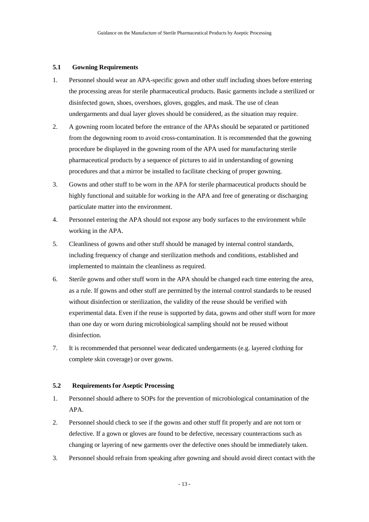## **5.1 Gowning Requirements**

- 1. Personnel should wear an APA-specific gown and other stuff including shoes before entering the processing areas for sterile pharmaceutical products. Basic garments include a sterilized or disinfected gown, shoes, overshoes, gloves, goggles, and mask. The use of clean undergarments and dual layer gloves should be considered, as the situation may require.
- 2. A gowning room located before the entrance of the APAs should be separated or partitioned from the degowning room to avoid cross-contamination. It is recommended that the gowning procedure be displayed in the gowning room of the APA used for manufacturing sterile pharmaceutical products by a sequence of pictures to aid in understanding of gowning procedures and that a mirror be installed to facilitate checking of proper gowning.
- 3. Gowns and other stuff to be worn in the APA for sterile pharmaceutical products should be highly functional and suitable for working in the APA and free of generating or discharging particulate matter into the environment.
- 4. Personnel entering the APA should not expose any body surfaces to the environment while working in the APA.
- 5. Cleanliness of gowns and other stuff should be managed by internal control standards, including frequency of change and sterilization methods and conditions, established and implemented to maintain the cleanliness as required.
- 6. Sterile gowns and other stuff worn in the APA should be changed each time entering the area, as a rule. If gowns and other stuff are permitted by the internal control standards to be reused without disinfection or sterilization, the validity of the reuse should be verified with experimental data. Even if the reuse is supported by data, gowns and other stuff worn for more than one day or worn during microbiological sampling should not be reused without disinfection.
- 7. It is recommended that personnel wear dedicated undergarments (e.g. layered clothing for complete skin coverage) or over gowns.

# **5.2 Requirements for Aseptic Processing**

- 1. Personnel should adhere to SOPs for the prevention of microbiological contamination of the APA.
- 2. Personnel should check to see if the gowns and other stuff fit properly and are not torn or defective. If a gown or gloves are found to be defective, necessary counteractions such as changing or layering of new garments over the defective ones should be immediately taken.
- 3. Personnel should refrain from speaking after gowning and should avoid direct contact with the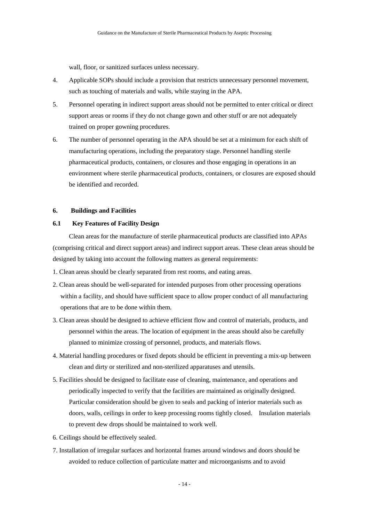wall, floor, or sanitized surfaces unless necessary.

- 4. Applicable SOPs should include a provision that restricts unnecessary personnel movement, such as touching of materials and walls, while staying in the APA.
- 5. Personnel operating in indirect support areas should not be permitted to enter critical or direct support areas or rooms if they do not change gown and other stuff or are not adequately trained on proper gowning procedures.
- 6. The number of personnel operating in the APA should be set at a minimum for each shift of manufacturing operations, including the preparatory stage. Personnel handling sterile pharmaceutical products, containers, or closures and those engaging in operations in an environment where sterile pharmaceutical products, containers, or closures are exposed should be identified and recorded.

### <span id="page-18-0"></span>**6. Buildings and Facilities**

### **6.1 Key Features of Facility Design**

Clean areas for the manufacture of sterile pharmaceutical products are classified into APAs (comprising critical and direct support areas) and indirect support areas. These clean areas should be designed by taking into account the following matters as general requirements:

- 1. Clean areas should be clearly separated from rest rooms, and eating areas.
- 2. Clean areas should be well-separated for intended purposes from other processing operations within a facility, and should have sufficient space to allow proper conduct of all manufacturing operations that are to be done within them.
- 3. Clean areas should be designed to achieve efficient flow and control of materials, products, and personnel within the areas. The location of equipment in the areas should also be carefully planned to minimize crossing of personnel, products, and materials flows.
- 4. Material handling procedures or fixed depots should be efficient in preventing a mix-up between clean and dirty or sterilized and non-sterilized apparatuses and utensils.
- 5. Facilities should be designed to facilitate ease of cleaning, maintenance, and operations and periodically inspected to verify that the facilities are maintained as originally designed. Particular consideration should be given to seals and packing of interior materials such as doors, walls, ceilings in order to keep processing rooms tightly closed. Insulation materials to prevent dew drops should be maintained to work well.
- 6. Ceilings should be effectively sealed.
- 7. Installation of irregular surfaces and horizontal frames around windows and doors should be avoided to reduce collection of particulate matter and microorganisms and to avoid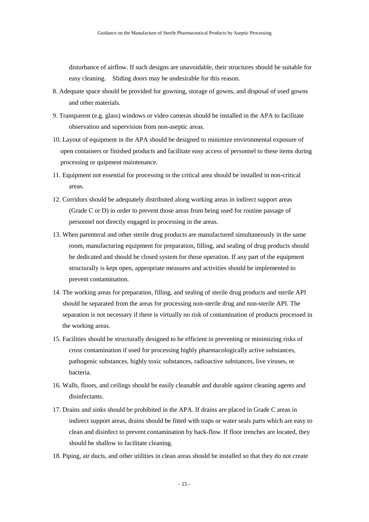disturbance of airflow. If such designs are unavoidable, their structures should be suitable for easy cleaning. Sliding doors may be undesirable for this reason.

- 8. Adequate space should be provided for gowning, storage of gowns, and disposal of used gowns and other materials.
- 9. Transparent (e.g. glass) windows or video cameras should be installed in the APA to facilitate observation and supervision from non-aseptic areas.
- 10. Layout of equipment in the APA should be designed to minimize environmental exposure of open containers or finished products and facilitate easy access of personnel to these items during processing or quipment maintenance.
- 11. Equipment not essential for processing in the critical area should be installed in non-critical areas.
- 12. Corridors should be adequately distributed along working areas in indirect support areas (Grade C or D) in order to prevent those areas from being used for routine passage of personnel not directly engaged in processing in the areas.
- 13. When parenteral and other sterile drug products are manufactured simultaneously in the same room, manufacturing equipment for preparation, filling, and sealing of drug products should be dedicated and should be closed system for those operation. If any part of the equipment structurally is kept open, appropriate measures and activities should be implemented to prevent contamination.
- 14. The working areas for preparation, filling, and sealing of sterile drug products and sterile API should be separated from the areas for processing non-sterile drug and non-sterile API. The separation is not necessary if there is virtually no risk of contamination of products processed in the working areas.
- 15. Facilities should be structurally designed to be efficient in preventing or minimizing risks of cross contamination if used for processing highly pharmacologically active substances, pathogenic substances, highly toxic substances, radioactive substances, live viruses, or bacteria.
- 16. Walls, floors, and ceilings should be easily cleanable and durable against cleaning agents and disinfectants.
- 17. Drains and sinks should be prohibited in the APA. If drains are placed in Grade C areas in indirect support areas, drains should be fitted with traps or water seals parts which are easy to clean and disinfect to prevent contamination by back-flow. If floor trenches are located, they should be shallow to facilitate cleaning.
- 18. Piping, air ducts, and other utilities in clean areas should be installed so that they do not create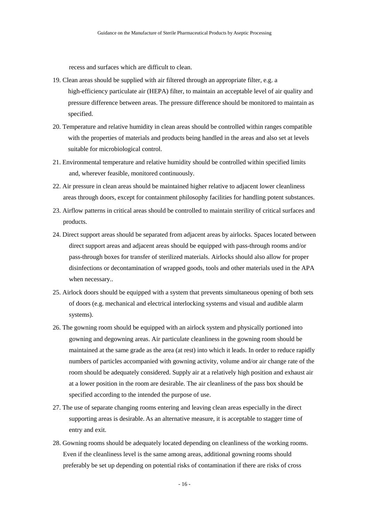recess and surfaces which are difficult to clean.

- 19. Clean areas should be supplied with air filtered through an appropriate filter, e.g. a high-efficiency particulate air (HEPA) filter, to maintain an acceptable level of air quality and pressure difference between areas. The pressure difference should be monitored to maintain as specified.
- 20. Temperature and relative humidity in clean areas should be controlled within ranges compatible with the properties of materials and products being handled in the areas and also set at levels suitable for microbiological control.
- 21. Environmental temperature and relative humidity should be controlled within specified limits and, wherever feasible, monitored continuously.
- 22. Air pressure in clean areas should be maintained higher relative to adjacent lower cleanliness areas through doors, except for containment philosophy facilities for handling potent substances.
- 23. Airflow patterns in critical areas should be controlled to maintain sterility of critical surfaces and products.
- 24. Direct support areas should be separated from adjacent areas by airlocks. Spaces located between direct support areas and adjacent areas should be equipped with pass-through rooms and/or pass-through boxes for transfer of sterilized materials. Airlocks should also allow for proper disinfections or decontamination of wrapped goods, tools and other materials used in the APA when necessary..
- 25. Airlock doors should be equipped with a system that prevents simultaneous opening of both sets of doors (e.g. mechanical and electrical interlocking systems and visual and audible alarm systems).
- 26. The gowning room should be equipped with an airlock system and physically portioned into gowning and degowning areas. Air particulate cleanliness in the gowning room should be maintained at the same grade as the area (at rest) into which it leads. In order to reduce rapidly numbers of particles accompanied with gowning activity, volume and/or air change rate of the room should be adequately considered. Supply air at a relatively high position and exhaust air at a lower position in the room are desirable. The air cleanliness of the pass box should be specified according to the intended the purpose of use.
- 27. The use of separate changing rooms entering and leaving clean areas especially in the direct supporting areas is desirable. As an alternative measure, it is acceptable to stagger time of entry and exit.
- 28. Gowning rooms should be adequately located depending on cleanliness of the working rooms. Even if the cleanliness level is the same among areas, additional gowning rooms should preferably be set up depending on potential risks of contamination if there are risks of cross

- 16 -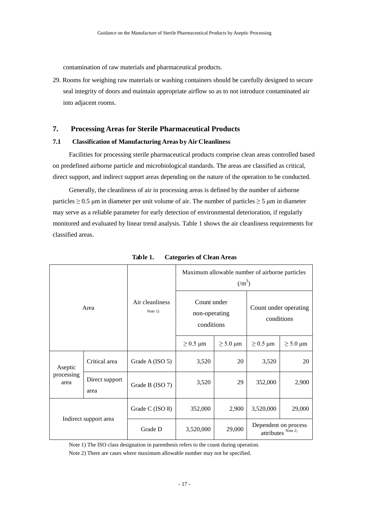contamination of raw materials and pharmaceutical products.

29. Rooms for weighing raw materials or washing containers should be carefully designed to secure seal integrity of doors and maintain appropriate airflow so as to not introduce contaminated air into adjacent rooms.

# <span id="page-21-0"></span>**7. Processing Areas for Sterile Pharmaceutical Products**

## **7.1 Classification of Manufacturing Areas by Air Cleanliness**

Facilities for processing sterile pharmaceutical products comprise clean areas controlled based on predefined airborne particle and microbiological standards. The areas are classified as critical, direct support, and indirect support areas depending on the nature of the operation to be conducted.

Generally, the cleanliness of air in processing areas is defined by the number of airborne particles  $\geq 0.5$  μm in diameter per unit volume of air. The number of particles  $\geq 5$  μm in diameter may serve as a reliable parameter for early detection of environmental deterioration, if regularly monitored and evaluated by linear trend analysis. Table 1 shows the air cleanliness requirements for classified areas.

| Area                  |                        | Air cleanliness<br>Note $1)$ | Maximum allowable number of airborne particles<br>$(\text{m}^3)$ |               |                                            |               |
|-----------------------|------------------------|------------------------------|------------------------------------------------------------------|---------------|--------------------------------------------|---------------|
|                       |                        |                              | Count under<br>non-operating<br>conditions                       |               | Count under operating<br>conditions        |               |
|                       |                        |                              | $\geq$ 0.5 µm                                                    | $\geq$ 5.0 µm | $\geq$ 0.5 µm                              | $\geq$ 5.0 µm |
| Aseptic               | Critical area          | Grade A (ISO 5)              | 3,520                                                            | 20            | 3,520                                      | 20            |
| processing<br>area    | Direct support<br>area | Grade B (ISO 7)              | 3,520                                                            | 29            | 352,000                                    | 2,900         |
| Indirect support area |                        | Grade C (ISO 8)              | 352,000                                                          | 2,900         | 3,520,000                                  | 29,000        |
|                       |                        | Grade D                      | 3,520,000                                                        | 29,000        | Dependent on process<br>attributes Note 2) |               |

**Table 1. Categories of Clean Areas** 

Note 1) The ISO class designation in parenthesis refers to the count during operation.

Note 2) There are cases where maximum allowable number may not be specified.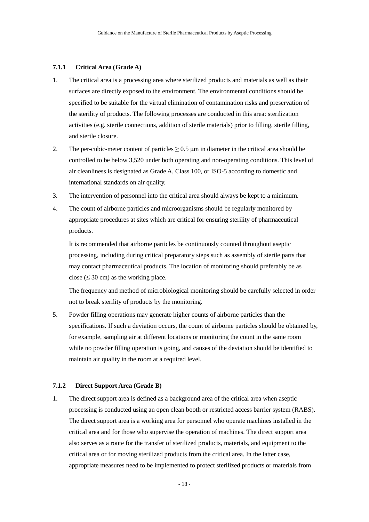#### **7.1.1 Critical Area (Grade A)**

- 1. The critical area is a processing area where sterilized products and materials as well as their surfaces are directly exposed to the environment. The environmental conditions should be specified to be suitable for the virtual elimination of contamination risks and preservation of the sterility of products. The following processes are conducted in this area: sterilization activities (e.g. sterile connections, addition of sterile materials) prior to filling, sterile filling, and sterile closure.
- 2. The per-cubic-meter content of particles  $\geq$  0.5 µm in diameter in the critical area should be controlled to be below 3,520 under both operating and non-operating conditions. This level of air cleanliness is designated as Grade A, Class 100, or ISO-5 according to domestic and international standards on air quality.
- 3. The intervention of personnel into the critical area should always be kept to a minimum.
- 4. The count of airborne particles and microorganisms should be regularly monitored by appropriate procedures at sites which are critical for ensuring sterility of pharmaceutical products.

It is recommended that airborne particles be continuously counted throughout aseptic processing, including during critical preparatory steps such as assembly of sterile parts that may contact pharmaceutical products. The location of monitoring should preferably be as close ( $\leq$  30 cm) as the working place.

The frequency and method of microbiological monitoring should be carefully selected in order not to break sterility of products by the monitoring.

5. Powder filling operations may generate higher counts of airborne particles than the specifications. If such a deviation occurs, the count of airborne particles should be obtained by, for example, sampling air at different locations or monitoring the count in the same room while no powder filling operation is going, and causes of the deviation should be identified to maintain air quality in the room at a required level.

# **7.1.2 Direct Support Area (Grade B)**

1. The direct support area is defined as a background area of the critical area when aseptic processing is conducted using an open clean booth or restricted access barrier system (RABS). The direct support area is a working area for personnel who operate machines installed in the critical area and for those who supervise the operation of machines. The direct support area also serves as a route for the transfer of sterilized products, materials, and equipment to the critical area or for moving sterilized products from the critical area. In the latter case, appropriate measures need to be implemented to protect sterilized products or materials from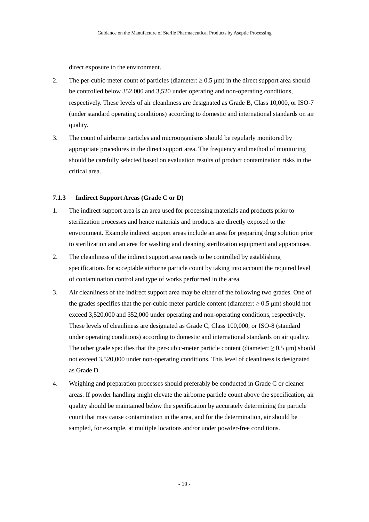direct exposure to the environment.

- 2. The per-cubic-meter count of particles (diameter:  $\geq 0.5$  µm) in the direct support area should be controlled below 352,000 and 3,520 under operating and non-operating conditions, respectively. These levels of air cleanliness are designated as Grade B, Class 10,000, or ISO-7 (under standard operating conditions) according to domestic and international standards on air quality.
- 3. The count of airborne particles and microorganisms should be regularly monitored by appropriate procedures in the direct support area. The frequency and method of monitoring should be carefully selected based on evaluation results of product contamination risks in the critical area.

# **7.1.3 Indirect Support Areas (Grade C or D)**

- 1. The indirect support area is an area used for processing materials and products prior to sterilization processes and hence materials and products are directly exposed to the environment. Example indirect support areas include an area for preparing drug solution prior to sterilization and an area for washing and cleaning sterilization equipment and apparatuses.
- 2. The cleanliness of the indirect support area needs to be controlled by establishing specifications for acceptable airborne particle count by taking into account the required level of contamination control and type of works performed in the area.
- 3. Air cleanliness of the indirect support area may be either of the following two grades. One of the grades specifies that the per-cubic-meter particle content (diameter:  $\geq 0.5$  µm) should not exceed 3,520,000 and 352,000 under operating and non-operating conditions, respectively. These levels of cleanliness are designated as Grade C, Class 100,000, or ISO-8 (standard under operating conditions) according to domestic and international standards on air quality. The other grade specifies that the per-cubic-meter particle content (diameter:  $\geq 0.5 \,\mu m$ ) should not exceed 3,520,000 under non-operating conditions. This level of cleanliness is designated as Grade D.
- 4. Weighing and preparation processes should preferably be conducted in Grade C or cleaner areas. If powder handling might elevate the airborne particle count above the specification, air quality should be maintained below the specification by accurately determining the particle count that may cause contamination in the area, and for the determination, air should be sampled, for example, at multiple locations and/or under powder-free conditions.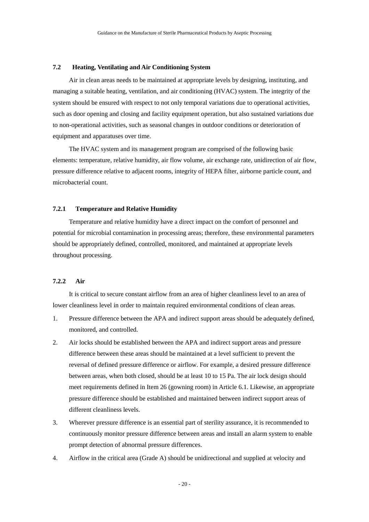# **7.2 Heating, Ventilating and Air Conditioning System**

Air in clean areas needs to be maintained at appropriate levels by designing, instituting, and managing a suitable heating, ventilation, and air conditioning (HVAC) system. The integrity of the system should be ensured with respect to not only temporal variations due to operational activities, such as door opening and closing and facility equipment operation, but also sustained variations due to non-operational activities, such as seasonal changes in outdoor conditions or deterioration of equipment and apparatuses over time.

The HVAC system and its management program are comprised of the following basic elements: temperature, relative humidity, air flow volume, air exchange rate, unidirection of air flow, pressure difference relative to adjacent rooms, integrity of HEPA filter, airborne particle count, and microbacterial count.

### **7.2.1 Temperature and Relative Humidity**

Temperature and relative humidity have a direct impact on the comfort of personnel and potential for microbial contamination in processing areas; therefore, these environmental parameters should be appropriately defined, controlled, monitored, and maintained at appropriate levels throughout processing.

# **7.2.2 Air**

It is critical to secure constant airflow from an area of higher cleanliness level to an area of lower cleanliness level in order to maintain required environmental conditions of clean areas.

- 1. Pressure difference between the APA and indirect support areas should be adequately defined, monitored, and controlled.
- 2. Air locks should be established between the APA and indirect support areas and pressure difference between these areas should be maintained at a level sufficient to prevent the reversal of defined pressure difference or airflow. For example, a desired pressure difference between areas, when both closed, should be at least 10 to 15 Pa. The air lock design should meet requirements defined in Item 26 (gowning room) in Article 6.1. Likewise, an appropriate pressure difference should be established and maintained between indirect support areas of different cleanliness levels.
- 3. Wherever pressure difference is an essential part of sterility assurance, it is recommended to continuously monitor pressure difference between areas and install an alarm system to enable prompt detection of abnormal pressure differences.
- 4. Airflow in the critical area (Grade A) should be unidirectional and supplied at velocity and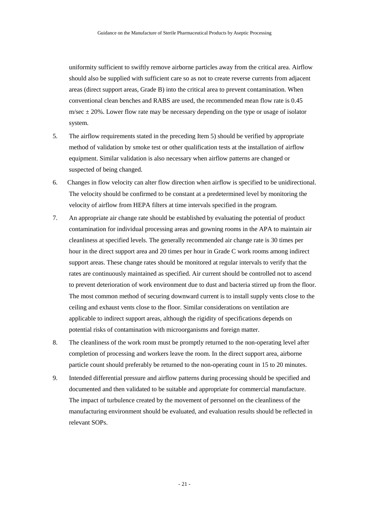uniformity sufficient to swiftly remove airborne particles away from the critical area. Airflow should also be supplied with sufficient care so as not to create reverse currents from adjacent areas (direct support areas, Grade B) into the critical area to prevent contamination. When conventional clean benches and RABS are used, the recommended mean flow rate is 0.45 m/sec  $\pm$  20%. Lower flow rate may be necessary depending on the type or usage of isolator system.

- 5. The airflow requirements stated in the preceding Item 5) should be verified by appropriate method of validation by smoke test or other qualification tests at the installation of airflow equipment. Similar validation is also necessary when airflow patterns are changed or suspected of being changed.
- 6. Changes in flow velocity can alter flow direction when airflow is specified to be unidirectional. The velocity should be confirmed to be constant at a predetermined level by monitoring the velocity of airflow from HEPA filters at time intervals specified in the program.
- 7. An appropriate air change rate should be established by evaluating the potential of product contamination for individual processing areas and gowning rooms in the APA to maintain air cleanliness at specified levels. The generally recommended air change rate is 30 times per hour in the direct support area and 20 times per hour in Grade C work rooms among indirect support areas. These change rates should be monitored at regular intervals to verify that the rates are continuously maintained as specified. Air current should be controlled not to ascend to prevent deterioration of work environment due to dust and bacteria stirred up from the floor. The most common method of securing downward current is to install supply vents close to the ceiling and exhaust vents close to the floor. Similar considerations on ventilation are applicable to indirect support areas, although the rigidity of specifications depends on potential risks of contamination with microorganisms and foreign matter.
- 8. The cleanliness of the work room must be promptly returned to the non-operating level after completion of processing and workers leave the room. In the direct support area, airborne particle count should preferably be returned to the non-operating count in 15 to 20 minutes.
- 9. Intended differential pressure and airflow patterns during processing should be specified and documented and then validated to be suitable and appropriate for commercial manufacture. The impact of turbulence created by the movement of personnel on the cleanliness of the manufacturing environment should be evaluated, and evaluation results should be reflected in relevant SOPs.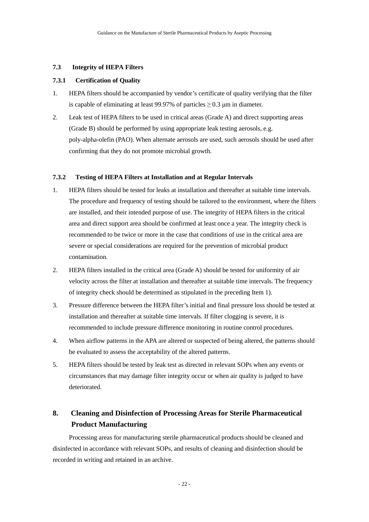# **7.3 Integrity of HEPA Filters**

# **7.3.1 Certification of Quality**

- 1. HEPA filters should be accompanied by vendor's certificate of quality verifying that the filter is capable of eliminating at least 99.97% of particles  $\geq$  0.3 µm in diameter.
- 2. Leak test of HEPA filters to be used in critical areas (Grade A) and direct supporting areas (Grade B) should be performed by using appropriate leak testing aerosols, e.g. poly-alpha-olefin (PAO). When alternate aerosols are used, such aerosols should be used after confirming that they do not promote microbial growth.

# **7.3.2 Testing of HEPA Filters at Installation and at Regular Intervals**

- 1. HEPA filters should be tested for leaks at installation and thereafter at suitable time intervals. The procedure and frequency of testing should be tailored to the environment, where the filters are installed, and their intended purpose of use. The integrity of HEPA filters in the critical area and direct support area should be confirmed at least once a year. The integrity check is recommended to be twice or more in the case that conditions of use in the critical area are severe or special considerations are required for the prevention of microbial product contamination.
- 2. HEPA filters installed in the critical area (Grade A) should be tested for uniformity of air velocity across the filter at installation and thereafter at suitable time intervals. The frequency of integrity check should be determined as stipulated in the preceding Item 1).
- 3. Pressure difference between the HEPA filter's initial and final pressure loss should be tested at installation and thereafter at suitable time intervals. If filter clogging is severe, it is recommended to include pressure difference monitoring in routine control procedures.
- 4. When airflow patterns in the APA are altered or suspected of being altered, the patterns should be evaluated to assess the acceptability of the altered patterns.
- 5. HEPA filters should be tested by leak test as directed in relevant SOPs when any events or circumstances that may damage filter integrity occur or when air quality is judged to have deteriorated.

# <span id="page-26-0"></span>**8. Cleaning and Disinfection of Processing Areas for Sterile Pharmaceutical Product Manufacturing**

Processing areas for manufacturing sterile pharmaceutical products should be cleaned and disinfected in accordance with relevant SOPs, and results of cleaning and disinfection should be recorded in writing and retained in an archive.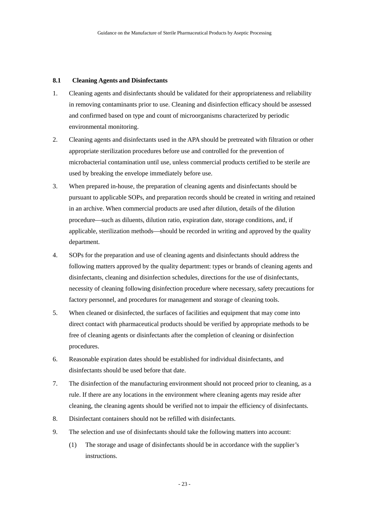# **8.1 Cleaning Agents and Disinfectants**

- 1. Cleaning agents and disinfectants should be validated for their appropriateness and reliability in removing contaminants prior to use. Cleaning and disinfection efficacy should be assessed and confirmed based on type and count of microorganisms characterized by periodic environmental monitoring.
- 2. Cleaning agents and disinfectants used in the APA should be pretreated with filtration or other appropriate sterilization procedures before use and controlled for the prevention of microbacterial contamination until use, unless commercial products certified to be sterile are used by breaking the envelope immediately before use.
- 3. When prepared in-house, the preparation of cleaning agents and disinfectants should be pursuant to applicable SOPs, and preparation records should be created in writing and retained in an archive. When commercial products are used after dilution, details of the dilution procedure—such as diluents, dilution ratio, expiration date, storage conditions, and, if applicable, sterilization methods—should be recorded in writing and approved by the quality department.
- 4. SOPs for the preparation and use of cleaning agents and disinfectants should address the following matters approved by the quality department: types or brands of cleaning agents and disinfectants, cleaning and disinfection schedules, directions for the use of disinfectants, necessity of cleaning following disinfection procedure where necessary, safety precautions for factory personnel, and procedures for management and storage of cleaning tools.
- 5. When cleaned or disinfected, the surfaces of facilities and equipment that may come into direct contact with pharmaceutical products should be verified by appropriate methods to be free of cleaning agents or disinfectants after the completion of cleaning or disinfection procedures.
- 6. Reasonable expiration dates should be established for individual disinfectants, and disinfectants should be used before that date.
- 7. The disinfection of the manufacturing environment should not proceed prior to cleaning, as a rule. If there are any locations in the environment where cleaning agents may reside after cleaning, the cleaning agents should be verified not to impair the efficiency of disinfectants.
- 8. Disinfectant containers should not be refilled with disinfectants.
- 9. The selection and use of disinfectants should take the following matters into account:
	- (1) The storage and usage of disinfectants should be in accordance with the supplier's instructions.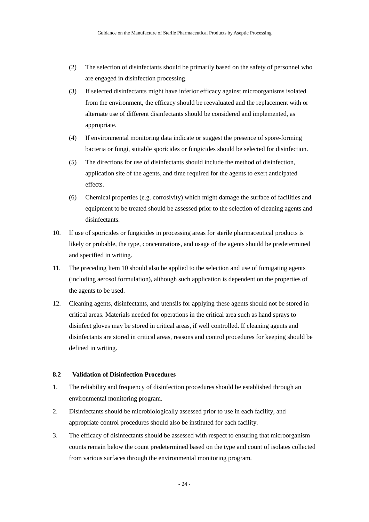- (2) The selection of disinfectants should be primarily based on the safety of personnel who are engaged in disinfection processing.
- (3) If selected disinfectants might have inferior efficacy against microorganisms isolated from the environment, the efficacy should be reevaluated and the replacement with or alternate use of different disinfectants should be considered and implemented, as appropriate.
- (4) If environmental monitoring data indicate or suggest the presence of spore-forming bacteria or fungi, suitable sporicides or fungicides should be selected for disinfection.
- (5) The directions for use of disinfectants should include the method of disinfection, application site of the agents, and time required for the agents to exert anticipated effects.
- (6) Chemical properties (e.g. corrosivity) which might damage the surface of facilities and equipment to be treated should be assessed prior to the selection of cleaning agents and disinfectants.
- 10. If use of sporicides or fungicides in processing areas for sterile pharmaceutical products is likely or probable, the type, concentrations, and usage of the agents should be predetermined and specified in writing.
- 11. The preceding Item 10 should also be applied to the selection and use of fumigating agents (including aerosol formulation), although such application is dependent on the properties of the agents to be used.
- 12. Cleaning agents, disinfectants, and utensils for applying these agents should not be stored in critical areas. Materials needed for operations in the critical area such as hand sprays to disinfect gloves may be stored in critical areas, if well controlled. If cleaning agents and disinfectants are stored in critical areas, reasons and control procedures for keeping should be defined in writing.

#### **8.2 Validation of Disinfection Procedures**

- 1. The reliability and frequency of disinfection procedures should be established through an environmental monitoring program.
- 2. Disinfectants should be microbiologically assessed prior to use in each facility, and appropriate control procedures should also be instituted for each facility.
- 3. The efficacy of disinfectants should be assessed with respect to ensuring that microorganism counts remain below the count predetermined based on the type and count of isolates collected from various surfaces through the environmental monitoring program.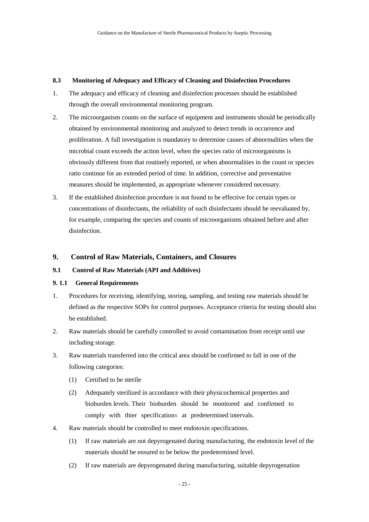# **8.3 Monitoring of Adequacy and Efficacy of Cleaning and Disinfection Procedures**

- 1. The adequacy and efficacy of cleaning and disinfection processes should be established through the overall environmental monitoring program.
- 2. The microorganism counts on the surface of equipment and instruments should be periodically obtained by environmental monitoring and analyzed to detect trends in occurrence and proliferation. A full investigation is mandatory to determine causes of abnormalities when the microbial count exceeds the action level, when the species ratio of microorganisms is obviously different from that routinely reported, or when abnormalities in the count or species ratio continue for an extended period of time. In addition, corrective and preventative measures should be implemented, as appropriate whenever considered necessary.
- 3. If the established disinfection procedure is not found to be effective for certain types or concentrations of disinfectants, the reliability of such disinfectants should be reevaluated by, for example, comparing the species and counts of microorganisms obtained before and after disinfection.

# <span id="page-29-0"></span>**9. Control of Raw Materials, Containers, and Closures**

# **9.1 Control of Raw Materials (API and Additives)**

### **9. 1.1 General Requirements**

- 1. Procedures for receiving, identifying, storing, sampling, and testing raw materials should be defined as the respective SOPs for control purposes. Acceptance criteria for testing should also be established.
- 2. Raw materials should be carefully controlled to avoid contamination from receipt until use including storage.
- 3. Raw materials transferred into the critical area should be confirmed to fall in one of the following categories:
	- (1) Certified to be sterile
	- (2) Adequately sterilized in accordance with their physicochemical properties and bioburden levels. Their bioburden should be monitored and confirmed to comply with thier specifications at predetermined intervals.
- 4. Raw materials should be controlled to meet endotoxin specifications.
	- (1) If raw materials are not depyrogenated during manufacturing, the endotoxin level of the materials should be ensured to be below the predetermined level.
	- (2) If raw materials are depyrogenated during manufacturing, suitable depyrogenation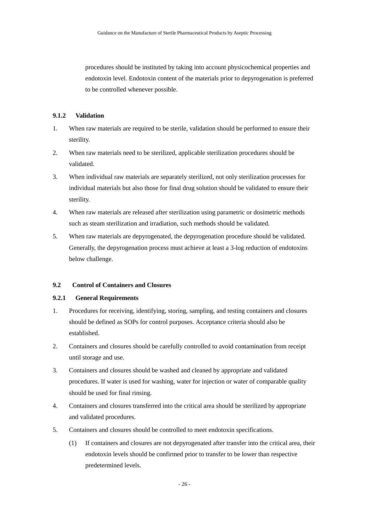procedures should be instituted by taking into account physicochemical properties and endotoxin level. Endotoxin content of the materials prior to depyrogenation is preferred to be controlled whenever possible.

# **9.1.2 Validation**

- 1. When raw materials are required to be sterile, validation should be performed to ensure their sterility.
- 2. When raw materials need to be sterilized, applicable sterilization procedures should be validated.
- 3. When individual raw materials are separately sterilized, not only sterilization processes for individual materials but also those for final drug solution should be validated to ensure their sterility.
- 4. When raw materials are released after sterilization using parametric or dosimetric methods such as steam sterilization and irradiation, such methods should be validated.
- 5. When raw materials are depyrogenated, the depyrogenation procedure should be validated. Generally, the depyrogenation process must achieve at least a 3-log reduction of endotoxins below challenge.

# **9.2 Control of Containers and Closures**

# **9.2.1 General Requirements**

- 1. Procedures for receiving, identifying, storing, sampling, and testing containers and closures should be defined as SOPs for control purposes. Acceptance criteria should also be established.
- 2. Containers and closures should be carefully controlled to avoid contamination from receipt until storage and use.
- 3. Containers and closures should be washed and cleaned by appropriate and validated procedures. If water is used for washing, water for injection or water of comparable quality should be used for final rinsing.
- 4. Containers and closures transferred into the critical area should be sterilized by appropriate and validated procedures.
- 5. Containers and closures should be controlled to meet endotoxin specifications.
	- (1) If containers and closures are not depyrogenated after transfer into the critical area, their endotoxin levels should be confirmed prior to transfer to be lower than respective predetermined levels.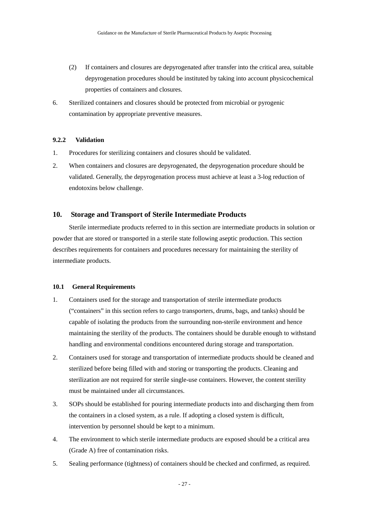- (2) If containers and closures are depyrogenated after transfer into the critical area, suitable depyrogenation procedures should be instituted by taking into account physicochemical properties of containers and closures.
- 6. Sterilized containers and closures should be protected from microbial or pyrogenic contamination by appropriate preventive measures.

# **9.2.2 Validation**

- 1. Procedures for sterilizing containers and closures should be validated.
- 2. When containers and closures are depyrogenated, the depyrogenation procedure should be validated. Generally, the depyrogenation process must achieve at least a 3-log reduction of endotoxins below challenge.

# <span id="page-31-0"></span>**10. Storage and Transport of Sterile Intermediate Products**

Sterile intermediate products referred to in this section are intermediate products in solution or powder that are stored or transported in a sterile state following aseptic production. This section describes requirements for containers and procedures necessary for maintaining the sterility of intermediate products.

#### **10.1 General Requirements**

- 1. Containers used for the storage and transportation of sterile intermediate products ("containers" in this section refers to cargo transporters, drums, bags, and tanks) should be capable of isolating the products from the surrounding non-sterile environment and hence maintaining the sterility of the products. The containers should be durable enough to withstand handling and environmental conditions encountered during storage and transportation.
- 2. Containers used for storage and transportation of intermediate products should be cleaned and sterilized before being filled with and storing or transporting the products. Cleaning and sterilization are not required for sterile single-use containers. However, the content sterility must be maintained under all circumstances.
- 3. SOPs should be established for pouring intermediate products into and discharging them from the containers in a closed system, as a rule. If adopting a closed system is difficult, intervention by personnel should be kept to a minimum.
- 4. The environment to which sterile intermediate products are exposed should be a critical area (Grade A) free of contamination risks.
- 5. Sealing performance (tightness) of containers should be checked and confirmed, as required.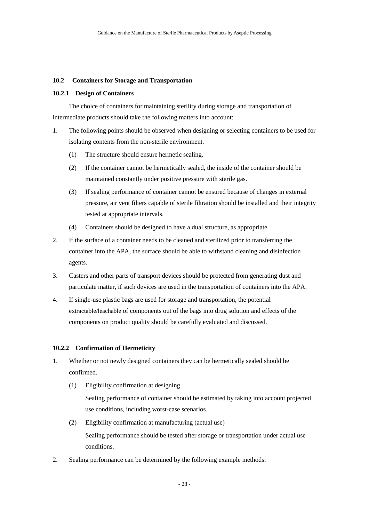### **10.2 Containers for Storage and Transportation**

### **10.2.1 Design of Containers**

The choice of containers for maintaining sterility during storage and transportation of intermediate products should take the following matters into account:

- 1. The following points should be observed when designing or selecting containers to be used for isolating contents from the non-sterile environment.
	- (1) The structure should ensure hermetic sealing.
	- (2) If the container cannot be hermetically sealed, the inside of the container should be maintained constantly under positive pressure with sterile gas.
	- (3) If sealing performance of container cannot be ensured because of changes in external pressure, air vent filters capable of sterile filtration should be installed and their integrity tested at appropriate intervals.
	- (4) Containers should be designed to have a dual structure, as appropriate.
- 2. If the surface of a container needs to be cleaned and sterilized prior to transferring the container into the APA, the surface should be able to withstand cleaning and disinfection agents.
- 3. Casters and other parts of transport devices should be protected from generating dust and particulate matter, if such devices are used in the transportation of containers into the APA.
- 4. If single-use plastic bags are used for storage and transportation, the potential extractable/leachable of components out of the bags into drug solution and effects of the components on product quality should be carefully evaluated and discussed.

### **10.2.2 Confirmation of Hermeticity**

- 1. Whether or not newly designed containers they can be hermetically sealed should be confirmed.
	- (1) Eligibility confirmation at designing Sealing performance of container should be estimated by taking into account projected
		- use conditions, including worst-case scenarios.
	- (2) Eligibility confirmation at manufacturing (actual use) Sealing performance should be tested after storage or transportation under actual use conditions.
- 2. Sealing performance can be determined by the following example methods: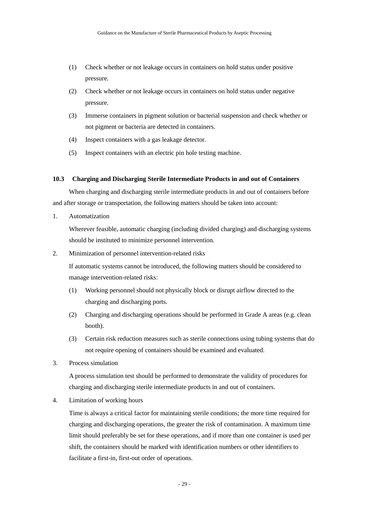- (1) Check whether or not leakage occurs in containers on hold status under positive pressure.
- (2) Check whether or not leakage occurs in containers on hold status under negative pressure.
- (3) Immerse containers in pigment solution or bacterial suspension and check whether or not pigment or bacteria are detected in containers.
- (4) Inspect containers with a gas leakage detector.
- (5) Inspect containers with an electric pin hole testing machine.

### **10.3 Charging and Discharging Sterile Intermediate Products in and out of Containers**

When charging and discharging sterile intermediate products in and out of containers before and after storage or transportation, the following matters should be taken into account:

1. Automatization

Wherever feasible, automatic charging (including divided charging) and discharging systems should be instituted to minimize personnel intervention.

2. Minimization of personnel intervention-related risks

If automatic systems cannot be introduced, the following matters should be considered to manage intervention-related risks:

- (1) Working personnel should not physically block or disrupt airflow directed to the charging and discharging ports.
- (2) Charging and discharging operations should be performed in Grade A areas (e.g. clean booth).
- (3) Certain risk reduction measures such as sterile connections using tubing systems that do not require opening of containers should be examined and evaluated.
- 3. Process simulation

A process simulation test should be performed to demonstrate the validity of procedures for charging and discharging sterile intermediate products in and out of containers.

4. Limitation of working hours

Time is always a critical factor for maintaining sterile conditions; the more time required for charging and discharging operations, the greater the risk of contamination. A maximum time limit should preferably be set for these operations, and if more than one container is used per shift, the containers should be marked with identification numbers or other identifiers to facilitate a first-in, first-out order of operations.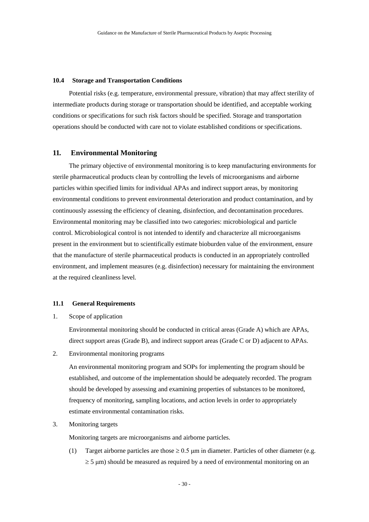#### **10.4 Storage and Transportation Conditions**

Potential risks (e.g. temperature, environmental pressure, vibration) that may affect sterility of intermediate products during storage or transportation should be identified, and acceptable working conditions or specifications for such risk factors should be specified. Storage and transportation operations should be conducted with care not to violate established conditions or specifications.

# <span id="page-34-0"></span>**11. Environmental Monitoring**

The primary objective of environmental monitoring is to keep manufacturing environments for sterile pharmaceutical products clean by controlling the levels of microorganisms and airborne particles within specified limits for individual APAs and indirect support areas, by monitoring environmental conditions to prevent environmental deterioration and product contamination, and by continuously assessing the efficiency of cleaning, disinfection, and decontamination procedures. Environmental monitoring may be classified into two categories: microbiological and particle control. Microbiological control is not intended to identify and characterize all microorganisms present in the environment but to scientifically estimate bioburden value of the environment, ensure that the manufacture of sterile pharmaceutical products is conducted in an appropriately controlled environment, and implement measures (e.g. disinfection) necessary for maintaining the environment at the required cleanliness level.

# **11.1 General Requirements**

1. Scope of application

Environmental monitoring should be conducted in critical areas (Grade A) which are APAs, direct support areas (Grade B), and indirect support areas (Grade C or D) adjacent to APAs.

2. Environmental monitoring programs

An environmental monitoring program and SOPs for implementing the program should be established, and outcome of the implementation should be adequately recorded. The program should be developed by assessing and examining properties of substances to be monitored, frequency of monitoring, sampling locations, and action levels in order to appropriately estimate environmental contamination risks.

3. Monitoring targets

Monitoring targets are microorganisms and airborne particles.

(1) Target airborne particles are those  $\geq 0.5$  µm in diameter. Particles of other diameter (e.g.  $\geq$  5  $\mu$ m) should be measured as required by a need of environmental monitoring on an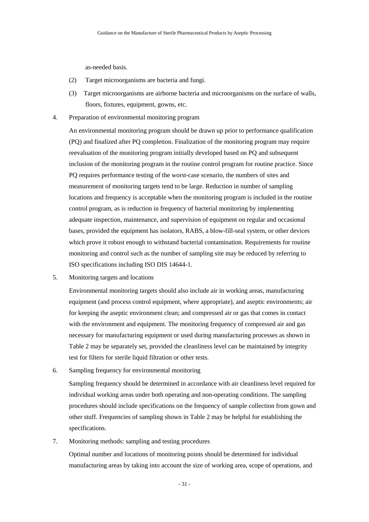as-needed basis.

- (2) Target microorganisms are bacteria and fungi.
- (3) Target microorganisms are airborne bacteria and microorganisms on the surface of walls, floors, fixtures, equipment, gowns, etc.
- 4. Preparation of environmental monitoring program

An environmental monitoring program should be drawn up prior to performance qualification (PQ) and finalized after PQ completion. Finalization of the monitoring program may require reevaluation of the monitoring program initially developed based on PQ and subsequent inclusion of the monitoring program in the routine control program for routine practice. Since PQ requires performance testing of the worst-case scenario, the numbers of sites and measurement of monitoring targets tend to be large. Reduction in number of sampling locations and frequency is acceptable when the monitoring program is included in the routine control program, as is reduction in frequency of bacterial monitoring by implementing adequate inspection, maintenance, and supervision of equipment on regular and occasional bases, provided the equipment has isolators, RABS, a blow-fill-seal system, or other devices which prove it robust enough to withstand bacterial contamination. Requirements for routine monitoring and control such as the number of sampling site may be reduced by referring to ISO specifications including ISO DIS 14644-1.

5. Monitoring targets and locations

Environmental monitoring targets should also include air in working areas, manufacturing equipment (and process control equipment, where appropriate), and aseptic environments; air for keeping the aseptic environment clean; and compressed air or gas that comes in contact with the environment and equipment. The monitoring frequency of compressed air and gas necessary for manufacturing equipment or used during manufacturing processes as shown in Table 2 may be separately set, provided the cleanliness level can be maintained by integrity test for filters for sterile liquid filtration or other tests.

6. Sampling frequency for environmental monitoring

Sampling frequency should be determined in accordance with air cleanliness level required for individual working areas under both operating and non-operating conditions. The sampling procedures should include specifications on the frequency of sample collection from gown and other stuff. Frequencies of sampling shown in Table 2 may be helpful for establishing the specifications.

7. Monitoring methods: sampling and testing procedures

Optimal number and locations of monitoring points should be determined for individual manufacturing areas by taking into account the size of working area, scope of operations, and

- 31 -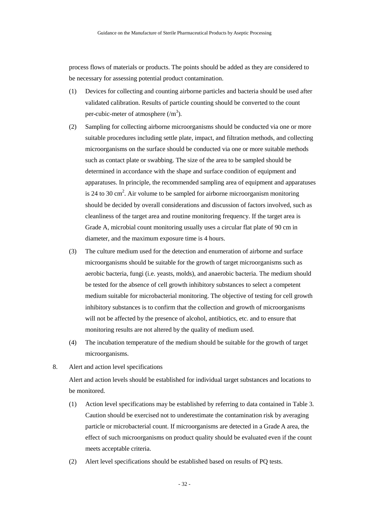process flows of materials or products. The points should be added as they are considered to be necessary for assessing potential product contamination.

- (1) Devices for collecting and counting airborne particles and bacteria should be used after validated calibration. Results of particle counting should be converted to the count per-cubic-meter of atmosphere  $(m<sup>3</sup>)$ .
- (2) Sampling for collecting airborne microorganisms should be conducted via one or more suitable procedures including settle plate, impact, and filtration methods, and collecting microorganisms on the surface should be conducted via one or more suitable methods such as contact plate or swabbing. The size of the area to be sampled should be determined in accordance with the shape and surface condition of equipment and apparatuses. In principle, the recommended sampling area of equipment and apparatuses is 24 to 30 cm<sup>2</sup>. Air volume to be sampled for airborne microorganism monitoring should be decided by overall considerations and discussion of factors involved, such as cleanliness of the target area and routine monitoring frequency. If the target area is Grade A, microbial count monitoring usually uses a circular flat plate of 90 cm in diameter, and the maximum exposure time is 4 hours.
- (3) The culture medium used for the detection and enumeration of airborne and surface microorganisms should be suitable for the growth of target microorganisms such as aerobic bacteria, fungi (i.e. yeasts, molds), and anaerobic bacteria. The medium should be tested for the absence of cell growth inhibitory substances to select a competent medium suitable for microbacterial monitoring. The objective of testing for cell growth inhibitory substances is to confirm that the collection and growth of microorganisms will not be affected by the presence of alcohol, antibiotics, etc. and to ensure that monitoring results are not altered by the quality of medium used.
- (4) The incubation temperature of the medium should be suitable for the growth of target microorganisms.
- 8. Alert and action level specifications

Alert and action levels should be established for individual target substances and locations to be monitored.

- (1) Action level specifications may be established by referring to data contained in Table 3. Caution should be exercised not to underestimate the contamination risk by averaging particle or microbacterial count. If microorganisms are detected in a Grade A area, the effect of such microorganisms on product quality should be evaluated even if the count meets acceptable criteria.
- (2) Alert level specifications should be established based on results of PQ tests.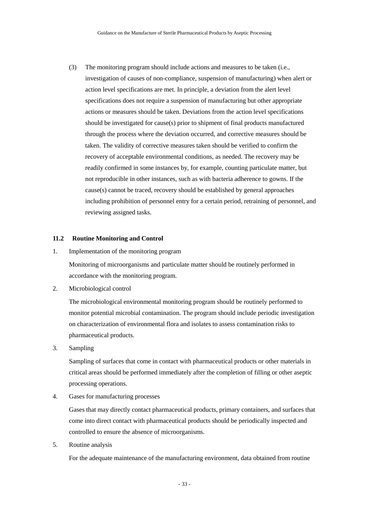(3) The monitoring program should include actions and measures to be taken (i.e., investigation of causes of non-compliance, suspension of manufacturing) when alert or action level specifications are met. In principle, a deviation from the alert level specifications does not require a suspension of manufacturing but other appropriate actions or measures should be taken. Deviations from the action level specifications should be investigated for cause(s) prior to shipment of final products manufactured through the process where the deviation occurred, and corrective measures should be taken. The validity of corrective measures taken should be verified to confirm the recovery of acceptable environmental conditions, as needed. The recovery may be readily confirmed in some instances by, for example, counting particulate matter, but not reproducible in other instances, such as with bacteria adherence to gowns. If the cause(s) cannot be traced, recovery should be established by general approaches including prohibition of personnel entry for a certain period, retraining of personnel, and reviewing assigned tasks.

### **11.2 Routine Monitoring and Control**

1. Implementation of the monitoring program

Monitoring of microorganisms and particulate matter should be routinely performed in accordance with the monitoring program.

2. Microbiological control

The microbiological environmental monitoring program should be routinely performed to monitor potential microbial contamination. The program should include periodic investigation on characterization of environmental flora and isolates to assess contamination risks to pharmaceutical products.

3. Sampling

Sampling of surfaces that come in contact with pharmaceutical products or other materials in critical areas should be performed immediately after the completion of filling or other aseptic processing operations.

4. Gases for manufacturing processes

Gases that may directly contact pharmaceutical products, primary containers, and surfaces that come into direct contact with pharmaceutical products should be periodically inspected and controlled to ensure the absence of microorganisms.

5. Routine analysis

For the adequate maintenance of the manufacturing environment, data obtained from routine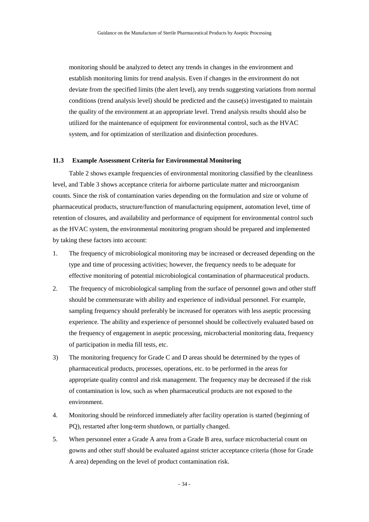monitoring should be analyzed to detect any trends in changes in the environment and establish monitoring limits for trend analysis. Even if changes in the environment do not deviate from the specified limits (the alert level), any trends suggesting variations from normal conditions (trend analysis level) should be predicted and the cause(s) investigated to maintain the quality of the environment at an appropriate level. Trend analysis results should also be utilized for the maintenance of equipment for environmental control, such as the HVAC system, and for optimization of sterilization and disinfection procedures.

### **11.3 Example Assessment Criteria for Environmental Monitoring**

Table 2 shows example frequencies of environmental monitoring classified by the cleanliness level, and Table 3 shows acceptance criteria for airborne particulate matter and microorganism counts. Since the risk of contamination varies depending on the formulation and size or volume of pharmaceutical products, structure/function of manufacturing equipment, automation level, time of retention of closures, and availability and performance of equipment for environmental control such as the HVAC system, the environmental monitoring program should be prepared and implemented by taking these factors into account:

- 1. The frequency of microbiological monitoring may be increased or decreased depending on the type and time of processing activities; however, the frequency needs to be adequate for effective monitoring of potential microbiological contamination of pharmaceutical products.
- 2. The frequency of microbiological sampling from the surface of personnel gown and other stuff should be commensurate with ability and experience of individual personnel. For example, sampling frequency should preferably be increased for operators with less aseptic processing experience. The ability and experience of personnel should be collectively evaluated based on the frequency of engagement in aseptic processing, microbacterial monitoring data, frequency of participation in media fill tests, etc.
- 3) The monitoring frequency for Grade C and D areas should be determined by the types of pharmaceutical products, processes, operations, etc. to be performed in the areas for appropriate quality control and risk management. The frequency may be decreased if the risk of contamination is low, such as when pharmaceutical products are not exposed to the environment.
- 4. Monitoring should be reinforced immediately after facility operation is started (beginning of PQ), restarted after long-term shutdown, or partially changed.
- 5. When personnel enter a Grade A area from a Grade B area, surface microbacterial count on gowns and other stuff should be evaluated against stricter acceptance criteria (those for Grade A area) depending on the level of product contamination risk.

- 34 -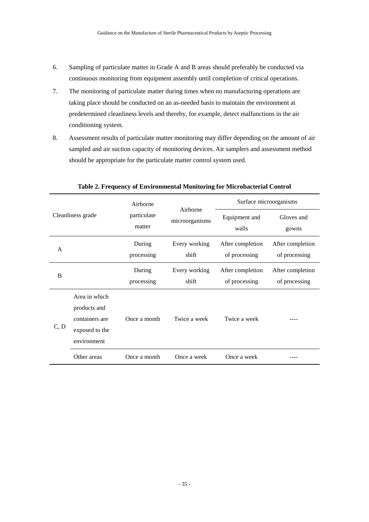- 6. Sampling of particulate matter in Grade A and B areas should preferably be conducted via continuous monitoring from equipment assembly until completion of critical operations.
- 7. The monitoring of particulate matter during times when no manufacturing operations are taking place should be conducted on an as-needed basis to maintain the environment at predetermined cleanliness levels and thereby, for example, detect malfunctions in the air conditioning system.
- 8. Assessment results of particulate matter monitoring may differ depending on the amount of air sampled and air suction capacity of monitoring devices. Air samplers and assessment method should be appropriate for the particulate matter control system used.

| Cleanliness grade |                                                                                  | Airborne<br>particulate<br>matter | Airborne<br>microorganisms | Surface microorganisms            |                                   |
|-------------------|----------------------------------------------------------------------------------|-----------------------------------|----------------------------|-----------------------------------|-----------------------------------|
|                   |                                                                                  |                                   |                            | Equipment and<br>walls            | Gloves and<br>gowns               |
| A                 |                                                                                  | During<br>processing              | Every working<br>shift     | After completion<br>of processing | After completion<br>of processing |
| B                 |                                                                                  | During<br>processing              | Every working<br>shift     | After completion<br>of processing | After completion<br>of processing |
| C, D              | Area in which<br>products and<br>containers are<br>exposed to the<br>environment | Once a month                      | Twice a week               | Twice a week                      |                                   |
|                   | Other areas                                                                      | Once a month                      | Once a week                | Once a week                       |                                   |

**Table 2. Frequency of Environmental Monitoring for Microbacterial Control**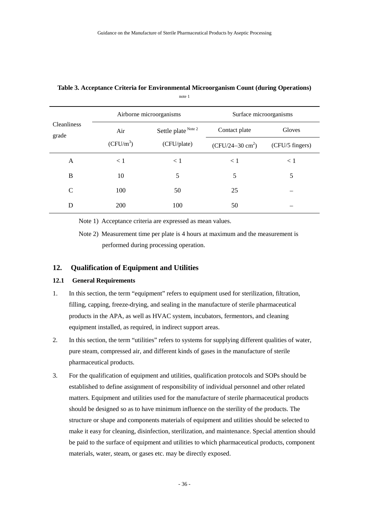|                             |             | Airborne microorganisms | Surface microorganisms     |                 |
|-----------------------------|-------------|-------------------------|----------------------------|-----------------|
| <b>Cleanliness</b><br>grade | Air         | Settle plate Note 2     | Contact plate              | Gloves          |
|                             | $(CFU/m^3)$ | (CFU/plate)             | $(CFU/24-30 \text{ cm}^2)$ | (CFU/5 fingers) |
| A                           | < 1         | < 1                     | < 1                        | < 1             |
| B                           | 10          | 5                       | 5                          | 5               |
| C                           | 100         | 50                      | 25                         |                 |
| D                           | 200         | 100                     | 50                         |                 |

### **Table 3. Acceptance Criteria for Environmental Microorganism Count (during Operations)** note 1

Note 1) Acceptance criteria are expressed as mean values.

Note 2) Measurement time per plate is 4 hours at maximum and the measurement is performed during processing operation.

# **12. Qualification of Equipment and Utilities**

## **12.1 General Requirements**

- 1. In this section, the term "equipment" refers to equipment used for sterilization, filtration, filling, capping, freeze-drying, and sealing in the manufacture of sterile pharmaceutical products in the APA, as well as HVAC system, incubators, fermentors, and cleaning equipment installed, as required, in indirect support areas.
- 2. In this section, the term "utilities" refers to systems for supplying different qualities of water, pure steam, compressed air, and different kinds of gases in the manufacture of sterile pharmaceutical products.
- 3. For the qualification of equipment and utilities, qualification protocols and SOPs should be established to define assignment of responsibility of individual personnel and other related matters. Equipment and utilities used for the manufacture of sterile pharmaceutical products should be designed so as to have minimum influence on the sterility of the products. The structure or shape and components materials of equipment and utilities should be selected to make it easy for cleaning, disinfection, sterilization, and maintenance. Special attention should be paid to the surface of equipment and utilities to which pharmaceutical products, component materials, water, steam, or gases etc. may be directly exposed.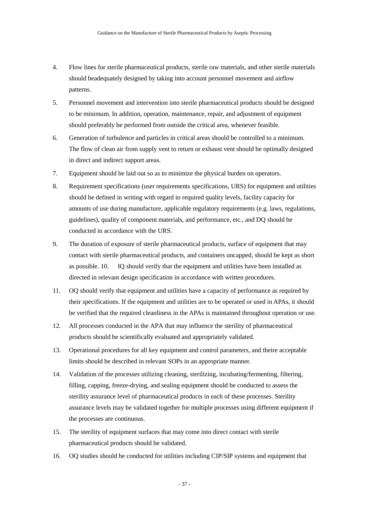- 4. Flow lines for sterile pharmaceutical products, sterile raw materials, and other sterile materials should beadequately designed by taking into account personnel movement and airflow patterns.
- 5. Personnel movement and intervention into sterile pharmaceutical products should be designed to be minimum. In addition, operation, maintenance, repair, and adjustment of equipment should preferably be performed from outside the critical area, whenever feasible.
- 6. Generation of turbulence and particles in critical areas should be controlled to a minimum. The flow of clean air from supply vent to return or exhaust vent should be optimally designed in direct and indirect support areas.
- 7. Equipment should be laid out so as to minimize the physical burden on operators.
- 8. Requirement specifications (user requirements specifications, URS) for equipment and utilities should be defined in writing with regard to required quality levels, facility capacity for amounts of use during manufacture, applicable regulatory requirements (e.g. laws, regulations, guidelines), quality of component materials, and performance, etc., and DQ should be conducted in accordance with the URS.
- 9. The duration of exposure of sterile pharmaceutical products, surface of equipment that may contact with sterile pharmaceutical products, and containers uncapped, should be kept as short as possible. 10. IQ should verify that the equipment and utilities have been installed as directed in relevant design specification in accordance with written procedures.
- 11. OQ should verify that equipment and utilities have a capacity of performance as required by their specifications. If the equipment and utilities are to be operated or used in APAs, it should be verified that the required cleanliness in the APAs is maintained throughout operation or use.
- 12. All processes conducted in the APA that may influence the sterility of pharmaceutical products should be scientifically evaluated and appropriately validated.
- 13. Operational procedures for all key equipment and control parameters, and theire acceptable limits should be described in relevant SOPs in an appropriate manner.
- 14. Validation of the processes utilizing cleaning, sterilizing, incubating/fermenting, filtering, filling, capping, freeze-drying, and sealing equipment should be conducted to assess the sterility assurance level of pharmaceutical products in each of these processes. Sterility assurance levels may be validated together for multiple processes using different equipment if the processes are continuous.
- 15. The sterility of equipment surfaces that may come into direct contact with sterile pharmaceutical products should be validated.
- 16. OQ studies should be conducted for utilities including CIP/SIP systems and equipment that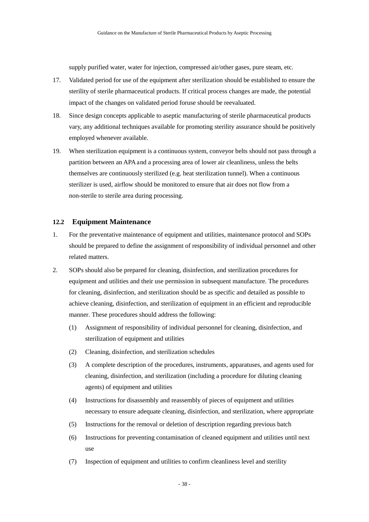supply purified water, water for injection, compressed air/other gases, pure steam, etc.

- 17. Validated period for use of the equipment after sterilization should be established to ensure the sterility of sterile pharmaceutical products. If critical process changes are made, the potential impact of the changes on validated period foruse should be reevaluated.
- 18. Since design concepts applicable to aseptic manufacturing of sterile pharmaceutical products vary, any additional techniques available for promoting sterility assurance should be positively employed whenever available.
- 19. When sterilization equipment is a continuous system, conveyor belts should not pass through a partition between an APA and a processing area of lower air cleanliness, unless the belts themselves are continuously sterilized (e.g. heat sterilization tunnel). When a continuous sterilizer is used, airflow should be monitored to ensure that air does not flow from a non-sterile to sterile area during processing.

# **12.2 Equipment Maintenance**

- 1. For the preventative maintenance of equipment and utilities, maintenance protocol and SOPs should be prepared to define the assignment of responsibility of individual personnel and other related matters.
- 2. SOPs should also be prepared for cleaning, disinfection, and sterilization procedures for equipment and utilities and their use permission in subsequent manufacture. The procedures for cleaning, disinfection, and sterilization should be as specific and detailed as possible to achieve cleaning, disinfection, and sterilization of equipment in an efficient and reproducible manner. These procedures should address the following:
	- (1) Assignment of responsibility of individual personnel for cleaning, disinfection, and sterilization of equipment and utilities
	- (2) Cleaning, disinfection, and sterilization schedules
	- (3) A complete description of the procedures, instruments, apparatuses, and agents used for cleaning, disinfection, and sterilization (including a procedure for diluting cleaning agents) of equipment and utilities
	- (4) Instructions for disassembly and reassembly of pieces of equipment and utilities necessary to ensure adequate cleaning, disinfection, and sterilization, where appropriate
	- (5) Instructions for the removal or deletion of description regarding previous batch
	- (6) Instructions for preventing contamination of cleaned equipment and utilities until next use
	- (7) Inspection of equipment and utilities to confirm cleanliness level and sterility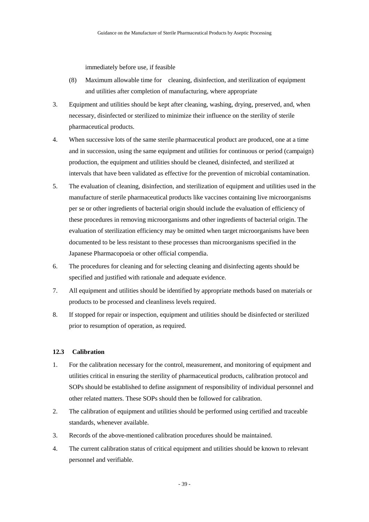immediately before use, if feasible

- (8) Maximum allowable time for cleaning, disinfection, and sterilization of equipment and utilities after completion of manufacturing, where appropriate
- 3. Equipment and utilities should be kept after cleaning, washing, drying, preserved, and, when necessary, disinfected or sterilized to minimize their influence on the sterility of sterile pharmaceutical products.
- 4. When successive lots of the same sterile pharmaceutical product are produced, one at a time and in succession, using the same equipment and utilities for continuous or period (campaign) production, the equipment and utilities should be cleaned, disinfected, and sterilized at intervals that have been validated as effective for the prevention of microbial contamination.
- 5. The evaluation of cleaning, disinfection, and sterilization of equipment and utilities used in the manufacture of sterile pharmaceutical products like vaccines containing live microorganisms per se or other ingredients of bacterial origin should include the evaluation of efficiency of these procedures in removing microorganisms and other ingredients of bacterial origin. The evaluation of sterilization efficiency may be omitted when target microorganisms have been documented to be less resistant to these processes than microorganisms specified in the Japanese Pharmacopoeia or other official compendia.
- 6. The procedures for cleaning and for selecting cleaning and disinfecting agents should be specified and justified with rationale and adequate evidence.
- 7. All equipment and utilities should be identified by appropriate methods based on materials or products to be processed and cleanliness levels required.
- 8. If stopped for repair or inspection, equipment and utilities should be disinfected or sterilized prior to resumption of operation, as required.

# **12.3 Calibration**

- 1. For the calibration necessary for the control, measurement, and monitoring of equipment and utilities critical in ensuring the sterility of pharmaceutical products, calibration protocol and SOPs should be established to define assignment of responsibility of individual personnel and other related matters. These SOPs should then be followed for calibration.
- 2. The calibration of equipment and utilities should be performed using certified and traceable standards, whenever available.
- 3. Records of the above-mentioned calibration procedures should be maintained.
- 4. The current calibration status of critical equipment and utilities should be known to relevant personnel and verifiable.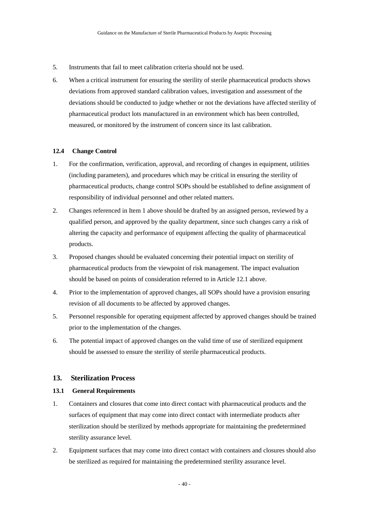- 5. Instruments that fail to meet calibration criteria should not be used.
- 6. When a critical instrument for ensuring the sterility of sterile pharmaceutical products shows deviations from approved standard calibration values, investigation and assessment of the deviations should be conducted to judge whether or not the deviations have affected sterility of pharmaceutical product lots manufactured in an environment which has been controlled, measured, or monitored by the instrument of concern since its last calibration.

### **12.4 Change Control**

- 1. For the confirmation, verification, approval, and recording of changes in equipment, utilities (including parameters), and procedures which may be critical in ensuring the sterility of pharmaceutical products, change control SOPs should be established to define assignment of responsibility of individual personnel and other related matters.
- 2. Changes referenced in Item 1 above should be drafted by an assigned person, reviewed by a qualified person, and approved by the quality department, since such changes carry a risk of altering the capacity and performance of equipment affecting the quality of pharmaceutical products.
- 3. Proposed changes should be evaluated concerning their potential impact on sterility of pharmaceutical products from the viewpoint of risk management. The impact evaluation should be based on points of consideration referred to in Article 12.1 above.
- 4. Prior to the implementation of approved changes, all SOPs should have a provision ensuring revision of all documents to be affected by approved changes.
- 5. Personnel responsible for operating equipment affected by approved changes should be trained prior to the implementation of the changes.
- 6. The potential impact of approved changes on the valid time of use of sterilized equipment should be assessed to ensure the sterility of sterile pharmaceutical products.

# **13. Sterilization Process**

# **13.1 General Requirements**

- 1. Containers and closures that come into direct contact with pharmaceutical products and the surfaces of equipment that may come into direct contact with intermediate products after sterilization should be sterilized by methods appropriate for maintaining the predetermined sterility assurance level.
- 2. Equipment surfaces that may come into direct contact with containers and closures should also be sterilized as required for maintaining the predetermined sterility assurance level.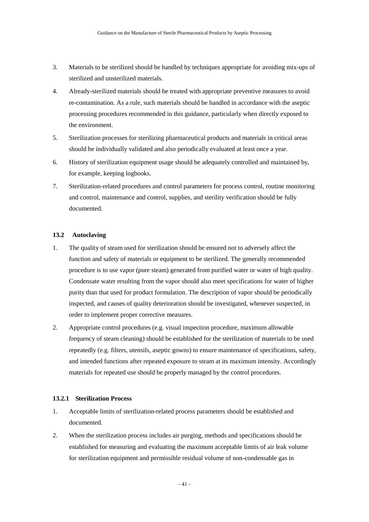- 3. Materials to be sterilized should be handled by techniques appropriate for avoiding mix-ups of sterilized and unsterilized materials.
- 4. Already-sterilized materials should be treated with appropriate preventive measures to avoid re-contamination. As a rule, such materials should be handled in accordance with the aseptic processing procedures recommended in this guidance, particularly when directly exposed to the environment.
- 5. Sterilization processes for sterilizing pharmaceutical products and materials in critical areas should be individually validated and also periodically evaluated at least once a year.
- 6. History of sterilization equipment usage should be adequately controlled and maintained by, for example, keeping logbooks.
- 7. Sterilization-related procedures and control parameters for process control, routine monitoring and control, maintenance and control, supplies, and sterility verification should be fully documented.

## **13.2 Autoclaving**

- 1. The quality of steam used for sterilization should be ensured not to adversely affect the function and safety of materials or equipment to be sterilized. The generally recommended procedure is to use vapor (pure steam) generated from purified water or water of high quality. Condensate water resulting from the vapor should also meet specifications for water of higher purity than that used for product formulation. The description of vapor should be periodically inspected, and causes of quality deterioration should be investigated, whenever suspected, in order to implement proper corrective measures.
- 2. Appropriate control procedures (e.g. visual inspection procedure, maximum allowable frequency of steam cleaning) should be established for the sterilization of materials to be used repeatedly (e.g. filters, utensils, aseptic gowns) to ensure maintenance of specifications, safety, and intended functions after repeated exposure to steam at its maximum intensity. Accordingly materials for repeated use should be properly managed by the control procedures.

## **13.2.1 Sterilization Process**

- 1. Acceptable limits of sterilization-related process parameters should be established and documented.
- 2. When the sterilization process includes air purging, methods and specifications should be established for measuring and evaluating the maximum acceptable limits of air leak volume for sterilization equipment and permissible residual volume of non-condensable gas in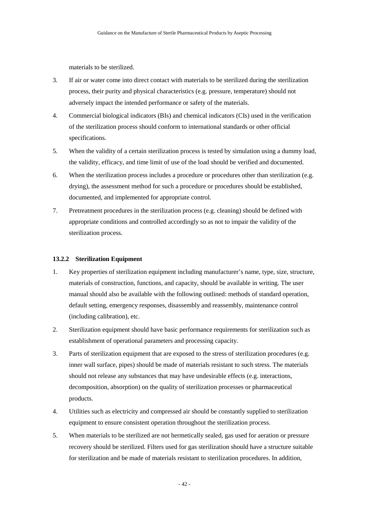materials to be sterilized.

- 3. If air or water come into direct contact with materials to be sterilized during the sterilization process, their purity and physical characteristics (e.g. pressure, temperature) should not adversely impact the intended performance or safety of the materials.
- 4. Commercial biological indicators (BIs) and chemical indicators (CIs) used in the verification of the sterilization process should conform to international standards or other official specifications.
- 5. When the validity of a certain sterilization process is tested by simulation using a dummy load, the validity, efficacy, and time limit of use of the load should be verified and documented.
- 6. When the sterilization process includes a procedure or procedures other than sterilization (e.g. drying), the assessment method for such a procedure or procedures should be established, documented, and implemented for appropriate control.
- 7. Pretreatment procedures in the sterilization process (e.g. cleaning) should be defined with appropriate conditions and controlled accordingly so as not to impair the validity of the sterilization process.

#### **13.2.2 Sterilization Equipment**

- 1. Key properties of sterilization equipment including manufacturer's name, type, size, structure, materials of construction, functions, and capacity, should be available in writing. The user manual should also be available with the following outlined: methods of standard operation, default setting, emergency responses, disassembly and reassembly, maintenance control (including calibration), etc.
- 2. Sterilization equipment should have basic performance requirements for sterilization such as establishment of operational parameters and processing capacity.
- 3. Parts of sterilization equipment that are exposed to the stress of sterilization procedures (e.g. inner wall surface, pipes) should be made of materials resistant to such stress. The materials should not release any substances that may have undesirable effects (e.g. interactions, decomposition, absorption) on the quality of sterilization processes or pharmaceutical products.
- 4. Utilities such as electricity and compressed air should be constantly supplied to sterilization equipment to ensure consistent operation throughout the sterilization process.
- 5. When materials to be sterilized are not hermetically sealed, gas used for aeration or pressure recovery should be sterilized. Filters used for gas sterilization should have a structure suitable for sterilization and be made of materials resistant to sterilization procedures. In addition,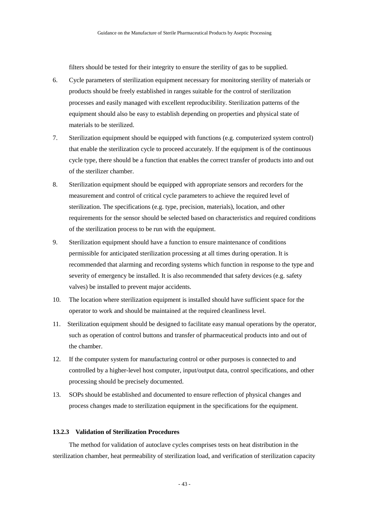filters should be tested for their integrity to ensure the sterility of gas to be supplied.

- 6. Cycle parameters of sterilization equipment necessary for monitoring sterility of materials or products should be freely established in ranges suitable for the control of sterilization processes and easily managed with excellent reproducibility. Sterilization patterns of the equipment should also be easy to establish depending on properties and physical state of materials to be sterilized.
- 7. Sterilization equipment should be equipped with functions (e.g. computerized system control) that enable the sterilization cycle to proceed accurately. If the equipment is of the continuous cycle type, there should be a function that enables the correct transfer of products into and out of the sterilizer chamber.
- 8. Sterilization equipment should be equipped with appropriate sensors and recorders for the measurement and control of critical cycle parameters to achieve the required level of sterilization. The specifications (e.g. type, precision, materials), location, and other requirements for the sensor should be selected based on characteristics and required conditions of the sterilization process to be run with the equipment.
- 9. Sterilization equipment should have a function to ensure maintenance of conditions permissible for anticipated sterilization processing at all times during operation. It is recommended that alarming and recording systems which function in response to the type and severity of emergency be installed. It is also recommended that safety devices (e.g. safety valves) be installed to prevent major accidents.
- 10. The location where sterilization equipment is installed should have sufficient space for the operator to work and should be maintained at the required cleanliness level.
- 11. Sterilization equipment should be designed to facilitate easy manual operations by the operator, such as operation of control buttons and transfer of pharmaceutical products into and out of the chamber.
- 12. If the computer system for manufacturing control or other purposes is connected to and controlled by a higher-level host computer, input/output data, control specifications, and other processing should be precisely documented.
- 13. SOPs should be established and documented to ensure reflection of physical changes and process changes made to sterilization equipment in the specifications for the equipment.

# **13.2.3 Validation of Sterilization Procedures**

The method for validation of autoclave cycles comprises tests on heat distribution in the sterilization chamber, heat permeability of sterilization load, and verification of sterilization capacity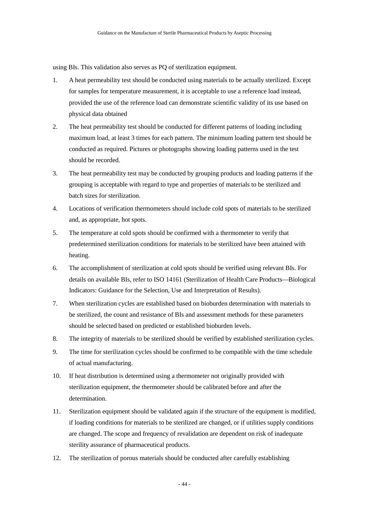using BIs. This validation also serves as PQ of sterilization equipment.

- 1. A heat permeability test should be conducted using materials to be actually sterilized. Except for samples for temperature measurement, it is acceptable to use a reference load instead, provided the use of the reference load can demonstrate scientific validity of its use based on physical data obtained
- 2. The heat permeability test should be conducted for different patterns of loading including maximum load, at least 3 times for each pattern. The minimum loading pattern test should be conducted as required. Pictures or photographs showing loading patterns used in the test should be recorded.
- 3. The heat permeability test may be conducted by grouping products and loading patterns if the grouping is acceptable with regard to type and properties of materials to be sterilized and batch sizes for sterilization.
- 4. Locations of verification thermometers should include cold spots of materials to be sterilized and, as appropriate, hot spots.
- 5. The temperature at cold spots should be confirmed with a thermometer to verify that predetermined sterilization conditions for materials to be sterilized have been attained with heating.
- 6. The accomplishment of sterilization at cold spots should be verified using relevant BIs. For details on available BIs, refer to ISO 14161 (Sterilization of Health Care Products—Biological Indicators: Guidance for the Selection, Use and Interpretation of Results).
- 7. When sterilization cycles are established based on bioburden determination with materials to be sterilized, the count and resistance of BIs and assessment methods for these parameters should be selected based on predicted or established bioburden levels.
- 8. The integrity of materials to be sterilized should be verified by established sterilization cycles.
- 9. The time for sterilization cycles should be confirmed to be compatible with the time schedule of actual manufacturing.
- 10. If heat distribution is determined using a thermometer not originally provided with sterilization equipment, the thermometer should be calibrated before and after the determination.
- 11. Sterilization equipment should be validated again if the structure of the equipment is modified, if loading conditions for materials to be sterilized are changed, or if utilities supply conditions are changed. The scope and frequency of revalidation are dependent on risk of inadequate sterility assurance of pharmaceutical products.
- 12. The sterilization of porous materials should be conducted after carefully establishing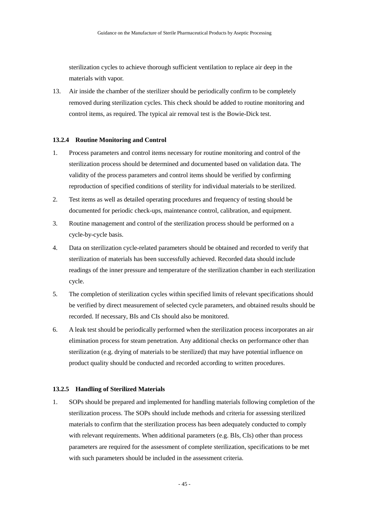sterilization cycles to achieve thorough sufficient ventilation to replace air deep in the materials with vapor.

13. Air inside the chamber of the sterilizer should be periodically confirm to be completely removed during sterilization cycles. This check should be added to routine monitoring and control items, as required. The typical air removal test is the Bowie-Dick test.

### **13.2.4 Routine Monitoring and Control**

- 1. Process parameters and control items necessary for routine monitoring and control of the sterilization process should be determined and documented based on validation data. The validity of the process parameters and control items should be verified by confirming reproduction of specified conditions of sterility for individual materials to be sterilized.
- 2. Test items as well as detailed operating procedures and frequency of testing should be documented for periodic check-ups, maintenance control, calibration, and equipment.
- 3. Routine management and control of the sterilization process should be performed on a cycle-by-cycle basis.
- 4. Data on sterilization cycle-related parameters should be obtained and recorded to verify that sterilization of materials has been successfully achieved. Recorded data should include readings of the inner pressure and temperature of the sterilization chamber in each sterilization cycle.
- 5. The completion of sterilization cycles within specified limits of relevant specifications should be verified by direct measurement of selected cycle parameters, and obtained results should be recorded. If necessary, BIs and CIs should also be monitored.
- 6. A leak test should be periodically performed when the sterilization process incorporates an air elimination process for steam penetration. Any additional checks on performance other than sterilization (e.g. drying of materials to be sterilized) that may have potential influence on product quality should be conducted and recorded according to written procedures.

### **13.2.5 Handling of Sterilized Materials**

1. SOPs should be prepared and implemented for handling materials following completion of the sterilization process. The SOPs should include methods and criteria for assessing sterilized materials to confirm that the sterilization process has been adequately conducted to comply with relevant requirements. When additional parameters (e.g. BIs, CIs) other than process parameters are required for the assessment of complete sterilization, specifications to be met with such parameters should be included in the assessment criteria.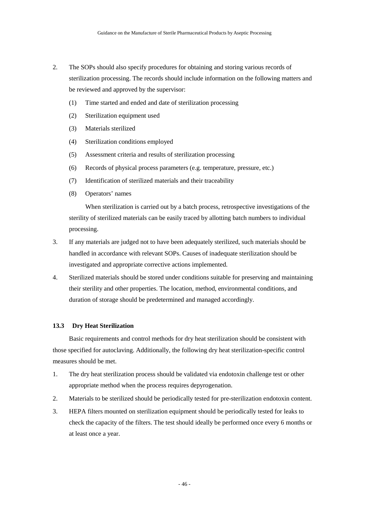- 2. The SOPs should also specify procedures for obtaining and storing various records of sterilization processing. The records should include information on the following matters and be reviewed and approved by the supervisor:
	- (1) Time started and ended and date of sterilization processing
	- (2) Sterilization equipment used
	- (3) Materials sterilized
	- (4) Sterilization conditions employed
	- (5) Assessment criteria and results of sterilization processing
	- (6) Records of physical process parameters (e.g. temperature, pressure, etc.)
	- (7) Identification of sterilized materials and their traceability
	- (8) Operators' names

When sterilization is carried out by a batch process, retrospective investigations of the sterility of sterilized materials can be easily traced by allotting batch numbers to individual processing.

- 3. If any materials are judged not to have been adequately sterilized, such materials should be handled in accordance with relevant SOPs. Causes of inadequate sterilization should be investigated and appropriate corrective actions implemented.
- 4. Sterilized materials should be stored under conditions suitable for preserving and maintaining their sterility and other properties. The location, method, environmental conditions, and duration of storage should be predetermined and managed accordingly.

# **13.3 Dry Heat Sterilization**

Basic requirements and control methods for dry heat sterilization should be consistent with those specified for autoclaving. Additionally, the following dry heat sterilization-specific control measures should be met.

- 1. The dry heat sterilization process should be validated via endotoxin challenge test or other appropriate method when the process requires depyrogenation.
- 2. Materials to be sterilized should be periodically tested for pre-sterilization endotoxin content.
- 3. HEPA filters mounted on sterilization equipment should be periodically tested for leaks to check the capacity of the filters. The test should ideally be performed once every 6 months or at least once a year.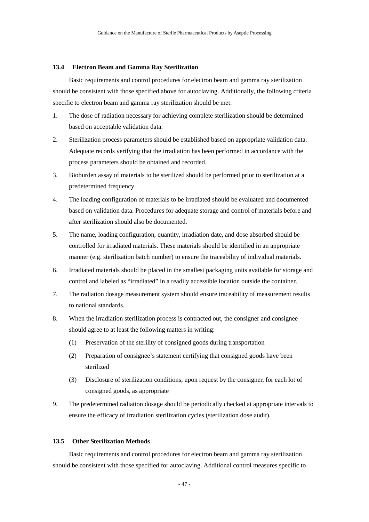### **13.4 Electron Beam and Gamma Ray Sterilization**

Basic requirements and control procedures for electron beam and gamma ray sterilization should be consistent with those specified above for autoclaving. Additionally, the following criteria specific to electron beam and gamma ray sterilization should be met:

- 1. The dose of radiation necessary for achieving complete sterilization should be determined based on acceptable validation data.
- 2. Sterilization process parameters should be established based on appropriate validation data. Adequate records verifying that the irradiation has been performed in accordance with the process parameters should be obtained and recorded.
- 3. Bioburden assay of materials to be sterilized should be performed prior to sterilization at a predetermined frequency.
- 4. The loading configuration of materials to be irradiated should be evaluated and documented based on validation data. Procedures for adequate storage and control of materials before and after sterilization should also be documented.
- 5. The name, loading configuration, quantity, irradiation date, and dose absorbed should be controlled for irradiated materials. These materials should be identified in an appropriate manner (e.g. sterilization batch number) to ensure the traceability of individual materials.
- 6. Irradiated materials should be placed in the smallest packaging units available for storage and control and labeled as "irradiated" in a readily accessible location outside the container.
- 7. The radiation dosage measurement system should ensure traceability of measurement results to national standards.
- 8. When the irradiation sterilization process is contracted out, the consigner and consignee should agree to at least the following matters in writing:
	- (1) Preservation of the sterility of consigned goods during transportation
	- (2) Preparation of consignee's statement certifying that consigned goods have been sterilized
	- (3) Disclosure of sterilization conditions, upon request by the consigner, for each lot of consigned goods, as appropriate
- 9. The predetermined radiation dosage should be periodically checked at appropriate intervals to ensure the efficacy of irradiation sterilization cycles (sterilization dose audit).

### **13.5 Other Sterilization Methods**

Basic requirements and control procedures for electron beam and gamma ray sterilization should be consistent with those specified for autoclaving. Additional control measures specific to

- 47 -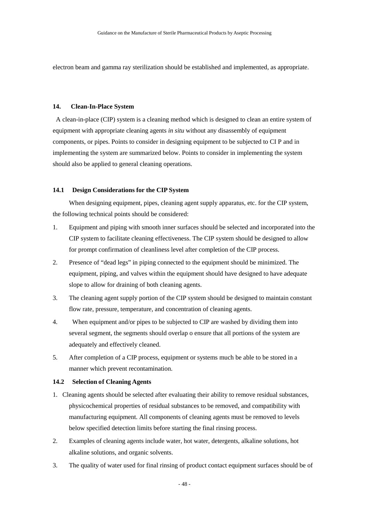electron beam and gamma ray sterilization should be established and implemented, as appropriate.

## **14. Clean-In-Place System**

A clean-in-place (CIP) system is a cleaning method which is designed to clean an entire system of equipment with appropriate cleaning agents *in situ* without any disassembly of equipment components, or pipes. Points to consider in designing equipment to be subjected to CI P and in implementing the system are summarized below. Points to consider in implementing the system should also be applied to general cleaning operations.

### **14.1 Design Considerations for the CIP System**

When designing equipment, pipes, cleaning agent supply apparatus, etc. for the CIP system, the following technical points should be considered:

- 1. Equipment and piping with smooth inner surfaces should be selected and incorporated into the CIP system to facilitate cleaning effectiveness. The CIP system should be designed to allow for prompt confirmation of cleanliness level after completion of the CIP process.
- 2. Presence of "dead legs" in piping connected to the equipment should be minimized. The equipment, piping, and valves within the equipment should have designed to have adequate slope to allow for draining of both cleaning agents.
- 3. The cleaning agent supply portion of the CIP system should be designed to maintain constant flow rate, pressure, temperature, and concentration of cleaning agents.
- 4. When equipment and/or pipes to be subjected to CIP are washed by dividing them into several segment, the segments should overlap o ensure that all portions of the system are adequately and effectively cleaned.
- 5. After completion of a CIP process, equipment or systems much be able to be stored in a manner which prevent recontamination.

### **14.2 Selection of Cleaning Agents**

- 1. Cleaning agents should be selected after evaluating their ability to remove residual substances, physicochemical properties of residual substances to be removed, and compatibility with manufacturing equipment. All components of cleaning agents must be removed to levels below specified detection limits before starting the final rinsing process.
- 2. Examples of cleaning agents include water, hot water, detergents, alkaline solutions, hot alkaline solutions, and organic solvents.
- 3. The quality of water used for final rinsing of product contact equipment surfaces should be of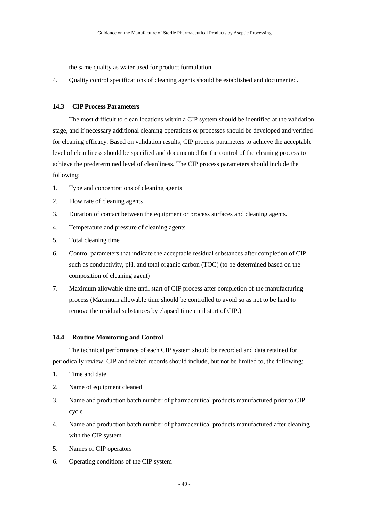the same quality as water used for product formulation.

4. Quality control specifications of cleaning agents should be established and documented.

## **14.3 CIP Process Parameters**

The most difficult to clean locations within a CIP system should be identified at the validation stage, and if necessary additional cleaning operations or processes should be developed and verified for cleaning efficacy. Based on validation results, CIP process parameters to achieve the acceptable level of cleanliness should be specified and documented for the control of the cleaning process to achieve the predetermined level of cleanliness. The CIP process parameters should include the following:

- 1. Type and concentrations of cleaning agents
- 2. Flow rate of cleaning agents
- 3. Duration of contact between the equipment or process surfaces and cleaning agents.
- 4. Temperature and pressure of cleaning agents
- 5. Total cleaning time
- 6. Control parameters that indicate the acceptable residual substances after completion of CIP, such as conductivity, pH, and total organic carbon (TOC) (to be determined based on the composition of cleaning agent)
- 7. Maximum allowable time until start of CIP process after completion of the manufacturing process (Maximum allowable time should be controlled to avoid so as not to be hard to remove the residual substances by elapsed time until start of CIP.)

## **14.4 Routine Monitoring and Control**

The technical performance of each CIP system should be recorded and data retained for periodically review. CIP and related records should include, but not be limited to, the following:

- 1. Time and date
- 2. Name of equipment cleaned
- 3. Name and production batch number of pharmaceutical products manufactured prior to CIP cycle
- 4. Name and production batch number of pharmaceutical products manufactured after cleaning with the CIP system
- 5. Names of CIP operators
- 6. Operating conditions of the CIP system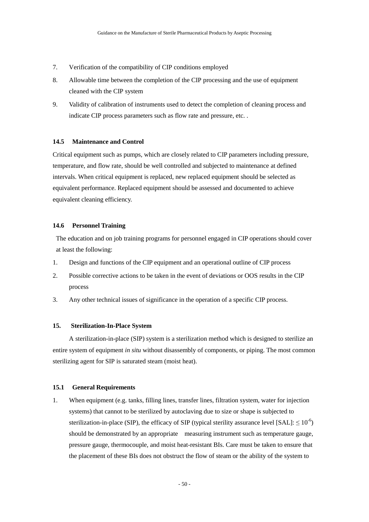- 7. Verification of the compatibility of CIP conditions employed
- 8. Allowable time between the completion of the CIP processing and the use of equipment cleaned with the CIP system
- 9. Validity of calibration of instruments used to detect the completion of cleaning process and indicate CIP process parameters such as flow rate and pressure, etc. .

## **14.5 Maintenance and Control**

Critical equipment such as pumps, which are closely related to CIP parameters including pressure, temperature, and flow rate, should be well controlled and subjected to maintenance at defined intervals. When critical equipment is replaced, new replaced equipment should be selected as equivalent performance. Replaced equipment should be assessed and documented to achieve equivalent cleaning efficiency.

# **14.6 Personnel Training**

The education and on job training programs for personnel engaged in CIP operations should cover at least the following:

- 1. Design and functions of the CIP equipment and an operational outline of CIP process
- 2. Possible corrective actions to be taken in the event of deviations or OOS results in the CIP process
- 3. Any other technical issues of significance in the operation of a specific CIP process.

### **15. Sterilization-In-Place System**

A sterilization-in-place (SIP) system is a sterilization method which is designed to sterilize an entire system of equipment *in situ* without disassembly of components, or piping. The most common sterilizing agent for SIP is saturated steam (moist heat).

## **15.1 General Requirements**

1. When equipment (e.g. tanks, filling lines, transfer lines, filtration system, water for injection systems) that cannot to be sterilized by autoclaving due to size or shape is subjected to sterilization-in-place (SIP), the efficacy of SIP (typical sterility assurance level [SAL]:  $\leq 10^{-6}$ ) should be demonstrated by an appropriate measuring instrument such as temperature gauge, pressure gauge, thermocouple, and moist heat-resistant BIs. Care must be taken to ensure that the placement of these BIs does not obstruct the flow of steam or the ability of the system to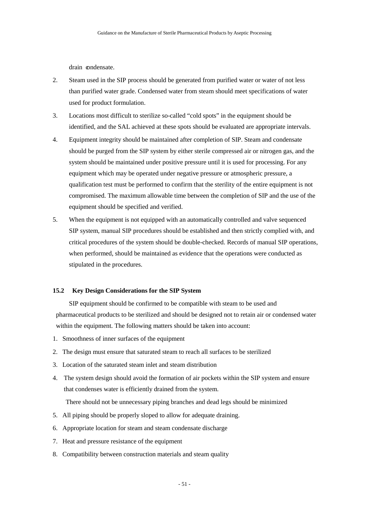drain condensate.

- 2. Steam used in the SIP process should be generated from purified water or water of not less than purified water grade. Condensed water from steam should meet specifications of water used for product formulation.
- 3. Locations most difficult to sterilize so-called "cold spots" in the equipment should be identified, and the SAL achieved at these spots should be evaluated are appropriate intervals.
- 4. Equipment integrity should be maintained after completion of SIP. Steam and condensate should be purged from the SIP system by either sterile compressed air or nitrogen gas, and the system should be maintained under positive pressure until it is used for processing. For any equipment which may be operated under negative pressure or atmospheric pressure, a qualification test must be performed to confirm that the sterility of the entire equipment is not compromised. The maximum allowable time between the completion of SIP and the use of the equipment should be specified and verified.
- 5. When the equipment is not equipped with an automatically controlled and valve sequenced SIP system, manual SIP procedures should be established and then strictly complied with, and critical procedures of the system should be double-checked. Records of manual SIP operations, when performed, should be maintained as evidence that the operations were conducted as stipulated in the procedures.

## **15.2 Key Design Considerations for the SIP System**

SIP equipment should be confirmed to be compatible with steam to be used and pharmaceutical products to be sterilized and should be designed not to retain air or condensed water within the equipment. The following matters should be taken into account:

- 1. Smoothness of inner surfaces of the equipment
- 2. The design must ensure that saturated steam to reach all surfaces to be sterilized
- 3. Location of the saturated steam inlet and steam distribution
- 4. The system design should avoid the formation of air pockets within the SIP system and ensure that condenses water is efficiently drained from the system.

There should not be unnecessary piping branches and dead legs should be minimized

- 5. All piping should be properly sloped to allow for adequate draining.
- 6. Appropriate location for steam and steam condensate discharge
- 7. Heat and pressure resistance of the equipment
- 8. Compatibility between construction materials and steam quality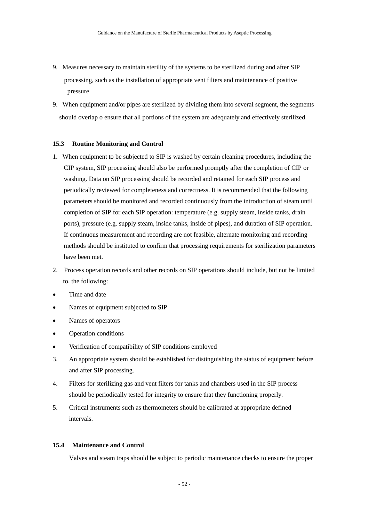- 9. Measures necessary to maintain sterility of the systems to be sterilized during and after SIP processing, such as the installation of appropriate vent filters and maintenance of positive pressure
- 9. When equipment and/or pipes are sterilized by dividing them into several segment, the segments should overlap o ensure that all portions of the system are adequately and effectively sterilized.

## **15.3 Routine Monitoring and Control**

- 1. When equipment to be subjected to SIP is washed by certain cleaning procedures, including the CIP system, SIP processing should also be performed promptly after the completion of CIP or washing. Data on SIP processing should be recorded and retained for each SIP process and periodically reviewed for completeness and correctness. It is recommended that the following parameters should be monitored and recorded continuously from the introduction of steam until completion of SIP for each SIP operation: temperature (e.g. supply steam, inside tanks, drain ports), pressure (e.g. supply steam, inside tanks, inside of pipes), and duration of SIP operation. If continuous measurement and recording are not feasible, alternate monitoring and recording methods should be instituted to confirm that processing requirements for sterilization parameters have been met.
- 2. Process operation records and other records on SIP operations should include, but not be limited to, the following:
- Time and date
- Names of equipment subjected to SIP
- Names of operators
- Operation conditions
- Verification of compatibility of SIP conditions employed
- 3. An appropriate system should be established for distinguishing the status of equipment before and after SIP processing.
- 4. Filters for sterilizing gas and vent filters for tanks and chambers used in the SIP process should be periodically tested for integrity to ensure that they functioning properly.
- 5. Critical instruments such as thermometers should be calibrated at appropriate defined intervals.

# **15.4 Maintenance and Control**

Valves and steam traps should be subject to periodic maintenance checks to ensure the proper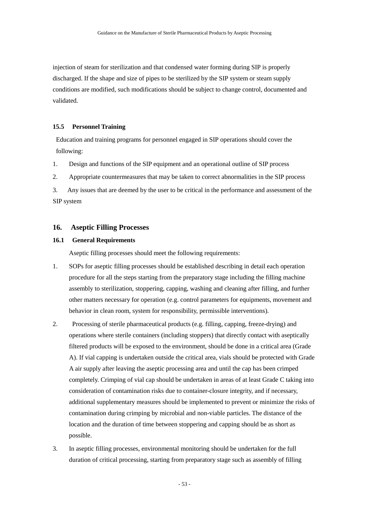injection of steam for sterilization and that condensed water forming during SIP is properly discharged. If the shape and size of pipes to be sterilized by the SIP system or steam supply conditions are modified, such modifications should be subject to change control, documented and validated.

## **15.5 Personnel Training**

Education and training programs for personnel engaged in SIP operations should cover the following:

1. Design and functions of the SIP equipment and an operational outline of SIP process

2. Appropriate countermeasures that may be taken to correct abnormalities in the SIP process

3. Any issues that are deemed by the user to be critical in the performance and assessment of the SIP system

# **16. Aseptic Filling Processes**

# **16.1 General Requirements**

Aseptic filling processes should meet the following requirements:

- 1. SOPs for aseptic filling processes should be established describing in detail each operation procedure for all the steps starting from the preparatory stage including the filling machine assembly to sterilization, stoppering, capping, washing and cleaning after filling, and further other matters necessary for operation (e.g. control parameters for equipments, movement and behavior in clean room, system for responsibility, permissible interventions).
- 2. Processing of sterile pharmaceutical products (e.g. filling, capping, freeze-drying) and operations where sterile containers (including stoppers) that directly contact with aseptically filtered products will be exposed to the environment, should be done in a critical area (Grade A). If vial capping is undertaken outside the critical area, vials should be protected with Grade A air supply after leaving the aseptic processing area and until the cap has been crimped completely. Crimping of vial cap should be undertaken in areas of at least Grade C taking into consideration of contamination risks due to container-closure integrity, and if necessary, additional supplementary measures should be implemented to prevent or minimize the risks of contamination during crimping by microbial and non-viable particles. The distance of the location and the duration of time between stoppering and capping should be as short as possible.
- 3. In aseptic filling processes, environmental monitoring should be undertaken for the full duration of critical processing, starting from preparatory stage such as assembly of filling

- 53 -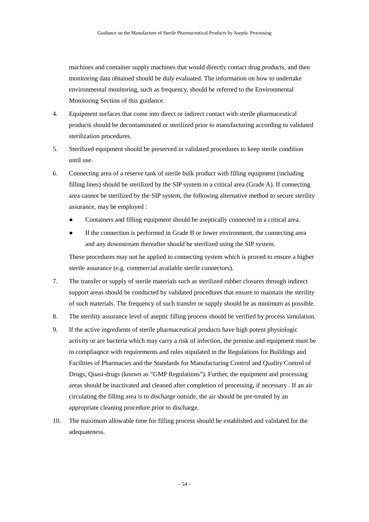machines and container supply machines that would directly contact drug products, and then monitoring data obtained should be duly evaluated. The information on how to undertake environmental monitoring, such as frequency, should be referred to the Environmental Monitoring Section of this guidance.

- 4. Equipment surfaces that come into direct or indirect contact with sterile pharmaceutical products should be decontaminated or sterilized prior to manufacturing according to validated sterilization procedures.
- 5. Sterilized equipment should be preserved in validated procedures to keep sterile condition until use.
- 6. Connecting area of a reserve tank of sterile bulk product with filling equipment (including filling lines) should be sterilized by the SIP system in a critical area (Grade A). If connecting area cannot be sterilized by the SIP system, the following alternative method to secure sterility assurance, may be employed :
	- Containers and filling equipment should be aseptically connected in a critical area.
	- If the connection is performed in Grade B or lower environment, the connecting area and any downstream thereafter should be sterilized using the SIP system.

These procedures may not be applied to connecting system which is proved to ensure a higher sterile assurance (e.g. commercial available sterile connectors).

- 7. The transfer or supply of sterile materials such as sterilized rubber closures through indirect support areas should be conducted by validated procedures that ensure to maintain the sterility of such materials. The frequency of such transfer or supply should be as minimum as possible.
- 8. The sterility assurance level of aseptic filling process should be verified by process simulation.
- 9. If the active ingredients of sterile pharmaceutical products have high potent physiologic activity or are bacteria which may carry a risk of infection, the premise and equipment must be in compliaqnce with requirements and rules stipulated in the Regulations for Buildings and Facilities of Pharmacies and the Standards for Manufacturing Control and Quality Control of Drugs, Quasi-drugs (known as "GMP Regulations"). Further, the equipment and processing areas should be inactivated and cleaned after completion of processing, if necessary . If an air circulating the filling area is to discharge outside, the air should be pre-treated by an appropriate cleaning procedure prior to discharge.
- 10. The maximum allowable time for filling process should be established and validated for the adequateness.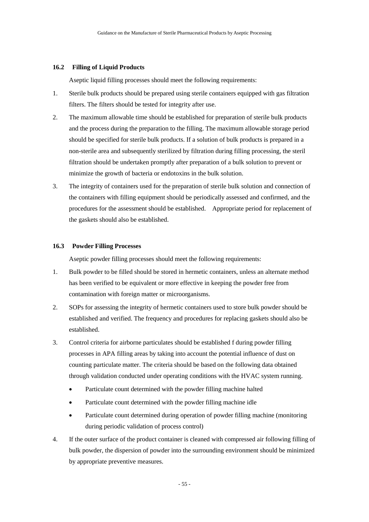### **16.2 Filling of Liquid Products**

Aseptic liquid filling processes should meet the following requirements:

- 1. Sterile bulk products should be prepared using sterile containers equipped with gas filtration filters. The filters should be tested for integrity after use.
- 2. The maximum allowable time should be established for preparation of sterile bulk products and the process during the preparation to the filling. The maximum allowable storage period should be specified for sterile bulk products. If a solution of bulk products is prepared in a non-sterile area and subsequently sterilized by filtration during filling processing, the steril filtration should be undertaken promptly after preparation of a bulk solution to prevent or minimize the growth of bacteria or endotoxins in the bulk solution.
- 3. The integrity of containers used for the preparation of sterile bulk solution and connection of the containers with filling equipment should be periodically assessed and confirmed, and the procedures for the assessment should be established. Appropriate period for replacement of the gaskets should also be established.

## **16.3 Powder Filling Processes**

Aseptic powder filling processes should meet the following requirements:

- 1. Bulk powder to be filled should be stored in hermetic containers, unless an alternate method has been verified to be equivalent or more effective in keeping the powder free from contamination with foreign matter or microorganisms.
- 2. SOPs for assessing the integrity of hermetic containers used to store bulk powder should be established and verified. The frequency and procedures for replacing gaskets should also be established.
- 3. Control criteria for airborne particulates should be established f during powder filling processes in APA filling areas by taking into account the potential influence of dust on counting particulate matter. The criteria should be based on the following data obtained through validation conducted under operating conditions with the HVAC system running.
	- Particulate count determined with the powder filling machine halted
	- Particulate count determined with the powder filling machine idle
	- Particulate count determined during operation of powder filling machine (monitoring during periodic validation of process control)
- 4. If the outer surface of the product container is cleaned with compressed air following filling of bulk powder, the dispersion of powder into the surrounding environment should be minimized by appropriate preventive measures.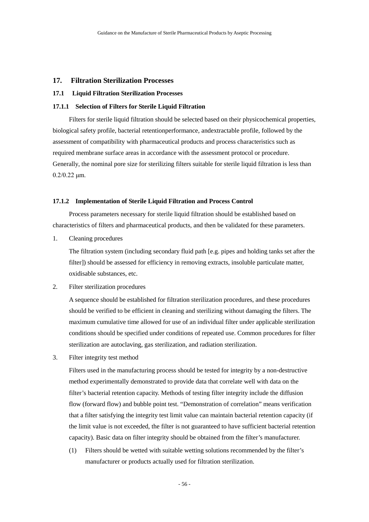# **17. Filtration Sterilization Processes**

## **17.1 Liquid Filtration Sterilization Processes**

### **17.1.1 Selection of Filters for Sterile Liquid Filtration**

Filters for sterile liquid filtration should be selected based on their physicochemical properties, biological safety profile, bacterial retentionperformance, andextractable profile, followed by the assessment of compatibility with pharmaceutical products and process characteristics such as required membrane surface areas in accordance with the assessment protocol or procedure. Generally, the nominal pore size for sterilizing filters suitable for sterile liquid filtration is less than 0.2/0.22 μm.

### **17.1.2 Implementation of Sterile Liquid Filtration and Process Control**

Process parameters necessary for sterile liquid filtration should be established based on characteristics of filters and pharmaceutical products, and then be validated for these parameters.

1. Cleaning procedures

The filtration system (including secondary fluid path [e.g. pipes and holding tanks set after the filter]) should be assessed for efficiency in removing extracts, insoluble particulate matter, oxidisable substances, etc.

2. Filter sterilization procedures

A sequence should be established for filtration sterilization procedures, and these procedures should be verified to be efficient in cleaning and sterilizing without damaging the filters. The maximum cumulative time allowed for use of an individual filter under applicable sterilization conditions should be specified under conditions of repeated use. Common procedures for filter sterilization are autoclaving, gas sterilization, and radiation sterilization.

3. Filter integrity test method

Filters used in the manufacturing process should be tested for integrity by a non-destructive method experimentally demonstrated to provide data that correlate well with data on the filter's bacterial retention capacity. Methods of testing filter integrity include the diffusion flow (forward flow) and bubble point test. "Demonstration of correlation" means verification that a filter satisfying the integrity test limit value can maintain bacterial retention capacity (if the limit value is not exceeded, the filter is not guaranteed to have sufficient bacterial retention capacity). Basic data on filter integrity should be obtained from the filter's manufacturer.

(1) Filters should be wetted with suitable wetting solutions recommended by the filter's manufacturer or products actually used for filtration sterilization.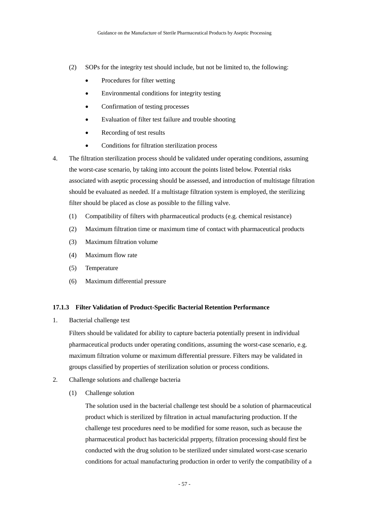- (2) SOPs for the integrity test should include, but not be limited to, the following:
	- Procedures for filter wetting
	- Environmental conditions for integrity testing
	- Confirmation of testing processes
	- Evaluation of filter test failure and trouble shooting
	- Recording of test results
	- Conditions for filtration sterilization process
- 4. The filtration sterilization process should be validated under operating conditions, assuming the worst-case scenario, by taking into account the points listed below. Potential risks associated with aseptic processing should be assessed, and introduction of multistage filtration should be evaluated as needed. If a multistage filtration system is employed, the sterilizing filter should be placed as close as possible to the filling valve.
	- (1) Compatibility of filters with pharmaceutical products (e.g. chemical resistance)
	- (2) Maximum filtration time or maximum time of contact with pharmaceutical products
	- (3) Maximum filtration volume
	- (4) Maximum flow rate
	- (5) Temperature
	- (6) Maximum differential pressure

### **17.1.3 Filter Validation of Product-Specific Bacterial Retention Performance**

1. Bacterial challenge test

Filters should be validated for ability to capture bacteria potentially present in individual pharmaceutical products under operating conditions, assuming the worst-case scenario, e.g. maximum filtration volume or maximum differential pressure. Filters may be validated in groups classified by properties of sterilization solution or process conditions.

- 2. Challenge solutions and challenge bacteria
	- (1) Challenge solution

The solution used in the bacterial challenge test should be a solution of pharmaceutical product which is sterilized by filtration in actual manufacturing production. If the challenge test procedures need to be modified for some reason, such as because the pharmaceutical product has bactericidal prpperty, filtration processing should first be conducted with the drug solution to be sterilized under simulated worst-case scenario conditions for actual manufacturing production in order to verify the compatibility of a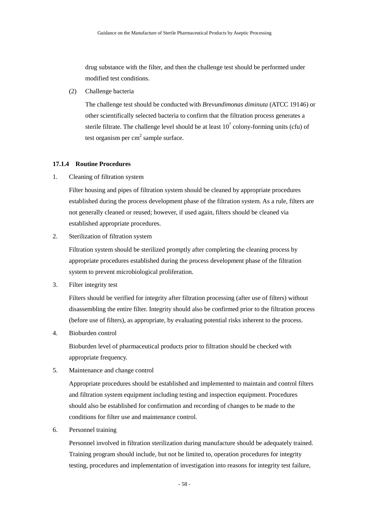drug substance with the filter, and then the challenge test should be performed under modified test conditions.

(2) Challenge bacteria

The challenge test should be conducted with *Brevundimonas diminuta* (ATCC 19146) or other scientifically selected bacteria to confirm that the filtration process generates a sterile filtrate. The challenge level should be at least  $10^7$  colony-forming units (cfu) of test organism per  $cm<sup>2</sup>$  sample surface.

### **17.1.4 Routine Procedures**

1. Cleaning of filtration system

Filter housing and pipes of filtration system should be cleaned by appropriate procedures established during the process development phase of the filtration system. As a rule, filters are not generally cleaned or reused; however, if used again, filters should be cleaned via established appropriate procedures.

2. Sterilization of filtration system

Filtration system should be sterilized promptly after completing the cleaning process by appropriate procedures established during the process development phase of the filtration system to prevent microbiological proliferation.

3. Filter integrity test

Filters should be verified for integrity after filtration processing (after use of filters) without disassembling the entire filter. Integrity should also be confirmed prior to the filtration process (before use of filters), as appropriate, by evaluating potential risks inherent to the process.

4. Bioburden control

Bioburden level of pharmaceutical products prior to filtration should be checked with appropriate frequency.

5. Maintenance and change control

Appropriate procedures should be established and implemented to maintain and control filters and filtration system equipment including testing and inspection equipment. Procedures should also be established for confirmation and recording of changes to be made to the conditions for filter use and maintenance control.

6. Personnel training

Personnel involved in filtration sterilization during manufacture should be adequately trained. Training program should include, but not be limited to, operation procedures for integrity testing, procedures and implementation of investigation into reasons for integrity test failure,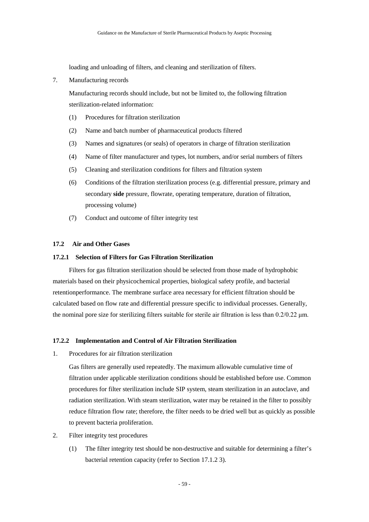loading and unloading of filters, and cleaning and sterilization of filters.

7. Manufacturing records

Manufacturing records should include, but not be limited to, the following filtration sterilization-related information:

- (1) Procedures for filtration sterilization
- (2) Name and batch number of pharmaceutical products filtered
- (3) Names and signatures (or seals) of operators in charge of filtration sterilization
- (4) Name of filter manufacturer and types, lot numbers, and/or serial numbers of filters
- (5) Cleaning and sterilization conditions for filters and filtration system
- (6) Conditions of the filtration sterilization process (e.g. differential pressure, primary and secondary **side** pressure, flowrate, operating temperature, duration of filtration, processing volume)
- (7) Conduct and outcome of filter integrity test

# **17.2 Air and Other Gases**

### **17.2.1 Selection of Filters for Gas Filtration Sterilization**

Filters for gas filtration sterilization should be selected from those made of hydrophobic materials based on their physicochemical properties, biological safety profile, and bacterial retentionperformance. The membrane surface area necessary for efficient filtration should be calculated based on flow rate and differential pressure specific to individual processes. Generally, the nominal pore size for sterilizing filters suitable for sterile air filtration is less than  $0.2/0.22 \mu m$ .

### **17.2.2 Implementation and Control of Air Filtration Sterilization**

1. Procedures for air filtration sterilization

Gas filters are generally used repeatedly. The maximum allowable cumulative time of filtration under applicable sterilization conditions should be established before use. Common procedures for filter sterilization include SIP system, steam sterilization in an autoclave, and radiation sterilization. With steam sterilization, water may be retained in the filter to possibly reduce filtration flow rate; therefore, the filter needs to be dried well but as quickly as possible to prevent bacteria proliferation.

- 2. Filter integrity test procedures
	- (1) The filter integrity test should be non-destructive and suitable for determining a filter's bacterial retention capacity (refer to Section 17.1.2 3).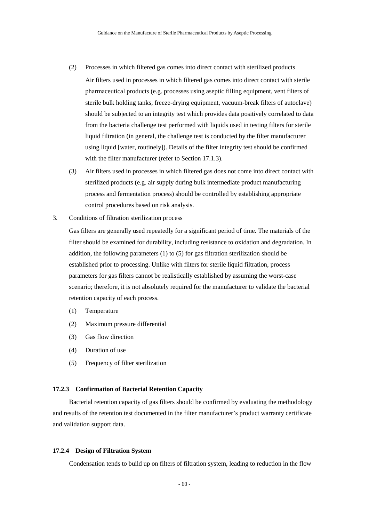- (2) Processes in which filtered gas comes into direct contact with sterilized products Air filters used in processes in which filtered gas comes into direct contact with sterile pharmaceutical products (e.g. processes using aseptic filling equipment, vent filters of sterile bulk holding tanks, freeze-drying equipment, vacuum-break filters of autoclave) should be subjected to an integrity test which provides data positively correlated to data from the bacteria challenge test performed with liquids used in testing filters for sterile liquid filtration (in general, the challenge test is conducted by the filter manufacturer using liquid [water, routinely]). Details of the filter integrity test should be confirmed with the filter manufacturer (refer to Section 17.1.3).
- (3) Air filters used in processes in which filtered gas does not come into direct contact with sterilized products (e.g. air supply during bulk intermediate product manufacturing process and fermentation process) should be controlled by establishing appropriate control procedures based on risk analysis.
- 3. Conditions of filtration sterilization process

Gas filters are generally used repeatedly for a significant period of time. The materials of the filter should be examined for durability, including resistance to oxidation and degradation. In addition, the following parameters (1) to (5) for gas filtration sterilization should be established prior to processing. Unlike with filters for sterile liquid filtration, process parameters for gas filters cannot be realistically established by assuming the worst-case scenario; therefore, it is not absolutely required for the manufacturer to validate the bacterial retention capacity of each process.

- (1) Temperature
- (2) Maximum pressure differential
- (3) Gas flow direction
- (4) Duration of use
- (5) Frequency of filter sterilization

## **17.2.3 Confirmation of Bacterial Retention Capacity**

Bacterial retention capacity of gas filters should be confirmed by evaluating the methodology and results of the retention test documented in the filter manufacturer's product warranty certificate and validation support data.

### **17.2.4 Design of Filtration System**

Condensation tends to build up on filters of filtration system, leading to reduction in the flow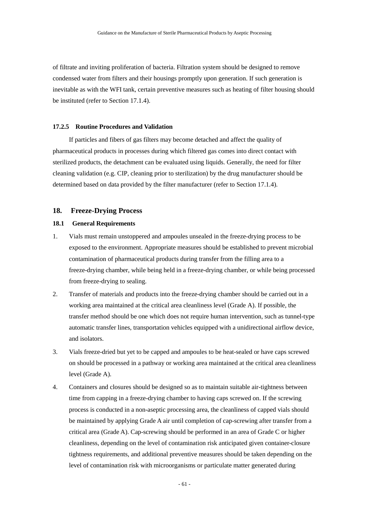of filtrate and inviting proliferation of bacteria. Filtration system should be designed to remove condensed water from filters and their housings promptly upon generation. If such generation is inevitable as with the WFI tank, certain preventive measures such as heating of filter housing should be instituted (refer to Section 17.1.4).

### **17.2.5 Routine Procedures and Validation**

If particles and fibers of gas filters may become detached and affect the quality of pharmaceutical products in processes during which filtered gas comes into direct contact with sterilized products, the detachment can be evaluated using liquids. Generally, the need for filter cleaning validation (e.g. CIP, cleaning prior to sterilization) by the drug manufacturer should be determined based on data provided by the filter manufacturer (refer to Section 17.1.4).

## **18. Freeze-Drying Process**

### **18.1 General Requirements**

- 1. Vials must remain unstoppered and ampoules unsealed in the freeze-drying process to be exposed to the environment. Appropriate measures should be established to prevent microbial contamination of pharmaceutical products during transfer from the filling area to a freeze-drying chamber, while being held in a freeze-drying chamber, or while being processed from freeze-drying to sealing.
- 2. Transfer of materials and products into the freeze-drying chamber should be carried out in a working area maintained at the critical area cleanliness level (Grade A). If possible, the transfer method should be one which does not require human intervention, such as tunnel-type automatic transfer lines, transportation vehicles equipped with a unidirectional airflow device, and isolators.
- 3. Vials freeze-dried but yet to be capped and ampoules to be heat-sealed or have caps screwed on should be processed in a pathway or working area maintained at the critical area cleanliness level (Grade A).
- 4. Containers and closures should be designed so as to maintain suitable air-tightness between time from capping in a freeze-drying chamber to having caps screwed on. If the screwing process is conducted in a non-aseptic processing area, the cleanliness of capped vials should be maintained by applying Grade A air until completion of cap-screwing after transfer from a critical area (Grade A). Cap-screwing should be performed in an area of Grade C or higher cleanliness, depending on the level of contamination risk anticipated given container-closure tightness requirements, and additional preventive measures should be taken depending on the level of contamination risk with microorganisms or particulate matter generated during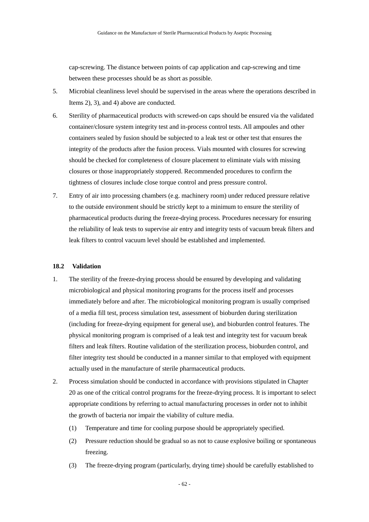cap-screwing. The distance between points of cap application and cap-screwing and time between these processes should be as short as possible.

- 5. Microbial cleanliness level should be supervised in the areas where the operations described in Items 2), 3), and 4) above are conducted.
- 6. Sterility of pharmaceutical products with screwed-on caps should be ensured via the validated container/closure system integrity test and in-process control tests. All ampoules and other containers sealed by fusion should be subjected to a leak test or other test that ensures the integrity of the products after the fusion process. Vials mounted with closures for screwing should be checked for completeness of closure placement to eliminate vials with missing closures or those inappropriately stoppered. Recommended procedures to confirm the tightness of closures include close torque control and press pressure control.
- 7. Entry of air into processing chambers (e.g. machinery room) under reduced pressure relative to the outside environment should be strictly kept to a minimum to ensure the sterility of pharmaceutical products during the freeze-drying process. Procedures necessary for ensuring the reliability of leak tests to supervise air entry and integrity tests of vacuum break filters and leak filters to control vacuum level should be established and implemented.

### **18.2 Validation**

- 1. The sterility of the freeze-drying process should be ensured by developing and validating microbiological and physical monitoring programs for the process itself and processes immediately before and after. The microbiological monitoring program is usually comprised of a media fill test, process simulation test, assessment of bioburden during sterilization (including for freeze-drying equipment for general use), and bioburden control features. The physical monitoring program is comprised of a leak test and integrity test for vacuum break filters and leak filters. Routine validation of the sterilization process, bioburden control, and filter integrity test should be conducted in a manner similar to that employed with equipment actually used in the manufacture of sterile pharmaceutical products.
- 2. Process simulation should be conducted in accordance with provisions stipulated in Chapter 20 as one of the critical control programs for the freeze-drying process. It is important to select appropriate conditions by referring to actual manufacturing processes in order not to inhibit the growth of bacteria nor impair the viability of culture media.
	- (1) Temperature and time for cooling purpose should be appropriately specified.
	- (2) Pressure reduction should be gradual so as not to cause explosive boiling or spontaneous freezing.
	- (3) The freeze-drying program (particularly, drying time) should be carefully established to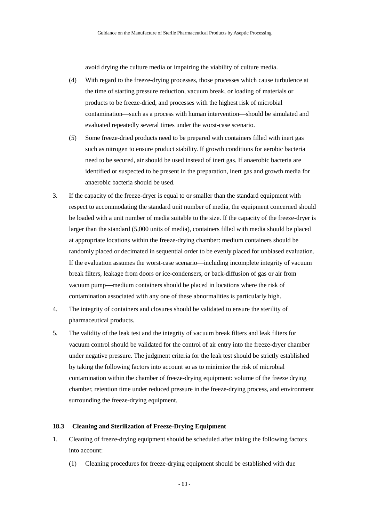avoid drying the culture media or impairing the viability of culture media.

- (4) With regard to the freeze-drying processes, those processes which cause turbulence at the time of starting pressure reduction, vacuum break, or loading of materials or products to be freeze-dried, and processes with the highest risk of microbial contamination—such as a process with human intervention—should be simulated and evaluated repeatedly several times under the worst-case scenario.
- (5) Some freeze-dried products need to be prepared with containers filled with inert gas such as nitrogen to ensure product stability. If growth conditions for aerobic bacteria need to be secured, air should be used instead of inert gas. If anaerobic bacteria are identified or suspected to be present in the preparation, inert gas and growth media for anaerobic bacteria should be used.
- 3. If the capacity of the freeze-dryer is equal to or smaller than the standard equipment with respect to accommodating the standard unit number of media, the equipment concerned should be loaded with a unit number of media suitable to the size. If the capacity of the freeze-dryer is larger than the standard (5,000 units of media), containers filled with media should be placed at appropriate locations within the freeze-drying chamber: medium containers should be randomly placed or decimated in sequential order to be evenly placed for unbiased evaluation. If the evaluation assumes the worst-case scenario—including incomplete integrity of vacuum break filters, leakage from doors or ice-condensers, or back-diffusion of gas or air from vacuum pump—medium containers should be placed in locations where the risk of contamination associated with any one of these abnormalities is particularly high.
- 4. The integrity of containers and closures should be validated to ensure the sterility of pharmaceutical products.
- 5. The validity of the leak test and the integrity of vacuum break filters and leak filters for vacuum control should be validated for the control of air entry into the freeze-dryer chamber under negative pressure. The judgment criteria for the leak test should be strictly established by taking the following factors into account so as to minimize the risk of microbial contamination within the chamber of freeze-drying equipment: volume of the freeze drying chamber, retention time under reduced pressure in the freeze-drying process, and environment surrounding the freeze-drying equipment.

### **18.3 Cleaning and Sterilization of Freeze-Drying Equipment**

- 1. Cleaning of freeze-drying equipment should be scheduled after taking the following factors into account:
	- (1) Cleaning procedures for freeze-drying equipment should be established with due

- 63 -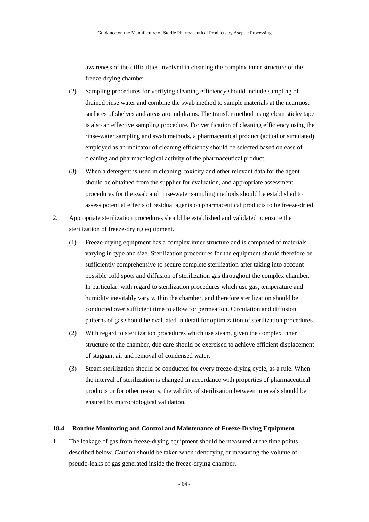awareness of the difficulties involved in cleaning the complex inner structure of the freeze-drying chamber.

- (2) Sampling procedures for verifying cleaning efficiency should include sampling of drained rinse water and combine the swab method to sample materials at the nearmost surfaces of shelves and areas around drains. The transfer method using clean sticky tape is also an effective sampling procedure. For verification of cleaning efficiency using the rinse-water sampling and swab methods, a pharmaceutical product (actual or simulated) employed as an indicator of cleaning efficiency should be selected based on ease of cleaning and pharmacological activity of the pharmaceutical product.
- (3) When a detergent is used in cleaning, toxicity and other relevant data for the agent should be obtained from the supplier for evaluation, and appropriate assessment procedures for the swab and rinse-water sampling methods should be established to assess potential effects of residual agents on pharmaceutical products to be freeze-dried.
- 2. Appropriate sterilization procedures should be established and validated to ensure the sterilization of freeze-drying equipment.
	- (1) Freeze-drying equipment has a complex inner structure and is composed of materials varying in type and size. Sterilization procedures for the equipment should therefore be sufficiently comprehensive to secure complete sterilization after taking into account possible cold spots and diffusion of sterilization gas throughout the complex chamber. In particular, with regard to sterilization procedures which use gas, temperature and humidity inevitably vary within the chamber, and therefore sterilization should be conducted over sufficient time to allow for permeation. Circulation and diffusion patterns of gas should be evaluated in detail for optimization of sterilization procedures.
	- (2) With regard to sterilization procedures which use steam, given the complex inner structure of the chamber, due care should be exercised to achieve efficient displacement of stagnant air and removal of condensed water.
	- (3) Steam sterilization should be conducted for every freeze-drying cycle, as a rule. When the interval of sterilization is changed in accordance with properties of pharmaceutical products or for other reasons, the validity of sterilization between intervals should be ensured by microbiological validation.

### **18.4 Routine Monitoring and Control and Maintenance of Freeze-Drying Equipment**

1. The leakage of gas from freeze-drying equipment should be measured at the time points described below. Caution should be taken when identifying or measuring the volume of pseudo-leaks of gas generated inside the freeze-drying chamber.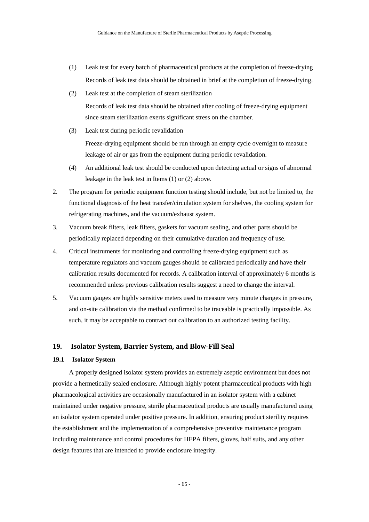- (1) Leak test for every batch of pharmaceutical products at the completion of freeze-drying Records of leak test data should be obtained in brief at the completion of freeze-drying.
- (2) Leak test at the completion of steam sterilization Records of leak test data should be obtained after cooling of freeze-drying equipment since steam sterilization exerts significant stress on the chamber.
- (3) Leak test during periodic revalidation

Freeze-drying equipment should be run through an empty cycle overnight to measure leakage of air or gas from the equipment during periodic revalidation.

- (4) An additional leak test should be conducted upon detecting actual or signs of abnormal leakage in the leak test in Items (1) or (2) above.
- 2. The program for periodic equipment function testing should include, but not be limited to, the functional diagnosis of the heat transfer/circulation system for shelves, the cooling system for refrigerating machines, and the vacuum/exhaust system.
- 3. Vacuum break filters, leak filters, gaskets for vacuum sealing, and other parts should be periodically replaced depending on their cumulative duration and frequency of use.
- 4. Critical instruments for monitoring and controlling freeze-drying equipment such as temperature regulators and vacuum gauges should be calibrated periodically and have their calibration results documented for records. A calibration interval of approximately 6 months is recommended unless previous calibration results suggest a need to change the interval.
- 5. Vacuum gauges are highly sensitive meters used to measure very minute changes in pressure, and on-site calibration via the method confirmed to be traceable is practically impossible. As such, it may be acceptable to contract out calibration to an authorized testing facility.

# **19. Isolator System, Barrier System, and Blow-Fill Seal**

## **19.1 Isolator System**

A properly designed isolator system provides an extremely aseptic environment but does not provide a hermetically sealed enclosure. Although highly potent pharmaceutical products with high pharmacological activities are occasionally manufactured in an isolator system with a cabinet maintained under negative pressure, sterile pharmaceutical products are usually manufactured using an isolator system operated under positive pressure. In addition, ensuring product sterility requires the establishment and the implementation of a comprehensive preventive maintenance program including maintenance and control procedures for HEPA filters, gloves, half suits, and any other design features that are intended to provide enclosure integrity.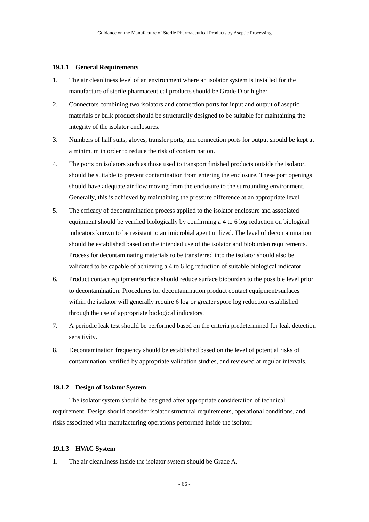#### **19.1.1 General Requirements**

- 1. The air cleanliness level of an environment where an isolator system is installed for the manufacture of sterile pharmaceutical products should be Grade D or higher.
- 2. Connectors combining two isolators and connection ports for input and output of aseptic materials or bulk product should be structurally designed to be suitable for maintaining the integrity of the isolator enclosures.
- 3. Numbers of half suits, gloves, transfer ports, and connection ports for output should be kept at a minimum in order to reduce the risk of contamination.
- 4. The ports on isolators such as those used to transport finished products outside the isolator, should be suitable to prevent contamination from entering the enclosure. These port openings should have adequate air flow moving from the enclosure to the surrounding environment. Generally, this is achieved by maintaining the pressure difference at an appropriate level.
- 5. The efficacy of decontamination process applied to the isolator enclosure and associated equipment should be verified biologically by confirming a 4 to 6 log reduction on biological indicators known to be resistant to antimicrobial agent utilized. The level of decontamination should be established based on the intended use of the isolator and bioburden requirements. Process for decontaminating materials to be transferred into the isolator should also be validated to be capable of achieving a 4 to 6 log reduction of suitable biological indicator.
- 6. Product contact equipment/surface should reduce surface bioburden to the possible level prior to decontamination. Procedures for decontamination product contact equipment/surfaces within the isolator will generally require 6 log or greater spore log reduction established through the use of appropriate biological indicators.
- 7. A periodic leak test should be performed based on the criteria predetermined for leak detection sensitivity.
- 8. Decontamination frequency should be established based on the level of potential risks of contamination, verified by appropriate validation studies, and reviewed at regular intervals.

## **19.1.2 Design of Isolator System**

The isolator system should be designed after appropriate consideration of technical requirement. Design should consider isolator structural requirements, operational conditions, and risks associated with manufacturing operations performed inside the isolator.

#### **19.1.3 HVAC System**

1. The air cleanliness inside the isolator system should be Grade A.

- 66 -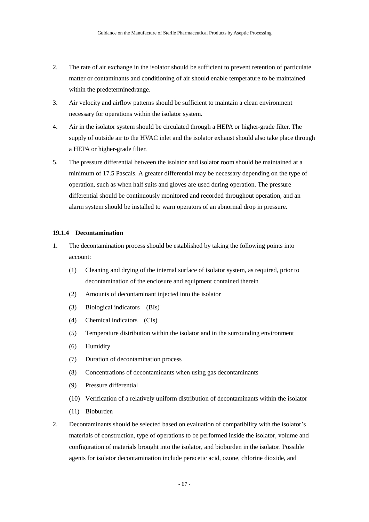- 2. The rate of air exchange in the isolator should be sufficient to prevent retention of particulate matter or contaminants and conditioning of air should enable temperature to be maintained within the predeterminedrange.
- 3. Air velocity and airflow patterns should be sufficient to maintain a clean environment necessary for operations within the isolator system.
- 4. Air in the isolator system should be circulated through a HEPA or higher-grade filter. The supply of outside air to the HVAC inlet and the isolator exhaust should also take place through a HEPA or higher-grade filter.
- 5. The pressure differential between the isolator and isolator room should be maintained at a minimum of 17.5 Pascals. A greater differential may be necessary depending on the type of operation, such as when half suits and gloves are used during operation. The pressure differential should be continuously monitored and recorded throughout operation, and an alarm system should be installed to warn operators of an abnormal drop in pressure.

## **19.1.4 Decontamination**

- 1. The decontamination process should be established by taking the following points into account:
	- (1) Cleaning and drying of the internal surface of isolator system, as required, prior to decontamination of the enclosure and equipment contained therein
	- (2) Amounts of decontaminant injected into the isolator
	- (3) Biological indicators (BIs)
	- (4) Chemical indicators (CIs)
	- (5) Temperature distribution within the isolator and in the surrounding environment
	- (6) Humidity
	- (7) Duration of decontamination process
	- (8) Concentrations of decontaminants when using gas decontaminants
	- (9) Pressure differential
	- (10) Verification of a relatively uniform distribution of decontaminants within the isolator
	- (11) Bioburden
- 2. Decontaminants should be selected based on evaluation of compatibility with the isolator's materials of construction, type of operations to be performed inside the isolator, volume and configuration of materials brought into the isolator, and bioburden in the isolator. Possible agents for isolator decontamination include peracetic acid, ozone, chlorine dioxide, and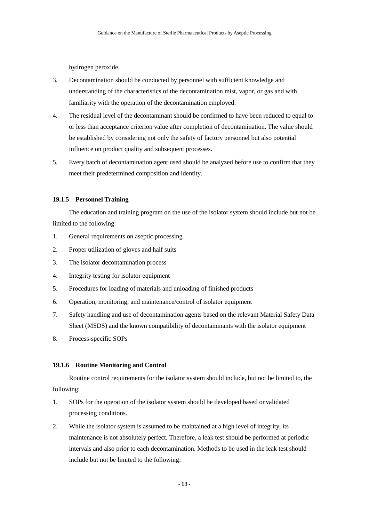hydrogen peroxide.

- 3. Decontamination should be conducted by personnel with sufficient knowledge and understanding of the characteristics of the decontamination mist, vapor, or gas and with familiarity with the operation of the decontamination employed.
- 4. The residual level of the decontaminant should be confirmed to have been reduced to equal to or less than acceptance criterion value after completion of decontamination. The value should be established by considering not only the safety of factory personnel but also potential influence on product quality and subsequent processes.
- 5. Every batch of decontamination agent used should be analyzed before use to confirm that they meet their predetermined composition and identity.

## **19.1.5 Personnel Training**

The education and training program on the use of the isolator system should include but not be limited to the following:

- 1. General requirements on aseptic processing
- 2. Proper utilization of gloves and half suits
- 3. The isolator decontamination process
- 4. Integrity testing for isolator equipment
- 5. Procedures for loading of materials and unloading of finished products
- 6. Operation, monitoring, and maintenance/control of isolator equipment
- 7. Safety handling and use of decontamination agents based on the relevant Material Safety Data Sheet (MSDS) and the known compatibility of decontaminants with the isolator equipment
- 8. Process-specific SOPs

#### **19.1.6 Routine Monitoring and Control**

Routine control requirements for the isolator system should include, but not be limited to, the following:

- 1. SOPs for the operation of the isolator system should be developed based onvalidated processing conditions.
- 2. While the isolator system is assumed to be maintained at a high level of integrity, its maintenance is not absolutely perfect. Therefore, a leak test should be performed at periodic intervals and also prior to each decontamination. Methods to be used in the leak test should include but not be limited to the following: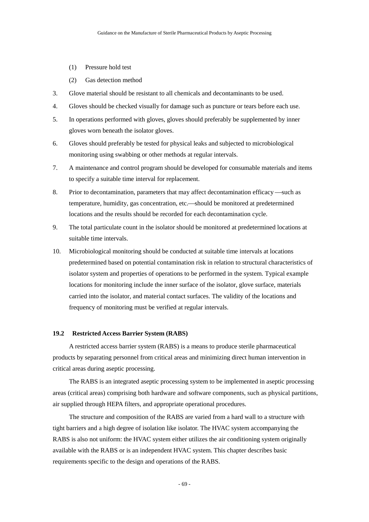- (1) Pressure hold test
- (2) Gas detection method
- 3. Glove material should be resistant to all chemicals and decontaminants to be used.
- 4. Gloves should be checked visually for damage such as puncture or tears before each use.
- 5. In operations performed with gloves, gloves should preferably be supplemented by inner gloves worn beneath the isolator gloves.
- 6. Gloves should preferably be tested for physical leaks and subjected to microbiological monitoring using swabbing or other methods at regular intervals.
- 7. A maintenance and control program should be developed for consumable materials and items to specify a suitable time interval for replacement.
- 8. Prior to decontamination, parameters that may affect decontamination efficacy —such as temperature, humidity, gas concentration, etc.—should be monitored at predetermined locations and the results should be recorded for each decontamination cycle.
- 9. The total particulate count in the isolator should be monitored at predetermined locations at suitable time intervals.
- 10. Microbiological monitoring should be conducted at suitable time intervals at locations predetermined based on potential contamination risk in relation to structural characteristics of isolator system and properties of operations to be performed in the system. Typical example locations for monitoring include the inner surface of the isolator, glove surface, materials carried into the isolator, and material contact surfaces. The validity of the locations and frequency of monitoring must be verified at regular intervals.

#### **19.2 Restricted Access Barrier System (RABS)**

A restricted access barrier system (RABS) is a means to produce sterile pharmaceutical products by separating personnel from critical areas and minimizing direct human intervention in critical areas during aseptic processing.

The RABS is an integrated aseptic processing system to be implemented in aseptic processing areas (critical areas) comprising both hardware and software components, such as physical partitions, air supplied through HEPA filters, and appropriate operational procedures.

The structure and composition of the RABS are varied from a hard wall to a structure with tight barriers and a high degree of isolation like isolator. The HVAC system accompanying the RABS is also not uniform: the HVAC system either utilizes the air conditioning system originally available with the RABS or is an independent HVAC system. This chapter describes basic requirements specific to the design and operations of the RABS.

- 69 -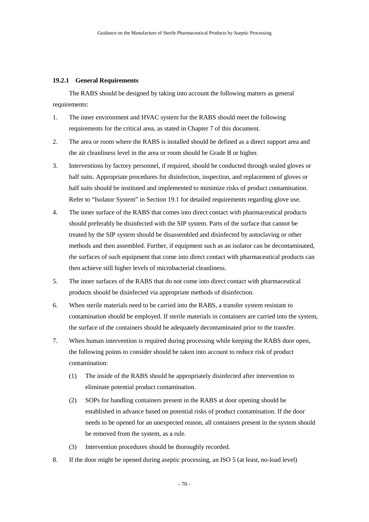#### **19.2.1 General Requirements**

The RABS should be designed by taking into account the following matters as general requirements:

- 1. The inner environment and HVAC system for the RABS should meet the following requirements for the critical area, as stated in Chapter 7 of this document.
- 2. The area or room where the RABS is installed should be defined as a direct support area and the air cleanliness level in the area or room should be Grade B or higher.
- 3. Interventions by factory personnel, if required, should be conducted through sealed gloves or half suits. Appropriate procedures for disinfection, inspection, and replacement of gloves or half suits should be instituted and implemented to minimize risks of product contamination. Refer to "Isolator System" in Section 19.1 for detailed requirements regarding glove use.
- 4. The inner surface of the RABS that comes into direct contact with pharmaceutical products should preferably be disinfected with the SIP system. Parts of the surface that cannot be treated by the SIP system should be disassembled and disinfected by autoclaving or other methods and then assembled. Further, if equipment such as an isolator can be decontaminated, the surfaces of such equipment that come into direct contact with pharmaceutical products can then achieve still higher levels of microbacterial cleanliness.
- 5. The inner surfaces of the RABS that do not come into direct contact with pharmaceutical products should be disinfected via appropriate methods of disinfection.
- 6. When sterile materials need to be carried into the RABS, a transfer system resistant to contamination should be employed. If sterile materials in containers are carried into the system, the surface of the containers should be adequately decontaminated prior to the transfer.
- 7. When human intervention is required during processing while keeping the RABS door open, the following points to consider should be taken into account to reduce risk of product contamination:
	- (1) The inside of the RABS should be appropriately disinfected after intervention to eliminate potential product contamination.
	- (2) SOPs for handling containers present in the RABS at door opening should be established in advance based on potential risks of product contamination. If the door needs to be opened for an unexpected reason, all containers present in the system should be removed from the system, as a rule.
	- (3) Intervention procedures should be thoroughly recorded.
- 8. If the door might be opened during aseptic processing, an ISO 5 (at least, no-load level)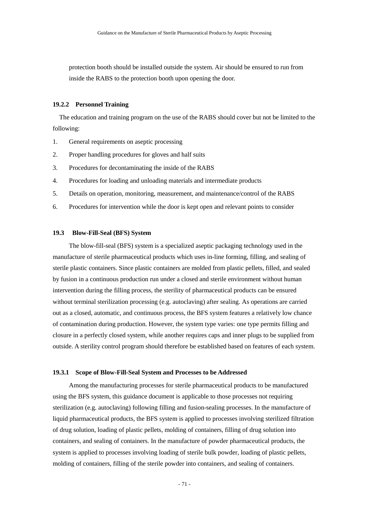protection booth should be installed outside the system. Air should be ensured to run from inside the RABS to the protection booth upon opening the door.

## **19.2.2 Personnel Training**

The education and training program on the use of the RABS should cover but not be limited to the following:

- 1. General requirements on aseptic processing
- 2. Proper handling procedures for gloves and half suits
- 3. Procedures for decontaminating the inside of the RABS
- 4. Procedures for loading and unloading materials and intermediate products
- 5. Details on operation, monitoring, measurement, and maintenance/control of the RABS
- 6. Procedures for intervention while the door is kept open and relevant points to consider

#### **19.3 Blow-Fill-Seal (BFS) System**

The blow-fill-seal (BFS) system is a specialized aseptic packaging technology used in the manufacture of sterile pharmaceutical products which uses in-line forming, filling, and sealing of sterile plastic containers. Since plastic containers are molded from plastic pellets, filled, and sealed by fusion in a continuous production run under a closed and sterile environment without human intervention during the filling process, the sterility of pharmaceutical products can be ensured without terminal sterilization processing (e.g. autoclaving) after sealing. As operations are carried out as a closed, automatic, and continuous process, the BFS system features a relatively low chance of contamination during production. However, the system type varies: one type permits filling and closure in a perfectly closed system, while another requires caps and inner plugs to be supplied from outside. A sterility control program should therefore be established based on features of each system.

#### **19.3.1 Scope of Blow-Fill-Seal System and Processes to be Addressed**

Among the manufacturing processes for sterile pharmaceutical products to be manufactured using the BFS system, this guidance document is applicable to those processes not requiring sterilization (e.g. autoclaving) following filling and fusion-sealing processes. In the manufacture of liquid pharmaceutical products, the BFS system is applied to processes involving sterilized filtration of drug solution, loading of plastic pellets, molding of containers, filling of drug solution into containers, and sealing of containers. In the manufacture of powder pharmaceutical products, the system is applied to processes involving loading of sterile bulk powder, loading of plastic pellets, molding of containers, filling of the sterile powder into containers, and sealing of containers.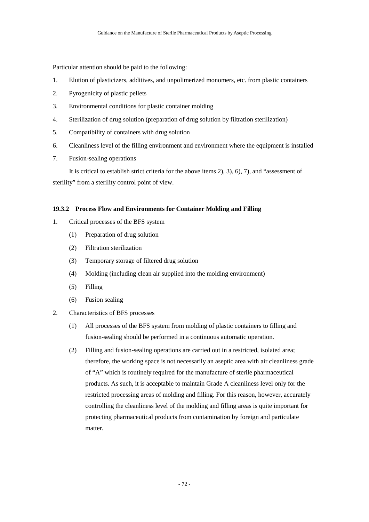Particular attention should be paid to the following:

- 1. Elution of plasticizers, additives, and unpolimerized monomers, etc. from plastic containers
- 2. Pyrogenicity of plastic pellets
- 3. Environmental conditions for plastic container molding
- 4. Sterilization of drug solution (preparation of drug solution by filtration sterilization)
- 5. Compatibility of containers with drug solution
- 6. Cleanliness level of the filling environment and environment where the equipment is installed
- 7. Fusion-sealing operations

It is critical to establish strict criteria for the above items 2), 3), 6), 7), and "assessment of sterility" from a sterility control point of view.

## **19.3.2 Process Flow and Environments for Container Molding and Filling**

- 1. Critical processes of the BFS system
	- (1) Preparation of drug solution
	- (2) Filtration sterilization
	- (3) Temporary storage of filtered drug solution
	- (4) Molding (including clean air supplied into the molding environment)
	- (5) Filling
	- (6) Fusion sealing
- 2. Characteristics of BFS processes
	- (1) All processes of the BFS system from molding of plastic containers to filling and fusion-sealing should be performed in a continuous automatic operation.
	- (2) Filling and fusion-sealing operations are carried out in a restricted, isolated area; therefore, the working space is not necessarily an aseptic area with air cleanliness grade of "A" which is routinely required for the manufacture of sterile pharmaceutical products. As such, it is acceptable to maintain Grade A cleanliness level only for the restricted processing areas of molding and filling. For this reason, however, accurately controlling the cleanliness level of the molding and filling areas is quite important for protecting pharmaceutical products from contamination by foreign and particulate matter.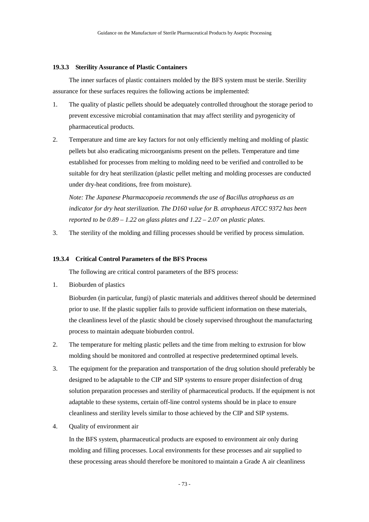#### **19.3.3 Sterility Assurance of Plastic Containers**

The inner surfaces of plastic containers molded by the BFS system must be sterile. Sterility assurance for these surfaces requires the following actions be implemented:

- 1. The quality of plastic pellets should be adequately controlled throughout the storage period to prevent excessive microbial contamination that may affect sterility and pyrogenicity of pharmaceutical products.
- 2. Temperature and time are key factors for not only efficiently melting and molding of plastic pellets but also eradicating microorganisms present on the pellets. Temperature and time established for processes from melting to molding need to be verified and controlled to be suitable for dry heat sterilization (plastic pellet melting and molding processes are conducted under dry-heat conditions, free from moisture).

*Note: The Japanese Pharmacopoeia recommends the use of Bacillus atrophaeus as an indicator for dry heat sterilization. The D160 value for B. atrophaeus ATCC 9372 has been reported to be 0.89 – 1.22 on glass plates and 1.22 – 2.07 on plastic plates.* 

3. The sterility of the molding and filling processes should be verified by process simulation.

## **19.3.4 Critical Control Parameters of the BFS Process**

The following are critical control parameters of the BFS process:

1. Bioburden of plastics

Bioburden (in particular, fungi) of plastic materials and additives thereof should be determined prior to use. If the plastic supplier fails to provide sufficient information on these materials, the cleanliness level of the plastic should be closely supervised throughout the manufacturing process to maintain adequate bioburden control.

- 2. The temperature for melting plastic pellets and the time from melting to extrusion for blow molding should be monitored and controlled at respective predetermined optimal levels.
- 3. The equipment for the preparation and transportation of the drug solution should preferably be designed to be adaptable to the CIP and SIP systems to ensure proper disinfection of drug solution preparation processes and sterility of pharmaceutical products. If the equipment is not adaptable to these systems, certain off-line control systems should be in place to ensure cleanliness and sterility levels similar to those achieved by the CIP and SIP systems.
- 4. Quality of environment air

In the BFS system, pharmaceutical products are exposed to environment air only during molding and filling processes. Local environments for these processes and air supplied to these processing areas should therefore be monitored to maintain a Grade A air cleanliness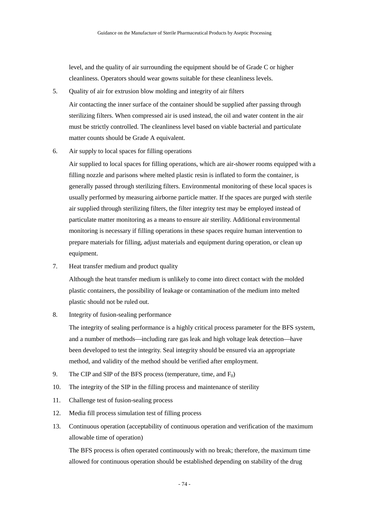level, and the quality of air surrounding the equipment should be of Grade C or higher cleanliness. Operators should wear gowns suitable for these cleanliness levels.

5. Quality of air for extrusion blow molding and integrity of air filters

Air contacting the inner surface of the container should be supplied after passing through sterilizing filters. When compressed air is used instead, the oil and water content in the air must be strictly controlled. The cleanliness level based on viable bacterial and particulate matter counts should be Grade A equivalent.

6. Air supply to local spaces for filling operations

Air supplied to local spaces for filling operations, which are air-shower rooms equipped with a filling nozzle and parisons where melted plastic resin is inflated to form the container, is generally passed through sterilizing filters. Environmental monitoring of these local spaces is usually performed by measuring airborne particle matter. If the spaces are purged with sterile air supplied through sterilizing filters, the filter integrity test may be employed instead of particulate matter monitoring as a means to ensure air sterility. Additional environmental monitoring is necessary if filling operations in these spaces require human intervention to prepare materials for filling, adjust materials and equipment during operation, or clean up equipment.

7. Heat transfer medium and product quality

Although the heat transfer medium is unlikely to come into direct contact with the molded plastic containers, the possibility of leakage or contamination of the medium into melted plastic should not be ruled out.

8. Integrity of fusion-sealing performance

The integrity of sealing performance is a highly critical process parameter for the BFS system, and a number of methods—including rare gas leak and high voltage leak detection—have been developed to test the integrity. Seal integrity should be ensured via an appropriate method, and validity of the method should be verified after employment.

- 9. The CIP and SIP of the BFS process (temperature, time, and  $F_0$ )
- 10. The integrity of the SIP in the filling process and maintenance of sterility
- 11. Challenge test of fusion-sealing process
- 12. Media fill process simulation test of filling process
- 13. Continuous operation (acceptability of continuous operation and verification of the maximum allowable time of operation)

The BFS process is often operated continuously with no break; therefore, the maximum time allowed for continuous operation should be established depending on stability of the drug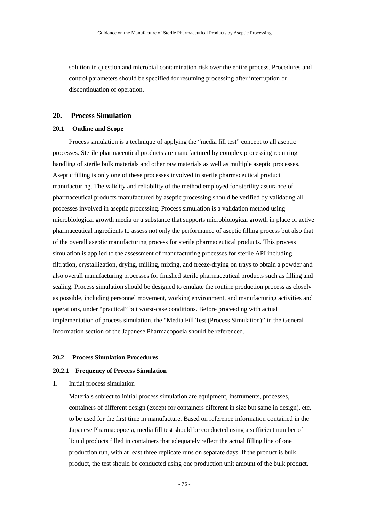solution in question and microbial contamination risk over the entire process. Procedures and control parameters should be specified for resuming processing after interruption or discontinuation of operation.

## **20. Process Simulation**

## **20.1 Outline and Scope**

Process simulation is a technique of applying the "media fill test" concept to all aseptic processes. Sterile pharmaceutical products are manufactured by complex processing requiring handling of sterile bulk materials and other raw materials as well as multiple aseptic processes. Aseptic filling is only one of these processes involved in sterile pharmaceutical product manufacturing. The validity and reliability of the method employed for sterility assurance of pharmaceutical products manufactured by aseptic processing should be verified by validating all processes involved in aseptic processing. Process simulation is a validation method using microbiological growth media or a substance that supports microbiological growth in place of active pharmaceutical ingredients to assess not only the performance of aseptic filling process but also that of the overall aseptic manufacturing process for sterile pharmaceutical products. This process simulation is applied to the assessment of manufacturing processes for sterile API including filtration, crystallization, drying, milling, mixing, and freeze-drying on trays to obtain a powder and also overall manufacturing processes for finished sterile pharmaceutical products such as filling and sealing. Process simulation should be designed to emulate the routine production process as closely as possible, including personnel movement, working environment, and manufacturing activities and operations, under "practical" but worst-case conditions. Before proceeding with actual implementation of process simulation, the "Media Fill Test (Process Simulation)" in the General Information section of the Japanese Pharmacopoeia should be referenced.

## **20.2 Process Simulation Procedures**

#### **20.2.1 Frequency of Process Simulation**

1. Initial process simulation

Materials subject to initial process simulation are equipment, instruments, processes, containers of different design (except for containers different in size but same in design), etc. to be used for the first time in manufacture. Based on reference information contained in the Japanese Pharmacopoeia, media fill test should be conducted using a sufficient number of liquid products filled in containers that adequately reflect the actual filling line of one production run, with at least three replicate runs on separate days. If the product is bulk product, the test should be conducted using one production unit amount of the bulk product.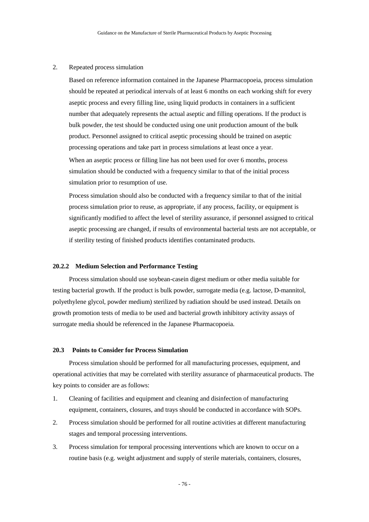## 2. Repeated process simulation

Based on reference information contained in the Japanese Pharmacopoeia, process simulation should be repeated at periodical intervals of at least 6 months on each working shift for every aseptic process and every filling line, using liquid products in containers in a sufficient number that adequately represents the actual aseptic and filling operations. If the product is bulk powder, the test should be conducted using one unit production amount of the bulk product. Personnel assigned to critical aseptic processing should be trained on aseptic processing operations and take part in process simulations at least once a year.

When an aseptic process or filling line has not been used for over 6 months, process simulation should be conducted with a frequency similar to that of the initial process simulation prior to resumption of use.

Process simulation should also be conducted with a frequency similar to that of the initial process simulation prior to reuse, as appropriate, if any process, facility, or equipment is significantly modified to affect the level of sterility assurance, if personnel assigned to critical aseptic processing are changed, if results of environmental bacterial tests are not acceptable, or if sterility testing of finished products identifies contaminated products.

#### **20.2.2 Medium Selection and Performance Testing**

Process simulation should use soybean-casein digest medium or other media suitable for testing bacterial growth. If the product is bulk powder, surrogate media (e.g. lactose, D-mannitol, polyethylene glycol, powder medium) sterilized by radiation should be used instead. Details on growth promotion tests of media to be used and bacterial growth inhibitory activity assays of surrogate media should be referenced in the Japanese Pharmacopoeia.

## **20.3 Points to Consider for Process Simulation**

Process simulation should be performed for all manufacturing processes, equipment, and operational activities that may be correlated with sterility assurance of pharmaceutical products. The key points to consider are as follows:

- 1. Cleaning of facilities and equipment and cleaning and disinfection of manufacturing equipment, containers, closures, and trays should be conducted in accordance with SOPs.
- 2. Process simulation should be performed for all routine activities at different manufacturing stages and temporal processing interventions.
- 3. Process simulation for temporal processing interventions which are known to occur on a routine basis (e.g. weight adjustment and supply of sterile materials, containers, closures,

- 76 -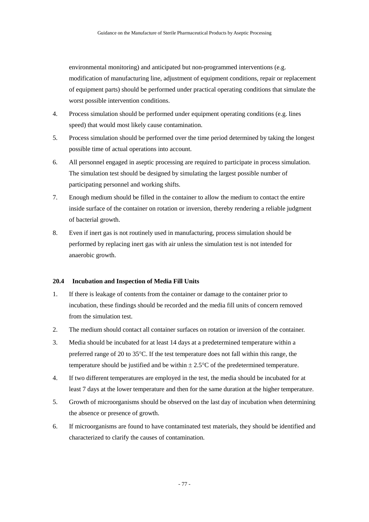environmental monitoring) and anticipated but non-programmed interventions (e.g. modification of manufacturing line, adjustment of equipment conditions, repair or replacement of equipment parts) should be performed under practical operating conditions that simulate the worst possible intervention conditions.

- 4. Process simulation should be performed under equipment operating conditions (e.g. lines speed) that would most likely cause contamination.
- 5. Process simulation should be performed over the time period determined by taking the longest possible time of actual operations into account.
- 6. All personnel engaged in aseptic processing are required to participate in process simulation. The simulation test should be designed by simulating the largest possible number of participating personnel and working shifts.
- 7. Enough medium should be filled in the container to allow the medium to contact the entire inside surface of the container on rotation or inversion, thereby rendering a reliable judgment of bacterial growth.
- 8. Even if inert gas is not routinely used in manufacturing, process simulation should be performed by replacing inert gas with air unless the simulation test is not intended for anaerobic growth.

## **20.4 Incubation and Inspection of Media Fill Units**

- 1. If there is leakage of contents from the container or damage to the container prior to incubation, these findings should be recorded and the media fill units of concern removed from the simulation test.
- 2. The medium should contact all container surfaces on rotation or inversion of the container.
- 3. Media should be incubated for at least 14 days at a predetermined temperature within a preferred range of 20 to 35°C. If the test temperature does not fall within this range, the temperature should be justified and be within  $\pm 2.5^{\circ}$ C of the predetermined temperature.
- 4. If two different temperatures are employed in the test, the media should be incubated for at least 7 days at the lower temperature and then for the same duration at the higher temperature.
- 5. Growth of microorganisms should be observed on the last day of incubation when determining the absence or presence of growth.
- 6. If microorganisms are found to have contaminated test materials, they should be identified and characterized to clarify the causes of contamination.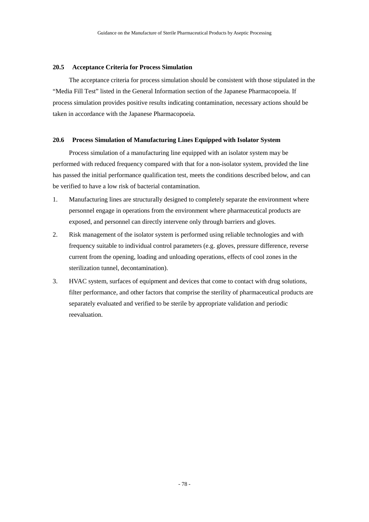#### **20.5 Acceptance Criteria for Process Simulation**

The acceptance criteria for process simulation should be consistent with those stipulated in the "Media Fill Test" listed in the General Information section of the Japanese Pharmacopoeia. If process simulation provides positive results indicating contamination, necessary actions should be taken in accordance with the Japanese Pharmacopoeia.

## **20.6 Process Simulation of Manufacturing Lines Equipped with Isolator System**

Process simulation of a manufacturing line equipped with an isolator system may be performed with reduced frequency compared with that for a non-isolator system, provided the line has passed the initial performance qualification test, meets the conditions described below, and can be verified to have a low risk of bacterial contamination.

- 1. Manufacturing lines are structurally designed to completely separate the environment where personnel engage in operations from the environment where pharmaceutical products are exposed, and personnel can directly intervene only through barriers and gloves.
- 2. Risk management of the isolator system is performed using reliable technologies and with frequency suitable to individual control parameters (e.g. gloves, pressure difference, reverse current from the opening, loading and unloading operations, effects of cool zones in the sterilization tunnel, decontamination).
- 3. HVAC system, surfaces of equipment and devices that come to contact with drug solutions, filter performance, and other factors that comprise the sterility of pharmaceutical products are separately evaluated and verified to be sterile by appropriate validation and periodic reevaluation.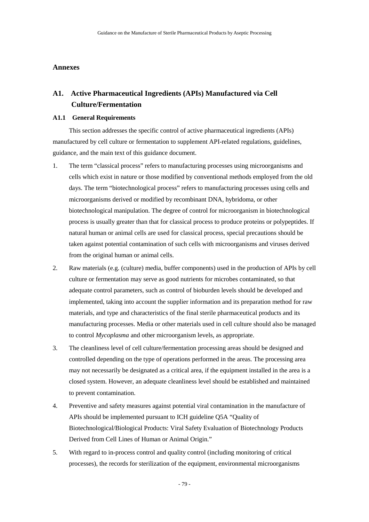#### **Annexes**

# **A1. Active Pharmaceutical Ingredients (APIs) Manufactured via Cell Culture/Fermentation**

#### **A1.1 General Requirements**

This section addresses the specific control of active pharmaceutical ingredients (APIs) manufactured by cell culture or fermentation to supplement API-related regulations, guidelines, guidance, and the main text of this guidance document.

- 1. The term "classical process" refers to manufacturing processes using microorganisms and cells which exist in nature or those modified by conventional methods employed from the old days. The term "biotechnological process" refers to manufacturing processes using cells and microorganisms derived or modified by recombinant DNA, hybridoma, or other biotechnological manipulation. The degree of control for microorganism in biotechnological process is usually greater than that for classical process to produce proteins or polypeptides. If natural human or animal cells are used for classical process, special precautions should be taken against potential contamination of such cells with microorganisms and viruses derived from the original human or animal cells.
- 2. Raw materials (e.g. (culture) media, buffer components) used in the production of APIs by cell culture or fermentation may serve as good nutrients for microbes contaminated, so that adequate control parameters, such as control of bioburden levels should be developed and implemented, taking into account the supplier information and its preparation method for raw materials, and type and characteristics of the final sterile pharmaceutical products and its manufacturing processes. Media or other materials used in cell culture should also be managed to control *Mycoplasma* and other microorganism levels, as appropriate.
- 3. The cleanliness level of cell culture/fermentation processing areas should be designed and controlled depending on the type of operations performed in the areas. The processing area may not necessarily be designated as a critical area, if the equipment installed in the area is a closed system. However, an adequate cleanliness level should be established and maintained to prevent contamination.
- 4. Preventive and safety measures against potential viral contamination in the manufacture of APIs should be implemented pursuant to ICH guideline Q5A "Quality of Biotechnological/Biological Products: Viral Safety Evaluation of Biotechnology Products Derived from Cell Lines of Human or Animal Origin."
- 5. With regard to in-process control and quality control (including monitoring of critical processes), the records for sterilization of the equipment, environmental microorganisms

- 79 -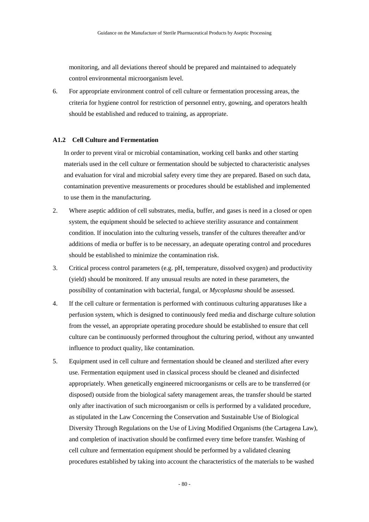monitoring, and all deviations thereof should be prepared and maintained to adequately control environmental microorganism level.

6. For appropriate environment control of cell culture or fermentation processing areas, the criteria for hygiene control for restriction of personnel entry, gowning, and operators health should be established and reduced to training, as appropriate.

## **A1.2 Cell Culture and Fermentation**

In order to prevent viral or microbial contamination, working cell banks and other starting materials used in the cell culture or fermentation should be subjected to characteristic analyses and evaluation for viral and microbial safety every time they are prepared. Based on such data, contamination preventive measurements or procedures should be established and implemented to use them in the manufacturing.

- 2. Where aseptic addition of cell substrates, media, buffer, and gases is need in a closed or open system, the equipment should be selected to achieve sterility assurance and containment condition. If inoculation into the culturing vessels, transfer of the cultures thereafter and/or additions of media or buffer is to be necessary, an adequate operating control and procedures should be established to minimize the contamination risk.
- 3. Critical process control parameters (e.g. pH, temperature, dissolved oxygen) and productivity (yield) should be monitored. If any unusual results are noted in these parameters, the possibility of contamination with bacterial, fungal, or *Mycoplasma* should be assessed.
- 4. If the cell culture or fermentation is performed with continuous culturing apparatuses like a perfusion system, which is designed to continuously feed media and discharge culture solution from the vessel, an appropriate operating procedure should be established to ensure that cell culture can be continuously performed throughout the culturing period, without any unwanted influence to product quality, like contamination.
- 5. Equipment used in cell culture and fermentation should be cleaned and sterilized after every use. Fermentation equipment used in classical process should be cleaned and disinfected appropriately. When genetically engineered microorganisms or cells are to be transferred (or disposed) outside from the biological safety management areas, the transfer should be started only after inactivation of such microorganism or cells is performed by a validated procedure, as stipulated in the Law Concerning the Conservation and Sustainable Use of Biological Diversity Through Regulations on the Use of Living Modified Organisms (the Cartagena Law), and completion of inactivation should be confirmed every time before transfer. Washing of cell culture and fermentation equipment should be performed by a validated cleaning procedures established by taking into account the characteristics of the materials to be washed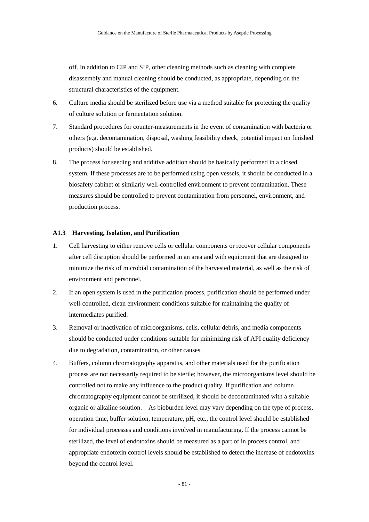off. In addition to CIP and SIP, other cleaning methods such as cleaning with complete disassembly and manual cleaning should be conducted, as appropriate, depending on the structural characteristics of the equipment.

- 6. Culture media should be sterilized before use via a method suitable for protecting the quality of culture solution or fermentation solution.
- 7. Standard procedures for counter-measurements in the event of contamination with bacteria or others (e.g. decontamination, disposal, washing feasibility check, potential impact on finished products) should be established.
- 8. The process for seeding and additive addition should be basically performed in a closed system. If these processes are to be performed using open vessels, it should be conducted in a biosafety cabinet or similarly well-controlled environment to prevent contamination. These measures should be controlled to prevent contamination from personnel, environment, and production process.

#### **A1.3 Harvesting, Isolation, and Purification**

- 1. Cell harvesting to either remove cells or cellular components or recover cellular components after cell disruption should be performed in an area and with equipment that are designed to minimize the risk of microbial contamination of the harvested material, as well as the risk of environment and personnel.
- 2. If an open system is used in the purification process, purification should be performed under well-controlled, clean environment conditions suitable for maintaining the quality of intermediates purified.
- 3. Removal or inactivation of microorganisms, cells, cellular debris, and media components should be conducted under conditions suitable for minimizing risk of API quality deficiency due to degradation, contamination, or other causes.
- 4. Buffers, column chromatography apparatus, and other materials used for the purification process are not necessarily required to be sterile; however, the microorganisms level should be controlled not to make any influence to the product quality. If purification and column chromatography equipment cannot be sterilized, it should be decontaminated with a suitable organic or alkaline solution. As bioburden level may vary depending on the type of process, operation time, buffer solution, temperature, pH, etc., the control level should be established for individual processes and conditions involved in manufacturing. If the process cannot be sterilized, the level of endotoxins should be measured as a part of in process control, and appropriate endotoxin control levels should be established to detect the increase of endotoxins beyond the control level.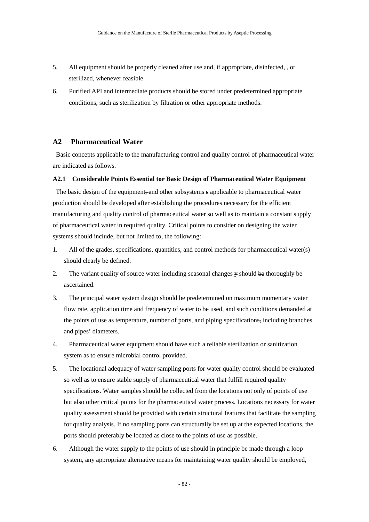- 5. All equipment should be properly cleaned after use and, if appropriate, disinfected, , or sterilized, whenever feasible.
- 6. Purified API and intermediate products should be stored under predetermined appropriate conditions, such as sterilization by filtration or other appropriate methods.

## **A2 Pharmaceutical Water**

Basic concepts applicable to the manufacturing control and quality control of pharmaceutical water are indicated as follows.

#### **A2.1 Considerable Points Essential tor Basic Design of Pharmaceutical Water Equipment**

The basic design of the equipment, and other subsystems s applicable to pharmaceutical water production should be developed after establishing the procedures necessary for the efficient manufacturing and quality control of pharmaceutical water so well as to maintain a constant supply of pharmaceutical water in required quality. Critical points to consider on designing the water systems should include, but not limited to, the following:

- 1. All of the grades, specifications, quantities, and control methods for pharmaceutical water(s) should clearly be defined.
- 2. The variant quality of source water including seasonal changes y should be thoroughly be ascertained.
- 3. The principal water system design should be predetermined on maximum momentary water flow rate, application time and frequency of water to be used, and such conditions demanded at the points of use as temperature, number of ports, and piping specifications, including branches and pipes' diameters.
- 4. Pharmaceutical water equipment should have such a reliable sterilization or sanitization system as to ensure microbial control provided.
- 5. The locational adequacy of water sampling ports for water quality control should be evaluated so well as to ensure stable supply of pharmaceutical water that fulfill required quality specifications. Water samples should be collected from the locations not only of points of use but also other critical points for the pharmaceutical water process. Locations necessary for water quality assessment should be provided with certain structural features that facilitate the sampling for quality analysis. If no sampling ports can structurally be set up at the expected locations, the ports should preferably be located as close to the points of use as possible.
- 6. Although the water supply to the points of use should in principle be made through a loop system, any appropriate alternative means for maintaining water quality should be employed,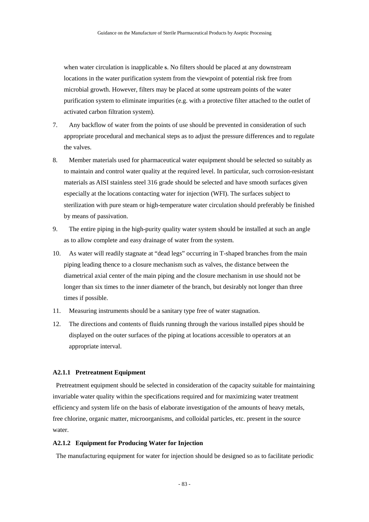when water circulation is inapplicable s. No filters should be placed at any downstream locations in the water purification system from the viewpoint of potential risk free from microbial growth. However, filters may be placed at some upstream points of the water purification system to eliminate impurities (e.g. with a protective filter attached to the outlet of activated carbon filtration system).

- 7. Any backflow of water from the points of use should be prevented in consideration of such appropriate procedural and mechanical steps as to adjust the pressure differences and to regulate the valves.
- 8. Member materials used for pharmaceutical water equipment should be selected so suitably as to maintain and control water quality at the required level. In particular, such corrosion-resistant materials as AISI stainless steel 316 grade should be selected and have smooth surfaces given especially at the locations contacting water for injection (WFI). The surfaces subject to sterilization with pure steam or high-temperature water circulation should preferably be finished by means of passivation.
- 9. The entire piping in the high-purity quality water system should be installed at such an angle as to allow complete and easy drainage of water from the system.
- 10. As water will readily stagnate at "dead legs" occurring in T-shaped branches from the main piping leading thence to a closure mechanism such as valves, the distance between the diametrical axial center of the main piping and the closure mechanism in use should not be longer than six times to the inner diameter of the branch, but desirably not longer than three times if possible.
- 11. Measuring instruments should be a sanitary type free of water stagnation.
- 12. The directions and contents of fluids running through the various installed pipes should be displayed on the outer surfaces of the piping at locations accessible to operators at an appropriate interval.

## **A2.1.1 Pretreatment Equipment**

Pretreatment equipment should be selected in consideration of the capacity suitable for maintaining invariable water quality within the specifications required and for maximizing water treatment efficiency and system life on the basis of elaborate investigation of the amounts of heavy metals, free chlorine, organic matter, microorganisms, and colloidal particles, etc. present in the source water.

#### **A2.1.2 Equipment for Producing Water for Injection**

The manufacturing equipment for water for injection should be designed so as to facilitate periodic

- 83 -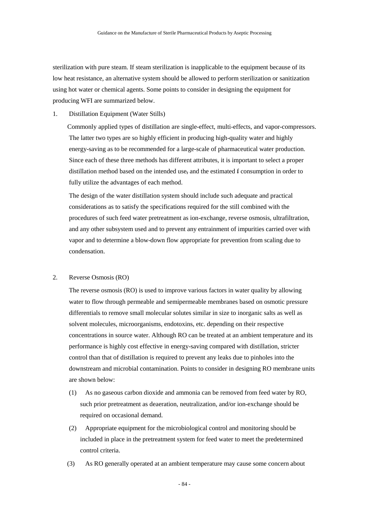sterilization with pure steam. If steam sterilization is inapplicable to the equipment because of its low heat resistance, an alternative system should be allowed to perform sterilization or sanitization using hot water or chemical agents. Some points to consider in designing the equipment for producing WFI are summarized below.

1. Distillation Equipment (Water Stills)

Commonly applied types of distillation are single-effect, multi-effects, and vapor-compressors. The latter two types are so highly efficient in producing high-quality water and highly energy-saving as to be recommended for a large-scale of pharmaceutical water production. Since each of these three methods has different attributes, it is important to select a proper distillation method based on the intended use, and the estimated f consumption in order to fully utilize the advantages of each method.

The design of the water distillation system should include such adequate and practical considerations as to satisfy the specifications required for the still combined with the procedures of such feed water pretreatment as ion-exchange, reverse osmosis, ultrafiltration, and any other subsystem used and to prevent any entrainment of impurities carried over with vapor and to determine a blow-down flow appropriate for prevention from scaling due to condensation.

#### 2. Reverse Osmosis (RO)

The reverse osmosis (RO) is used to improve various factors in water quality by allowing water to flow through permeable and semipermeable membranes based on osmotic pressure differentials to remove small molecular solutes similar in size to inorganic salts as well as solvent molecules, microorganisms, endotoxins, etc. depending on their respective concentrations in source water. Although RO can be treated at an ambient temperature and its performance is highly cost effective in energy-saving compared with distillation, stricter control than that of distillation is required to prevent any leaks due to pinholes into the downstream and microbial contamination. Points to consider in designing RO membrane units are shown below:

- (1) As no gaseous carbon dioxide and ammonia can be removed from feed water by RO, such prior pretreatment as deaeration, neutralization, and/or ion-exchange should be required on occasional demand.
- (2) Appropriate equipment for the microbiological control and monitoring should be included in place in the pretreatment system for feed water to meet the predetermined control criteria.
- (3) As RO generally operated at an ambient temperature may cause some concern about

- 84 -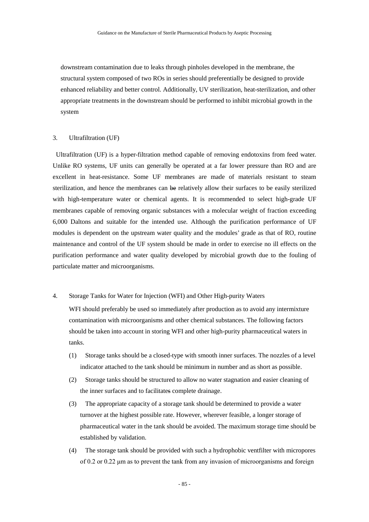downstream contamination due to leaks through pinholes developed in the membrane, the structural system composed of two ROs in series should preferentially be designed to provide enhanced reliability and better control. Additionally, UV sterilization, heat-sterilization, and other appropriate treatments in the downstream should be performed to inhibit microbial growth in the system

#### 3. Ultrafiltration (UF)

Ultrafiltration (UF) is a hyper-filtration method capable of removing endotoxins from feed water. Unlike RO systems, UF units can generally be operated at a far lower pressure than RO and are excellent in heat-resistance. Some UF membranes are made of materials resistant to steam sterilization, and hence the membranes can be relatively allow their surfaces to be easily sterilized with high-temperature water or chemical agents. It is recommended to select high-grade UF membranes capable of removing organic substances with a molecular weight of fraction exceeding 6,000 Daltons and suitable for the intended use. Although the purification performance of UF modules is dependent on the upstream water quality and the modules' grade as that of RO, routine maintenance and control of the UF system should be made in order to exercise no ill effects on the purification performance and water quality developed by microbial growth due to the fouling of particulate matter and microorganisms.

## 4. Storage Tanks for Water for Injection (WFI) and Other High-purity Waters

WFI should preferably be used so immediately after production as to avoid any intermixture contamination with microorganisms and other chemical substances. The following factors should be taken into account in storing WFI and other high-purity pharmaceutical waters in tanks.

- (1) Storage tanks should be a closed-type with smooth inner surfaces. The nozzles of a level indicator attached to the tank should be minimum in number and as short as possible.
- (2) Storage tanks should be structured to allow no water stagnation and easier cleaning of the inner surfaces and to facilitates complete drainage.
- (3) The appropriate capacity of a storage tank should be determined to provide a water turnover at the highest possible rate. However, wherever feasible, a longer storage of pharmaceutical water in the tank should be avoided. The maximum storage time should be established by validation.
- (4) The storage tank should be provided with such a hydrophobic ventfilter with micropores of 0.2 or 0.22 μm as to prevent the tank from any invasion of microorganisms and foreign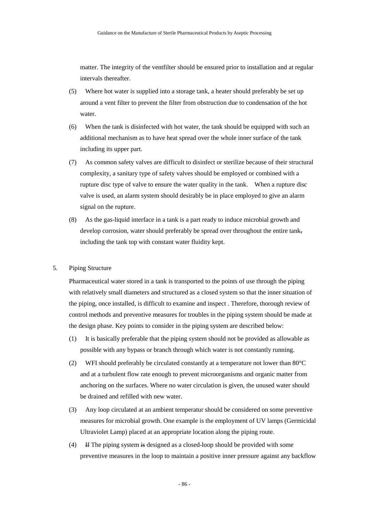matter. The integrity of the ventfilter should be ensured prior to installation and at regular intervals thereafter.

- (5) Where hot water is supplied into a storage tank, a heater should preferably be set up around a vent filter to prevent the filter from obstruction due to condensation of the hot water.
- (6) When the tank is disinfected with hot water, the tank should be equipped with such an additional mechanism as to have heat spread over the whole inner surface of the tank including its upper part.
- (7) As common safety valves are difficult to disinfect or sterilize because of their structural complexity, a sanitary type of safety valves should be employed or combined with a rupture disc type of valve to ensure the water quality in the tank. When a rupture disc valve is used, an alarm system should desirably be in place employed to give an alarm signal on the rupture.
- (8) As the gas-liquid interface in a tank is a part ready to induce microbial growth and develop corrosion, water should preferably be spread over throughout the entire  $tank$ . including the tank top with constant water fluidity kept.

#### 5. Piping Structure

Pharmaceutical water stored in a tank is transported to the points of use through the piping with relatively small diameters and structured as a closed system so that the inner situation of the piping, once installed, is difficult to examine and inspect . Therefore, thorough review of control methods and preventive measures for troubles in the piping system should be made at the design phase. Key points to consider in the piping system are described below:

- (1) It is basically preferable that the piping system should not be provided as allowable as possible with any bypass or branch through which water is not constantly running.
- (2) WFI should preferably be circulated constantly at a temperature not lower than  $80^{\circ}$ C and at a turbulent flow rate enough to prevent microorganisms and organic matter from anchoring on the surfaces. Where no water circulation is given, the unused water should be drained and refilled with new water.
- (3) Any loop circulated at an ambient temperatur should be considered on some preventive measures for microbial growth. One example is the employment of UV lamps (Germicidal Ultraviolet Lamp) placed at an appropriate location along the piping route.
- (4) If The piping system is designed as a closed-loop should be provided with some preventive measures in the loop to maintain a positive inner pressure against any backflow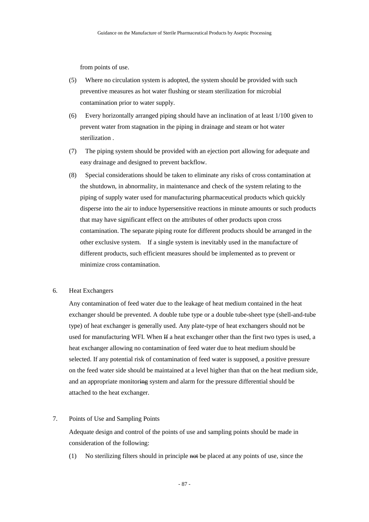from points of use.

- (5) Where no circulation system is adopted, the system should be provided with such preventive measures as hot water flushing or steam sterilization for microbial contamination prior to water supply.
- (6) Every horizontally arranged piping should have an inclination of at least 1/100 given to prevent water from stagnation in the piping in drainage and steam or hot water sterilization .
- (7) The piping system should be provided with an ejection port allowing for adequate and easy drainage and designed to prevent backflow.
- (8) Special considerations should be taken to eliminate any risks of cross contamination at the shutdown, in abnormality, in maintenance and check of the system relating to the piping of supply water used for manufacturing pharmaceutical products which quickly disperse into the air to induce hypersensitive reactions in minute amounts or such products that may have significant effect on the attributes of other products upon cross contamination. The separate piping route for different products should be arranged in the other exclusive system. If a single system is inevitably used in the manufacture of different products, such efficient measures should be implemented as to prevent or minimize cross contamination.

## 6. Heat Exchangers

Any contamination of feed water due to the leakage of heat medium contained in the heat exchanger should be prevented. A double tube type or a double tube-sheet type (shell-and-tube type) of heat exchanger is generally used. Any plate-type of heat exchangers should not be used for manufacturing WFI. When If a heat exchanger other than the first two types is used, a heat exchanger allowing no contamination of feed water due to heat medium should be selected. If any potential risk of contamination of feed water is supposed, a positive pressure on the feed water side should be maintained at a level higher than that on the heat medium side, and an appropriate monitoring system and alarm for the pressure differential should be attached to the heat exchanger.

#### 7. Points of Use and Sampling Points

Adequate design and control of the points of use and sampling points should be made in consideration of the following:

(1) No sterilizing filters should in principle not be placed at any points of use, since the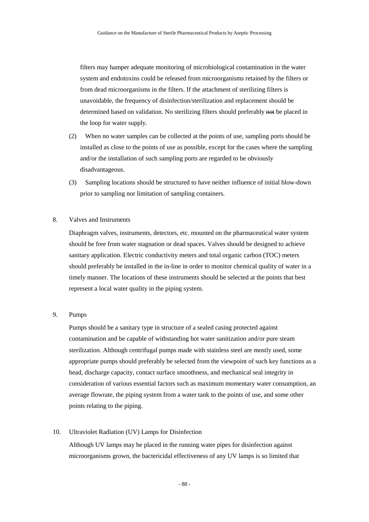filters may hamper adequate monitoring of microbiological contamination in the water system and endotoxins could be released from microorganisms retained by the filters or from dead microorganisms in the filters. If the attachment of sterilizing filters is unavoidable, the frequency of disinfection/sterilization and replacement should be determined based on validation. No sterilizing filters should preferably not be placed in the loop for water supply.

- (2) When no water samples can be collected at the points of use, sampling ports should be installed as close to the points of use as possible, except for the cases where the sampling and/or the installation of such sampling ports are regarded to be obviously disadvantageous.
- (3) Sampling locations should be structured to have neither influence of initial blow-down prior to sampling nor limitation of sampling containers.

# 8. Valves and Instruments

Diaphragm valves, instruments, detectors, etc. mounted on the pharmaceutical water system should be free from water stagnation or dead spaces. Valves should be designed to achieve sanitary application. Electric conductivity meters and total organic carbon (TOC) meters should preferably be installed in the in-line in order to monitor chemical quality of water in a timely manner. The locations of these instruments should be selected at the points that best represent a local water quality in the piping system.

# 9. Pumps

Pumps should be a sanitary type in structure of a sealed casing protected against contamination and be capable of withstanding hot water sanitization and/or pure steam sterilization. Although centrifugal pumps made with stainless steel are mostly used, some appropriate pumps should preferably be selected from the viewpoint of such key functions as a head, discharge capacity, contact surface smoothness, and mechanical seal integrity in consideration of various essential factors such as maximum momentary water consumption, an average flowrate, the piping system from a water tank to the points of use, and some other points relating to the piping.

#### 10. Ultraviolet Radiation (UV) Lamps for Disinfection

Although UV lamps may be placed in the running water pipes for disinfection against microorganisms grown, the bactericidal effectiveness of any UV lamps is so limited that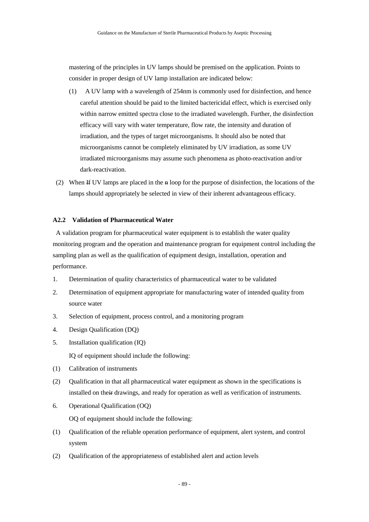mastering of the principles in UV lamps should be premised on the application. Points to consider in proper design of UV lamp installation are indicated below:

- (1) A UV lamp with a wavelength of 254nm is commonly used for disinfection, and hence careful attention should be paid to the limited bactericidal effect, which is exercised only within narrow emitted spectra close to the irradiated wavelength. Further, the disinfection efficacy will vary with water temperature, flow rate, the intensity and duration of irradiation, and the types of target microorganisms. It should also be noted that microorganisms cannot be completely eliminated by UV irradiation, as some UV irradiated microorganisms may assume such phenomena as photo-reactivation and/or dark-reactivation.
- (2) When  $H$  UV lamps are placed in the  $H$  loop for the purpose of disinfection, the locations of the lamps should appropriately be selected in view of their inherent advantageous efficacy.

## **A2.2 Validation of Pharmaceutical Water**

A validation program for pharmaceutical water equipment is to establish the water quality monitoring program and the operation and maintenance program for equipment control including the sampling plan as well as the qualification of equipment design, installation, operation and performance.

- 1. Determination of quality characteristics of pharmaceutical water to be validated
- 2. Determination of equipment appropriate for manufacturing water of intended quality from source water
- 3. Selection of equipment, process control, and a monitoring program
- 4. Design Qualification (DQ)
- 5. Installation qualification (IQ)

IQ of equipment should include the following:

- (1) Calibration of instruments
- (2) Qualification in that all pharmaceutical water equipment as shown in the specifications is installed on their drawings, and ready for operation as well as verification of instruments.
- 6. Operational Qualification (OQ) OQ of equipment should include the following:
- (1) Qualification of the reliable operation performance of equipment, alert system, and control system
- (2) Qualification of the appropriateness of established alert and action levels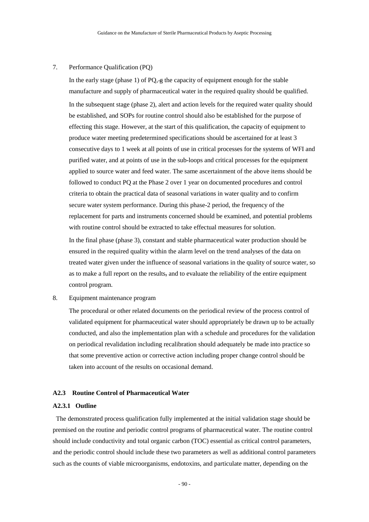#### 7. Performance Qualification (PQ)

In the early stage (phase 1) of  $PQ, \oplus$  the capacity of equipment enough for the stable manufacture and supply of pharmaceutical water in the required quality should be qualified. In the subsequent stage (phase 2), alert and action levels for the required water quality should be established, and SOPs for routine control should also be established for the purpose of effecting this stage. However, at the start of this qualification, the capacity of equipment to produce water meeting predetermined specifications should be ascertained for at least 3 consecutive days to 1 week at all points of use in critical processes for the systems of WFI and purified water, and at points of use in the sub-loops and critical processes for the equipment applied to source water and feed water. The same ascertainment of the above items should be followed to conduct PQ at the Phase 2 over 1 year on documented procedures and control criteria to obtain the practical data of seasonal variations in water quality and to confirm secure water system performance. During this phase-2 period, the frequency of the replacement for parts and instruments concerned should be examined, and potential problems with routine control should be extracted to take effectual measures for solution. In the final phase (phase 3), constant and stable pharmaceutical water production should be

ensured in the required quality within the alarm level on the trend analyses of the data on treated water given under the influence of seasonal variations in the quality of source water, so as to make a full report on the results, and to evaluate the reliability of the entire equipment control program.

# 8. Equipment maintenance program

The procedural or other related documents on the periodical review of the process control of validated equipment for pharmaceutical water should appropriately be drawn up to be actually conducted, and also the implementation plan with a schedule and procedures for the validation on periodical revalidation including recalibration should adequately be made into practice so that some preventive action or corrective action including proper change control should be taken into account of the results on occasional demand.

#### **A2.3 Routine Control of Pharmaceutical Water**

### **A2.3.1 Outline**

The demonstrated process qualification fully implemented at the initial validation stage should be premised on the routine and periodic control programs of pharmaceutical water. The routine control should include conductivity and total organic carbon (TOC) essential as critical control parameters, and the periodic control should include these two parameters as well as additional control parameters such as the counts of viable microorganisms, endotoxins, and particulate matter, depending on the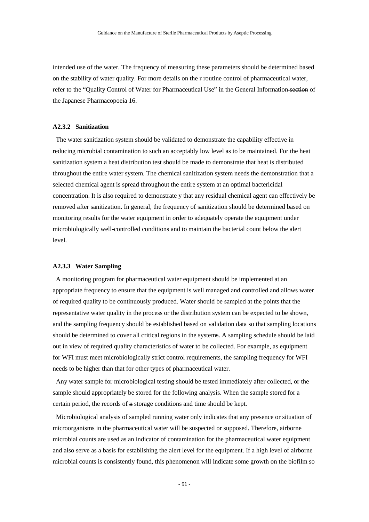intended use of the water. The frequency of measuring these parameters should be determined based on the stability of water quality. For more details on the r routine control of pharmaceutical water, refer to the "Quality Control of Water for Pharmaceutical Use" in the General Information-section of the Japanese Pharmacopoeia 16.

#### **A2.3.2 Sanitization**

The water sanitization system should be validated to demonstrate the capability effective in reducing microbial contamination to such an acceptably low level as to be maintained. For the heat sanitization system a heat distribution test should be made to demonstrate that heat is distributed throughout the entire water system. The chemical sanitization system needs the demonstration that a selected chemical agent is spread throughout the entire system at an optimal bactericidal concentration. It is also required to demonstrate y that any residual chemical agent can effectively be removed after sanitization. In general, the frequency of sanitization should be determined based on monitoring results for the water equipment in order to adequately operate the equipment under microbiologically well-controlled conditions and to maintain the bacterial count below the alert level.

#### **A2.3.3 Water Sampling**

A monitoring program for pharmaceutical water equipment should be implemented at an appropriate frequency to ensure that the equipment is well managed and controlled and allows water of required quality to be continuously produced. Water should be sampled at the points that the representative water quality in the process or the distribution system can be expected to be shown, and the sampling frequency should be established based on validation data so that sampling locations should be determined to cover all critical regions in the systems. A sampling schedule should be laid out in view of required quality characteristics of water to be collected. For example, as equipment for WFI must meet microbiologically strict control requirements, the sampling frequency for WFI needs to be higher than that for other types of pharmaceutical water.

Any water sample for microbiological testing should be tested immediately after collected, or the sample should appropriately be stored for the following analysis. When the sample stored for a certain period, the records of n storage conditions and time should be kept.

Microbiological analysis of sampled running water only indicates that any presence or situation of microorganisms in the pharmaceutical water will be suspected or supposed. Therefore, airborne microbial counts are used as an indicator of contamination for the pharmaceutical water equipment and also serve as a basis for establishing the alert level for the equipment. If a high level of airborne microbial counts is consistently found, this phenomenon will indicate some growth on the biofilm so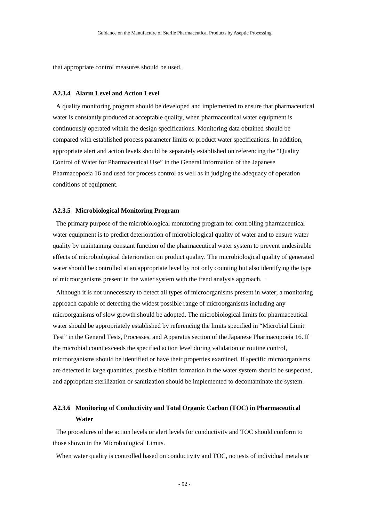that appropriate control measures should be used.

## **A2.3.4 Alarm Level and Action Level**

A quality monitoring program should be developed and implemented to ensure that pharmaceutical water is constantly produced at acceptable quality, when pharmaceutical water equipment is continuously operated within the design specifications. Monitoring data obtained should be compared with established process parameter limits or product water specifications. In addition, appropriate alert and action levels should be separately established on referencing the "Quality Control of Water for Pharmaceutical Use" in the General Information of the Japanese Pharmacopoeia 16 and used for process control as well as in judging the adequacy of operation conditions of equipment.

#### **A2.3.5 Microbiological Monitoring Program**

The primary purpose of the microbiological monitoring program for controlling pharmaceutical water equipment is to predict deterioration of microbiological quality of water and to ensure water quality by maintaining constant function of the pharmaceutical water system to prevent undesirable effects of microbiological deterioration on product quality. The microbiological quality of generated water should be controlled at an appropriate level by not only counting but also identifying the type of microorganisms present in the water system with the trend analysis approach.

Although it is not unnecessary to detect all types of microorganisms present in water; a monitoring approach capable of detecting the widest possible range of microorganisms including any microorganisms of slow growth should be adopted. The microbiological limits for pharmaceutical water should be appropriately established by referencing the limits specified in "Microbial Limit Test" in the General Tests, Processes, and Apparatus section of the Japanese Pharmacopoeia 16. If the microbial count exceeds the specified action level during validation or routine control, microorganisms should be identified or have their properties examined. If specific microorganisms are detected in large quantities, possible biofilm formation in the water system should be suspected, and appropriate sterilization or sanitization should be implemented to decontaminate the system.

# **A2.3.6 Monitoring of Conductivity and Total Organic Carbon (TOC) in Pharmaceutical Water**

The procedures of the action levels or alert levels for conductivity and TOC should conform to those shown in the Microbiological Limits.

When water quality is controlled based on conductivity and TOC, no tests of individual metals or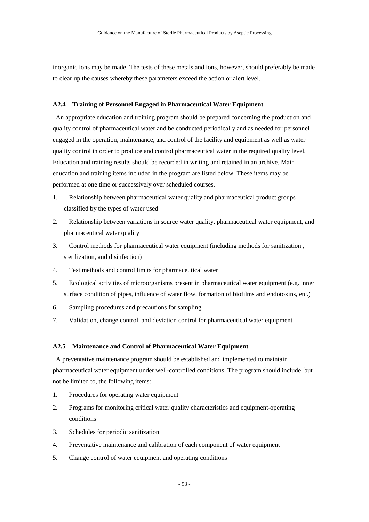inorganic ions may be made. The tests of these metals and ions, however, should preferably be made to clear up the causes whereby these parameters exceed the action or alert level.

#### **A2.4 Training of Personnel Engaged in Pharmaceutical Water Equipment**

An appropriate education and training program should be prepared concerning the production and quality control of pharmaceutical water and be conducted periodically and as needed for personnel engaged in the operation, maintenance, and control of the facility and equipment as well as water quality control in order to produce and control pharmaceutical water in the required quality level. Education and training results should be recorded in writing and retained in an archive. Main education and training items included in the program are listed below. These items may be performed at one time or successively over scheduled courses.

- 1. Relationship between pharmaceutical water quality and pharmaceutical product groups classified by the types of water used
- 2. Relationship between variations in source water quality, pharmaceutical water equipment, and pharmaceutical water quality
- 3. Control methods for pharmaceutical water equipment (including methods for sanitization , sterilization, and disinfection)
- 4. Test methods and control limits for pharmaceutical water
- 5. Ecological activities of microorganisms present in pharmaceutical water equipment (e.g. inner surface condition of pipes, influence of water flow, formation of biofilms and endotoxins, etc.)
- 6. Sampling procedures and precautions for sampling
- 7. Validation, change control, and deviation control for pharmaceutical water equipment

#### **A2.5 Maintenance and Control of Pharmaceutical Water Equipment**

A preventative maintenance program should be established and implemented to maintain pharmaceutical water equipment under well-controlled conditions. The program should include, but not be limited to, the following items:

- 1. Procedures for operating water equipment
- 2. Programs for monitoring critical water quality characteristics and equipment-operating conditions
- 3. Schedules for periodic sanitization
- 4. Preventative maintenance and calibration of each component of water equipment
- 5. Change control of water equipment and operating conditions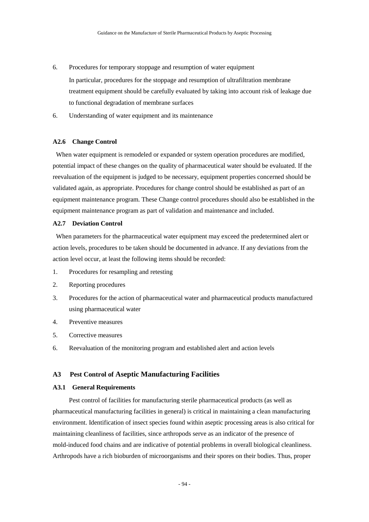- 6. Procedures for temporary stoppage and resumption of water equipment In particular, procedures for the stoppage and resumption of ultrafiltration membrane treatment equipment should be carefully evaluated by taking into account risk of leakage due to functional degradation of membrane surfaces
- 6. Understanding of water equipment and its maintenance

#### **A2.6 Change Control**

When water equipment is remodeled or expanded or system operation procedures are modified, potential impact of these changes on the quality of pharmaceutical water should be evaluated. If the reevaluation of the equipment is judged to be necessary, equipment properties concerned should be validated again, as appropriate. Procedures for change control should be established as part of an equipment maintenance program. These Change control procedures should also be established in the equipment maintenance program as part of validation and maintenance and included.

## **A2.7 Deviation Control**

When parameters for the pharmaceutical water equipment may exceed the predetermined alert or action levels, procedures to be taken should be documented in advance. If any deviations from the action level occur, at least the following items should be recorded:

- 1. Procedures for resampling and retesting
- 2. Reporting procedures
- 3. Procedures for the action of pharmaceutical water and pharmaceutical products manufactured using pharmaceutical water
- 4. Preventive measures
- 5. Corrective measures
- 6. Reevaluation of the monitoring program and established alert and action levels

## **A3 Pest Control of Aseptic Manufacturing Facilities**

#### **A3.1 General Requirements**

Pest control of facilities for manufacturing sterile pharmaceutical products (as well as pharmaceutical manufacturing facilities in general) is critical in maintaining a clean manufacturing environment. Identification of insect species found within aseptic processing areas is also critical for maintaining cleanliness of facilities, since arthropods serve as an indicator of the presence of mold-induced food chains and are indicative of potential problems in overall biological cleanliness. Arthropods have a rich bioburden of microorganisms and their spores on their bodies. Thus, proper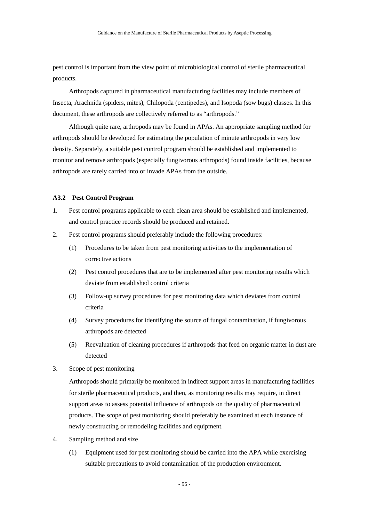pest control is important from the view point of microbiological control of sterile pharmaceutical products.

Arthropods captured in pharmaceutical manufacturing facilities may include members of Insecta, Arachnida (spiders, mites), Chilopoda (centipedes), and Isopoda (sow bugs) classes. In this document, these arthropods are collectively referred to as "arthropods."

Although quite rare, arthropods may be found in APAs. An appropriate sampling method for arthropods should be developed for estimating the population of minute arthropods in very low density. Separately, a suitable pest control program should be established and implemented to monitor and remove arthropods (especially fungivorous arthropods) found inside facilities, because arthropods are rarely carried into or invade APAs from the outside.

#### **A3.2 Pest Control Program**

- 1. Pest control programs applicable to each clean area should be established and implemented, and control practice records should be produced and retained.
- 2. Pest control programs should preferably include the following procedures:
	- (1) Procedures to be taken from pest monitoring activities to the implementation of corrective actions
	- (2) Pest control procedures that are to be implemented after pest monitoring results which deviate from established control criteria
	- (3) Follow-up survey procedures for pest monitoring data which deviates from control criteria
	- (4) Survey procedures for identifying the source of fungal contamination, if fungivorous arthropods are detected
	- (5) Reevaluation of cleaning procedures if arthropods that feed on organic matter in dust are detected
- 3. Scope of pest monitoring

Arthropods should primarily be monitored in indirect support areas in manufacturing facilities for sterile pharmaceutical products, and then, as monitoring results may require, in direct support areas to assess potential influence of arthropods on the quality of pharmaceutical products. The scope of pest monitoring should preferably be examined at each instance of newly constructing or remodeling facilities and equipment.

- 4. Sampling method and size
	- (1) Equipment used for pest monitoring should be carried into the APA while exercising suitable precautions to avoid contamination of the production environment.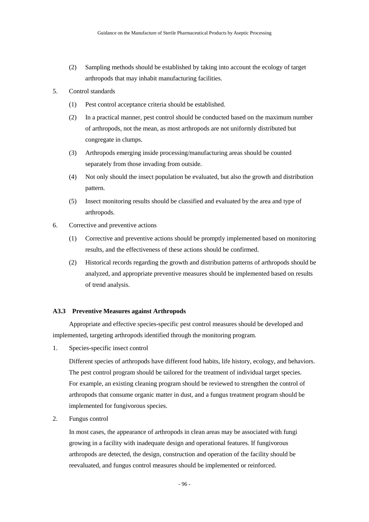- (2) Sampling methods should be established by taking into account the ecology of target arthropods that may inhabit manufacturing facilities.
- 5. Control standards
	- (1) Pest control acceptance criteria should be established.
	- (2) In a practical manner, pest control should be conducted based on the maximum number of arthropods, not the mean, as most arthropods are not uniformly distributed but congregate in clumps.
	- (3) Arthropods emerging inside processing/manufacturing areas should be counted separately from those invading from outside.
	- (4) Not only should the insect population be evaluated, but also the growth and distribution pattern.
	- (5) Insect monitoring results should be classified and evaluated by the area and type of arthropods.
- 6. Corrective and preventive actions
	- (1) Corrective and preventive actions should be promptly implemented based on monitoring results, and the effectiveness of these actions should be confirmed.
	- (2) Historical records regarding the growth and distribution patterns of arthropods should be analyzed, and appropriate preventive measures should be implemented based on results of trend analysis.

## **A3.3 Preventive Measures against Arthropods**

Appropriate and effective species-specific pest control measures should be developed and implemented, targeting arthropods identified through the monitoring program.

1. Species-specific insect control

Different species of arthropods have different food habits, life history, ecology, and behaviors. The pest control program should be tailored for the treatment of individual target species. For example, an existing cleaning program should be reviewed to strengthen the control of arthropods that consume organic matter in dust, and a fungus treatment program should be implemented for fungivorous species.

2. Fungus control

In most cases, the appearance of arthropods in clean areas may be associated with fungi growing in a facility with inadequate design and operational features. If fungivorous arthropods are detected, the design, construction and operation of the facility should be reevaluated, and fungus control measures should be implemented or reinforced.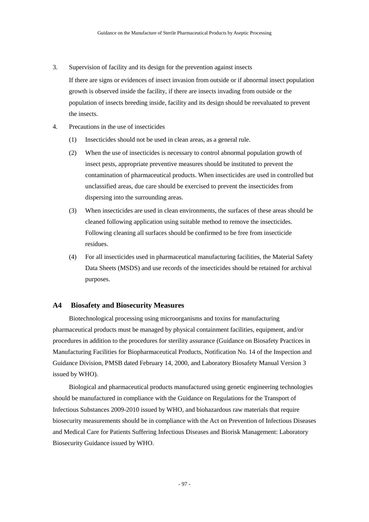3. Supervision of facility and its design for the prevention against insects

If there are signs or evidences of insect invasion from outside or if abnormal insect population growth is observed inside the facility, if there are insects invading from outside or the population of insects breeding inside, facility and its design should be reevaluated to prevent the insects.

- 4. Precautions in the use of insecticides
	- (1) Insecticides should not be used in clean areas, as a general rule.
	- (2) When the use of insecticides is necessary to control abnormal population growth of insect pests, appropriate preventive measures should be instituted to prevent the contamination of pharmaceutical products. When insecticides are used in controlled but unclassified areas, due care should be exercised to prevent the insecticides from dispersing into the surrounding areas.
	- (3) When insecticides are used in clean environments, the surfaces of these areas should be cleaned following application using suitable method to remove the insecticides. Following cleaning all surfaces should be confirmed to be free from insecticide residues.
	- (4) For all insecticides used in pharmaceutical manufacturing facilities, the Material Safety Data Sheets (MSDS) and use records of the insecticides should be retained for archival purposes.

# **A4 Biosafety and Biosecurity Measures**

Biotechnological processing using microorganisms and toxins for manufacturing pharmaceutical products must be managed by physical containment facilities, equipment, and/or procedures in addition to the procedures for sterility assurance (Guidance on Biosafety Practices in Manufacturing Facilities for Biopharmaceutical Products, Notification No. 14 of the Inspection and Guidance Division, PMSB dated February 14, 2000, and Laboratory Biosafety Manual Version 3 issued by WHO).

Biological and pharmaceutical products manufactured using genetic engineering technologies should be manufactured in compliance with the Guidance on Regulations for the Transport of Infectious Substances 2009-2010 issued by WHO, and biohazardous raw materials that require biosecurity measurements should be in compliance with the Act on Prevention of Infectious Diseases and Medical Care for Patients Suffering Infectious Diseases and Biorisk Management: Laboratory Biosecurity Guidance issued by WHO.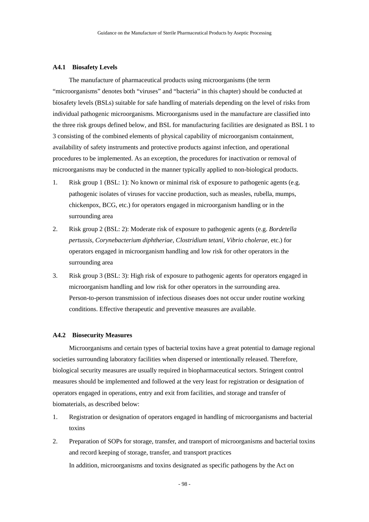#### **A4.1 Biosafety Levels**

The manufacture of pharmaceutical products using microorganisms (the term "microorganisms" denotes both "viruses" and "bacteria" in this chapter) should be conducted at biosafety levels (BSLs) suitable for safe handling of materials depending on the level of risks from individual pathogenic microorganisms. Microorganisms used in the manufacture are classified into the three risk groups defined below, and BSL for manufacturing facilities are designated as BSL 1 to 3 consisting of the combined elements of physical capability of microorganism containment, availability of safety instruments and protective products against infection, and operational procedures to be implemented. As an exception, the procedures for inactivation or removal of microorganisms may be conducted in the manner typically applied to non-biological products.

- 1. Risk group 1 (BSL: 1): No known or minimal risk of exposure to pathogenic agents (e.g. pathogenic isolates of viruses for vaccine production, such as measles, rubella, mumps, chickenpox, BCG, etc.) for operators engaged in microorganism handling or in the surrounding area
- 2. Risk group 2 (BSL: 2): Moderate risk of exposure to pathogenic agents (e.g. *Bordetella pertussis, Corynebacterium diphtheriae, Clostridium tetani, Vibrio cholerae,* etc.) for operators engaged in microorganism handling and low risk for other operators in the surrounding area
- 3. Risk group 3 (BSL: 3): High risk of exposure to pathogenic agents for operators engaged in microorganism handling and low risk for other operators in the surrounding area. Person-to-person transmission of infectious diseases does not occur under routine working conditions. Effective therapeutic and preventive measures are available.

## **A4.2 Biosecurity Measures**

Microorganisms and certain types of bacterial toxins have a great potential to damage regional societies surrounding laboratory facilities when dispersed or intentionally released. Therefore, biological security measures are usually required in biopharmaceutical sectors. Stringent control measures should be implemented and followed at the very least for registration or designation of operators engaged in operations, entry and exit from facilities, and storage and transfer of biomaterials, as described below:

- 1. Registration or designation of operators engaged in handling of microorganisms and bacterial toxins
- 2. Preparation of SOPs for storage, transfer, and transport of microorganisms and bacterial toxins and record keeping of storage, transfer, and transport practices In addition, microorganisms and toxins designated as specific pathogens by the Act on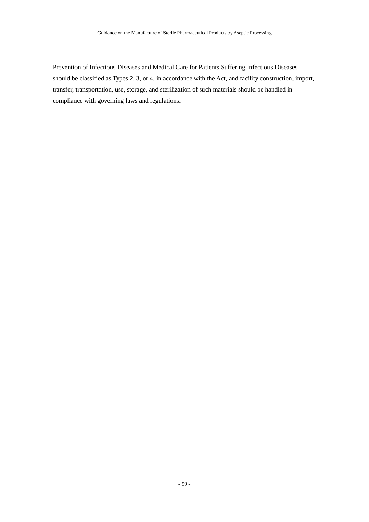Prevention of Infectious Diseases and Medical Care for Patients Suffering Infectious Diseases should be classified as Types 2, 3, or 4, in accordance with the Act, and facility construction, import, transfer, transportation, use, storage, and sterilization of such materials should be handled in compliance with governing laws and regulations.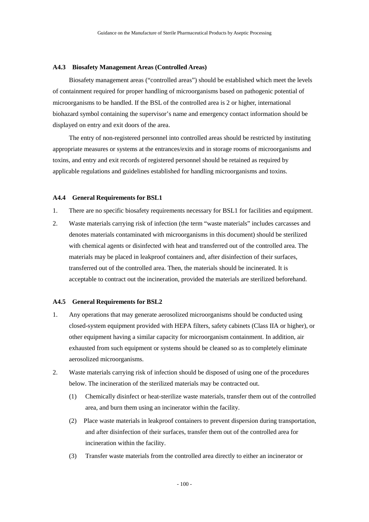#### **A4.3 Biosafety Management Areas (Controlled Areas)**

Biosafety management areas ("controlled areas") should be established which meet the levels of containment required for proper handling of microorganisms based on pathogenic potential of microorganisms to be handled. If the BSL of the controlled area is 2 or higher, international biohazard symbol containing the supervisor's name and emergency contact information should be displayed on entry and exit doors of the area.

The entry of non-registered personnel into controlled areas should be restricted by instituting appropriate measures or systems at the entrances/exits and in storage rooms of microorganisms and toxins, and entry and exit records of registered personnel should be retained as required by applicable regulations and guidelines established for handling microorganisms and toxins.

#### **A4.4 General Requirements for BSL1**

- 1. There are no specific biosafety requirements necessary for BSL1 for facilities and equipment.
- 2. Waste materials carrying risk of infection (the term "waste materials" includes carcasses and denotes materials contaminated with microorganisms in this document) should be sterilized with chemical agents or disinfected with heat and transferred out of the controlled area. The materials may be placed in leakproof containers and, after disinfection of their surfaces, transferred out of the controlled area. Then, the materials should be incinerated. It is acceptable to contract out the incineration, provided the materials are sterilized beforehand.

#### **A4.5 General Requirements for BSL2**

- 1. Any operations that may generate aerosolized microorganisms should be conducted using closed-system equipment provided with HEPA filters, safety cabinets (Class IIA or higher), or other equipment having a similar capacity for microorganism containment. In addition, air exhausted from such equipment or systems should be cleaned so as to completely eliminate aerosolized microorganisms.
- 2. Waste materials carrying risk of infection should be disposed of using one of the procedures below. The incineration of the sterilized materials may be contracted out.
	- (1) Chemically disinfect or heat-sterilize waste materials, transfer them out of the controlled area, and burn them using an incinerator within the facility.
	- (2) Place waste materials in leakproof containers to prevent dispersion during transportation, and after disinfection of their surfaces, transfer them out of the controlled area for incineration within the facility.
	- (3) Transfer waste materials from the controlled area directly to either an incinerator or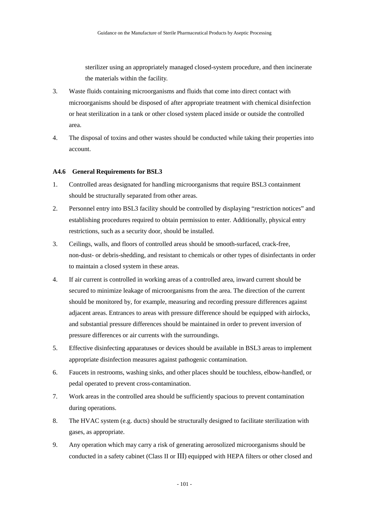sterilizer using an appropriately managed closed-system procedure, and then incinerate the materials within the facility.

- 3. Waste fluids containing microorganisms and fluids that come into direct contact with microorganisms should be disposed of after appropriate treatment with chemical disinfection or heat sterilization in a tank or other closed system placed inside or outside the controlled area.
- 4. The disposal of toxins and other wastes should be conducted while taking their properties into account.

#### **A4.6 General Requirements for BSL3**

- 1. Controlled areas designated for handling microorganisms that require BSL3 containment should be structurally separated from other areas.
- 2. Personnel entry into BSL3 facility should be controlled by displaying "restriction notices" and establishing procedures required to obtain permission to enter. Additionally, physical entry restrictions, such as a security door, should be installed.
- 3. Ceilings, walls, and floors of controlled areas should be smooth-surfaced, crack-free, non-dust- or debris-shedding, and resistant to chemicals or other types of disinfectants in order to maintain a closed system in these areas.
- 4. If air current is controlled in working areas of a controlled area, inward current should be secured to minimize leakage of microorganisms from the area. The direction of the current should be monitored by, for example, measuring and recording pressure differences against adjacent areas. Entrances to areas with pressure difference should be equipped with airlocks, and substantial pressure differences should be maintained in order to prevent inversion of pressure differences or air currents with the surroundings.
- 5. Effective disinfecting apparatuses or devices should be available in BSL3 areas to implement appropriate disinfection measures against pathogenic contamination.
- 6. Faucets in restrooms, washing sinks, and other places should be touchless, elbow-handled, or pedal operated to prevent cross-contamination.
- 7. Work areas in the controlled area should be sufficiently spacious to prevent contamination during operations.
- 8. The HVAC system (e.g. ducts) should be structurally designed to facilitate sterilization with gases, as appropriate.
- 9. Any operation which may carry a risk of generating aerosolized microorganisms should be conducted in a safety cabinet (Class II or III) equipped with HEPA filters or other closed and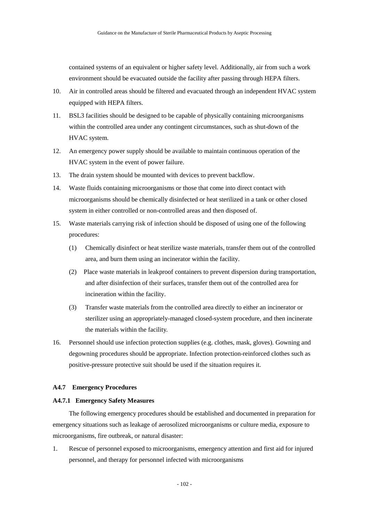contained systems of an equivalent or higher safety level. Additionally, air from such a work environment should be evacuated outside the facility after passing through HEPA filters.

- 10. Air in controlled areas should be filtered and evacuated through an independent HVAC system equipped with HEPA filters.
- 11. BSL3 facilities should be designed to be capable of physically containing microorganisms within the controlled area under any contingent circumstances, such as shut-down of the HVAC system.
- 12. An emergency power supply should be available to maintain continuous operation of the HVAC system in the event of power failure.
- 13. The drain system should be mounted with devices to prevent backflow.
- 14. Waste fluids containing microorganisms or those that come into direct contact with microorganisms should be chemically disinfected or heat sterilized in a tank or other closed system in either controlled or non-controlled areas and then disposed of.
- 15. Waste materials carrying risk of infection should be disposed of using one of the following procedures:
	- (1) Chemically disinfect or heat sterilize waste materials, transfer them out of the controlled area, and burn them using an incinerator within the facility.
	- (2) Place waste materials in leakproof containers to prevent dispersion during transportation, and after disinfection of their surfaces, transfer them out of the controlled area for incineration within the facility.
	- (3) Transfer waste materials from the controlled area directly to either an incinerator or sterilizer using an appropriately-managed closed-system procedure, and then incinerate the materials within the facility.
- 16. Personnel should use infection protection supplies (e.g. clothes, mask, gloves). Gowning and degowning procedures should be appropriate. Infection protection-reinforced clothes such as positive-pressure protective suit should be used if the situation requires it.

#### **A4.7 Emergency Procedures**

#### **A4.7.1 Emergency Safety Measures**

The following emergency procedures should be established and documented in preparation for emergency situations such as leakage of aerosolized microorganisms or culture media, exposure to microorganisms, fire outbreak, or natural disaster:

1. Rescue of personnel exposed to microorganisms, emergency attention and first aid for injured personnel, and therapy for personnel infected with microorganisms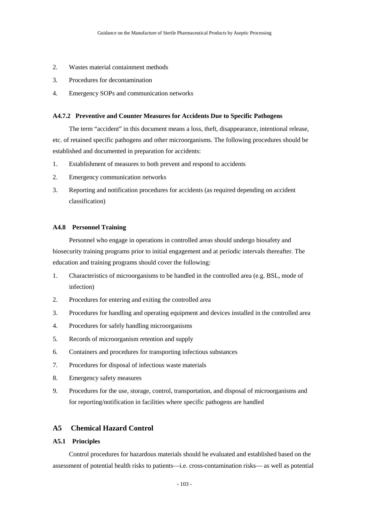- 2. Wastes material containment methods
- 3. Procedures for decontamination
- 4. Emergency SOPs and communication networks

#### **A4.7.2 Preventive and Counter Measures for Accidents Due to Specific Pathogens**

The term "accident" in this document means a loss, theft, disappearance, intentional release, etc. of retained specific pathogens and other microorganisms. The following procedures should be established and documented in preparation for accidents:

- 1. Establishment of measures to both prevent and respond to accidents
- 2. Emergency communication networks
- 3. Reporting and notification procedures for accidents (as required depending on accident classification)

## **A4.8 Personnel Training**

Personnel who engage in operations in controlled areas should undergo biosafety and biosecurity training programs prior to initial engagement and at periodic intervals thereafter. The education and training programs should cover the following:

- 1. Characteristics of microorganisms to be handled in the controlled area (e.g. BSL, mode of infection)
- 2. Procedures for entering and exiting the controlled area
- 3. Procedures for handling and operating equipment and devices installed in the controlled area
- 4. Procedures for safely handling microorganisms
- 5. Records of microorganism retention and supply
- 6. Containers and procedures for transporting infectious substances
- 7. Procedures for disposal of infectious waste materials
- 8. Emergency safety measures
- 9. Procedures for the use, storage, control, transportation, and disposal of microorganisms and for reporting/notification in facilities where specific pathogens are handled

# **A5 Chemical Hazard Control**

# **A5.1 Principles**

Control procedures for hazardous materials should be evaluated and established based on the assessment of potential health risks to patients—i.e. cross-contamination risks—as well as potential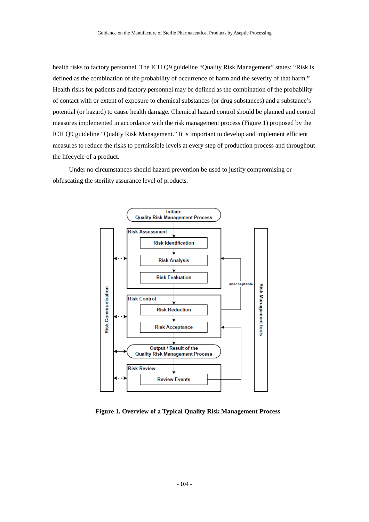health risks to factory personnel. The ICH Q9 guideline "Quality Risk Management" states: "Risk is defined as the combination of the probability of occurrence of harm and the severity of that harm." Health risks for patients and factory personnel may be defined as the combination of the probability of contact with or extent of exposure to chemical substances (or drug substances) and a substance's potential (or hazard) to cause health damage. Chemical hazard control should be planned and control measures implemented in accordance with the risk management process (Figure 1) proposed by the ICH Q9 guideline "Quality Risk Management." It is important to develop and implement efficient measures to reduce the risks to permissible levels at every step of production process and throughout the lifecycle of a product.

Under no circumstances should hazard prevention be used to justify compromising or obfuscating the sterility assurance level of products.



**Figure 1. Overview of a Typical Quality Risk Management Process**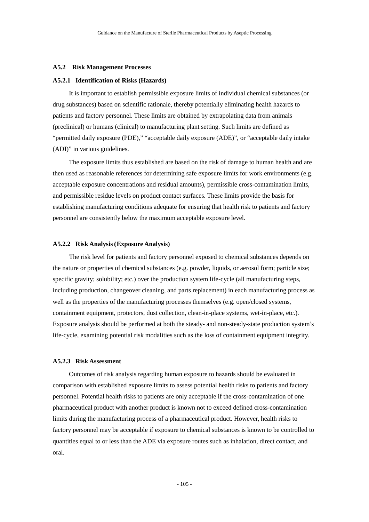#### **A5.2 Risk Management Processes**

#### **A5.2.1 Identification of Risks (Hazards)**

It is important to establish permissible exposure limits of individual chemical substances (or drug substances) based on scientific rationale, thereby potentially eliminating health hazards to patients and factory personnel. These limits are obtained by extrapolating data from animals (preclinical) or humans (clinical) to manufacturing plant setting. Such limits are defined as "permitted daily exposure (PDE)," "acceptable daily exposure (ADE)", or "acceptable daily intake (ADI)" in various guidelines.

The exposure limits thus established are based on the risk of damage to human health and are then used as reasonable references for determining safe exposure limits for work environments (e.g. acceptable exposure concentrations and residual amounts), permissible cross-contamination limits, and permissible residue levels on product contact surfaces. These limits provide the basis for establishing manufacturing conditions adequate for ensuring that health risk to patients and factory personnel are consistently below the maximum acceptable exposure level.

#### **A5.2.2 Risk Analysis (Exposure Analysis)**

The risk level for patients and factory personnel exposed to chemical substances depends on the nature or properties of chemical substances (e.g. powder, liquids, or aerosol form; particle size; specific gravity; solubility; etc.) over the production system life-cycle (all manufacturing steps, including production, changeover cleaning, and parts replacement) in each manufacturing process as well as the properties of the manufacturing processes themselves (e.g. open/closed systems, containment equipment, protectors, dust collection, clean-in-place systems, wet-in-place, etc.). Exposure analysis should be performed at both the steady- and non-steady-state production system's life-cycle, examining potential risk modalities such as the loss of containment equipment integrity.

## **A5.2.3 Risk Assessment**

Outcomes of risk analysis regarding human exposure to hazards should be evaluated in comparison with established exposure limits to assess potential health risks to patients and factory personnel. Potential health risks to patients are only acceptable if the cross-contamination of one pharmaceutical product with another product is known not to exceed defined cross-contamination limits during the manufacturing process of a pharmaceutical product. However, health risks to factory personnel may be acceptable if exposure to chemical substances is known to be controlled to quantities equal to or less than the ADE via exposure routes such as inhalation, direct contact, and oral.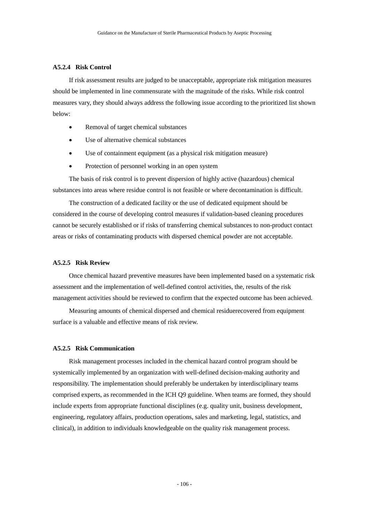## **A5.2.4 Risk Control**

If risk assessment results are judged to be unacceptable, appropriate risk mitigation measures should be implemented in line commensurate with the magnitude of the risks. While risk control measures vary, they should always address the following issue according to the prioritized list shown below:

- Removal of target chemical substances
- Use of alternative chemical substances
- Use of containment equipment (as a physical risk mitigation measure)
- Protection of personnel working in an open system

The basis of risk control is to prevent dispersion of highly active (hazardous) chemical substances into areas where residue control is not feasible or where decontamination is difficult.

The construction of a dedicated facility or the use of dedicated equipment should be considered in the course of developing control measures if validation-based cleaning procedures cannot be securely established or if risks of transferring chemical substances to non-product contact areas or risks of contaminating products with dispersed chemical powder are not acceptable.

### **A5.2.5 Risk Review**

Once chemical hazard preventive measures have been implemented based on a systematic risk assessment and the implementation of well-defined control activities, the, results of the risk management activities should be reviewed to confirm that the expected outcome has been achieved.

Measuring amounts of chemical dispersed and chemical residuerecovered from equipment surface is a valuable and effective means of risk review.

## **A5.2.5 Risk Communication**

Risk management processes included in the chemical hazard control program should be systemically implemented by an organization with well-defined decision-making authority and responsibility. The implementation should preferably be undertaken by interdisciplinary teams comprised experts, as recommended in the ICH Q9 guideline. When teams are formed, they should include experts from appropriate functional disciplines (e.g. quality unit, business development, engineering, regulatory affairs, production operations, sales and marketing, legal, statistics, and clinical), in addition to individuals knowledgeable on the quality risk management process.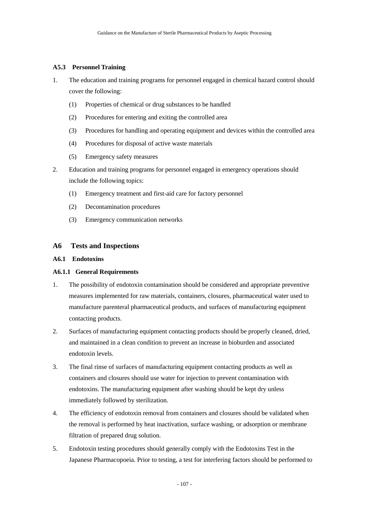## **A5.3 Personnel Training**

- 1. The education and training programs for personnel engaged in chemical hazard control should cover the following:
	- (1) Properties of chemical or drug substances to be handled
	- (2) Procedures for entering and exiting the controlled area
	- (3) Procedures for handling and operating equipment and devices within the controlled area
	- (4) Procedures for disposal of active waste materials
	- (5) Emergency safety measures
- 2. Education and training programs for personnel engaged in emergency operations should include the following topics:
	- (1) Emergency treatment and first-aid care for factory personnel
	- (2) Decontamination procedures
	- (3) Emergency communication networks

## **A6 Tests and Inspections**

### **A6.1 Endotoxins**

## **A6.1.1 General Requirements**

- 1. The possibility of endotoxin contamination should be considered and appropriate preventive measures implemented for raw materials, containers, closures, pharmaceutical water used to manufacture parenteral pharmaceutical products, and surfaces of manufacturing equipment contacting products.
- 2. Surfaces of manufacturing equipment contacting products should be properly cleaned, dried, and maintained in a clean condition to prevent an increase in bioburden and associated endotoxin levels.
- 3. The final rinse of surfaces of manufacturing equipment contacting products as well as containers and closures should use water for injection to prevent contamination with endotoxins. The manufacturing equipment after washing should be kept dry unless immediately followed by sterilization.
- 4. The efficiency of endotoxin removal from containers and closures should be validated when the removal is performed by heat inactivation, surface washing, or adsorption or membrane filtration of prepared drug solution.
- 5. Endotoxin testing procedures should generally comply with the Endotoxins Test in the Japanese Pharmacopoeia. Prior to testing, a test for interfering factors should be performed to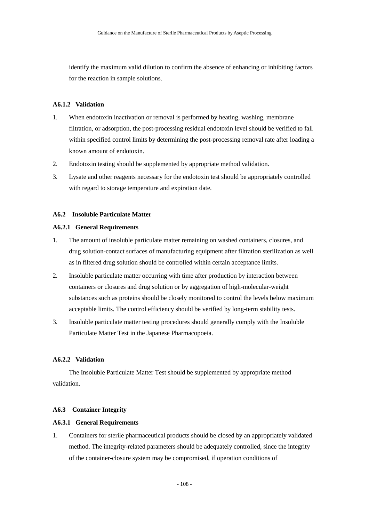identify the maximum valid dilution to confirm the absence of enhancing or inhibiting factors for the reaction in sample solutions.

## **A6.1.2 Validation**

- 1. When endotoxin inactivation or removal is performed by heating, washing, membrane filtration, or adsorption, the post-processing residual endotoxin level should be verified to fall within specified control limits by determining the post-processing removal rate after loading a known amount of endotoxin.
- 2. Endotoxin testing should be supplemented by appropriate method validation.
- 3. Lysate and other reagents necessary for the endotoxin test should be appropriately controlled with regard to storage temperature and expiration date.

## **A6.2 Insoluble Particulate Matter**

## **A6.2.1 General Requirements**

- 1. The amount of insoluble particulate matter remaining on washed containers, closures, and drug solution-contact surfaces of manufacturing equipment after filtration sterilization as well as in filtered drug solution should be controlled within certain acceptance limits.
- 2. Insoluble particulate matter occurring with time after production by interaction between containers or closures and drug solution or by aggregation of high-molecular-weight substances such as proteins should be closely monitored to control the levels below maximum acceptable limits. The control efficiency should be verified by long-term stability tests.
- 3. Insoluble particulate matter testing procedures should generally comply with the Insoluble Particulate Matter Test in the Japanese Pharmacopoeia.

## **A6.2.2 Validation**

The Insoluble Particulate Matter Test should be supplemented by appropriate method validation.

## **A6.3 Container Integrity**

#### **A6.3.1 General Requirements**

1. Containers for sterile pharmaceutical products should be closed by an appropriately validated method. The integrity-related parameters should be adequately controlled, since the integrity of the container-closure system may be compromised, if operation conditions of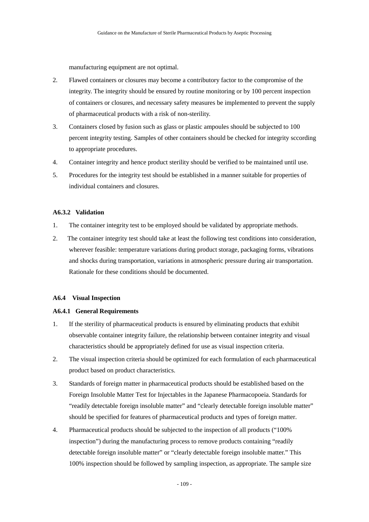manufacturing equipment are not optimal.

- 2. Flawed containers or closures may become a contributory factor to the compromise of the integrity. The integrity should be ensured by routine monitoring or by 100 percent inspection of containers or closures, and necessary safety measures be implemented to prevent the supply of pharmaceutical products with a risk of non-sterility.
- 3. Containers closed by fusion such as glass or plastic ampoules should be subjected to 100 percent integrity testing. Samples of other containers should be checked for integrity sccording to appropriate procedures.
- 4. Container integrity and hence product sterility should be verified to be maintained until use.
- 5. Procedures for the integrity test should be established in a manner suitable for properties of individual containers and closures.

## **A6.3.2 Validation**

- 1. The container integrity test to be employed should be validated by appropriate methods.
- 2. The container integrity test should take at least the following test conditions into consideration, wherever feasible: temperature variations during product storage, packaging forms, vibrations and shocks during transportation, variations in atmospheric pressure during air transportation. Rationale for these conditions should be documented.

#### **A6.4 Visual Inspection**

#### **A6.4.1 General Requirements**

- 1. If the sterility of pharmaceutical products is ensured by eliminating products that exhibit observable container integrity failure, the relationship between container integrity and visual characteristics should be appropriately defined for use as visual inspection criteria.
- 2. The visual inspection criteria should be optimized for each formulation of each pharmaceutical product based on product characteristics.
- 3. Standards of foreign matter in pharmaceutical products should be established based on the Foreign Insoluble Matter Test for Injectables in the Japanese Pharmacopoeia. Standards for "readily detectable foreign insoluble matter" and "clearly detectable foreign insoluble matter" should be specified for features of pharmaceutical products and types of foreign matter.
- 4. Pharmaceutical products should be subjected to the inspection of all products ("100% inspection") during the manufacturing process to remove products containing "readily detectable foreign insoluble matter" or "clearly detectable foreign insoluble matter." This 100% inspection should be followed by sampling inspection, as appropriate. The sample size

- 109 -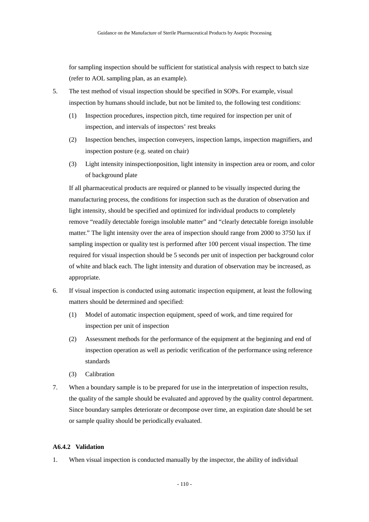for sampling inspection should be sufficient for statistical analysis with respect to batch size (refer to AOL sampling plan, as an example).

- 5. The test method of visual inspection should be specified in SOPs. For example, visual inspection by humans should include, but not be limited to, the following test conditions:
	- (1) Inspection procedures, inspection pitch, time required for inspection per unit of inspection, and intervals of inspectors' rest breaks
	- (2) Inspection benches, inspection conveyers, inspection lamps, inspection magnifiers, and inspection posture (e.g. seated on chair)
	- (3) Light intensity ininspectionposition, light intensity in inspection area or room, and color of background plate

If all pharmaceutical products are required or planned to be visually inspected during the manufacturing process, the conditions for inspection such as the duration of observation and light intensity, should be specified and optimized for individual products to completely remove "readily detectable foreign insoluble matter" and "clearly detectable foreign insoluble matter." The light intensity over the area of inspection should range from 2000 to 3750 lux if sampling inspection or quality test is performed after 100 percent visual inspection. The time required for visual inspection should be 5 seconds per unit of inspection per background color of white and black each. The light intensity and duration of observation may be increased, as appropriate.

- 6. If visual inspection is conducted using automatic inspection equipment, at least the following matters should be determined and specified:
	- (1) Model of automatic inspection equipment, speed of work, and time required for inspection per unit of inspection
	- (2) Assessment methods for the performance of the equipment at the beginning and end of inspection operation as well as periodic verification of the performance using reference standards
	- (3) Calibration
- 7. When a boundary sample is to be prepared for use in the interpretation of inspection results, the quality of the sample should be evaluated and approved by the quality control department. Since boundary samples deteriorate or decompose over time, an expiration date should be set or sample quality should be periodically evaluated.

## **A6.4.2 Validation**

1. When visual inspection is conducted manually by the inspector, the ability of individual